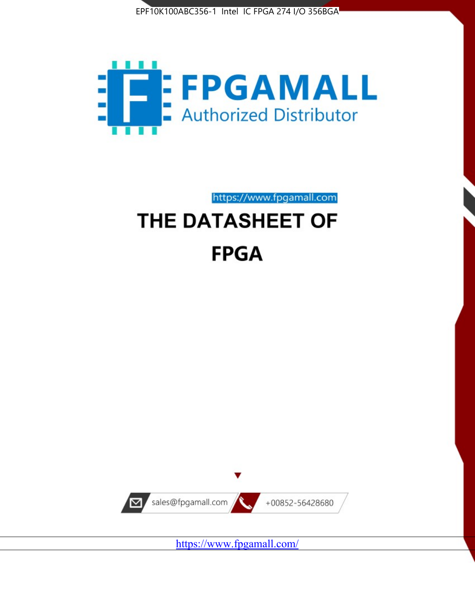



https://www.fpgamall.com

# THE DATASHEET OF **FPGA**



<https://www.fpgamall.com/>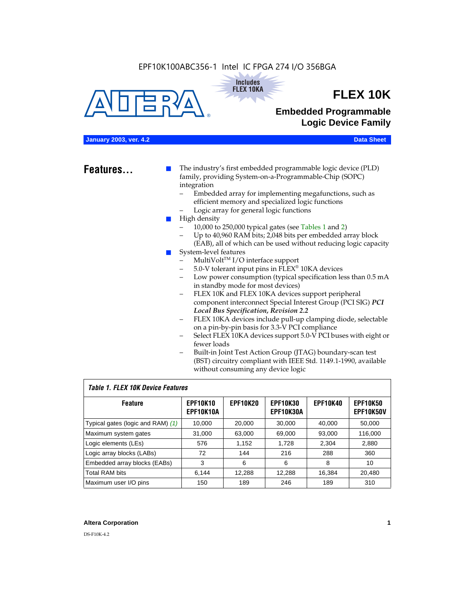



## **FLEX 10K**

## **Embedded Programmable Logic Device Family**

## **January 2003, ver. 4.2 Data Sheet**

**Features...** ■ The industry's first embedded programmable logic device (PLD) family, providing System-on-a-Programmable-Chip (SOPC) integration

- Embedded array for implementing megafunctions, such as efficient memory and specialized logic functions
- Logic array for general logic functions
- High density
	- 10,000 to 250,000 typical gates (see Tables 1 and 2)
	- Up to 40,960 RAM bits; 2,048 bits per embedded array block (EAB), all of which can be used without reducing logic capacity
- System-level features
	- $MultiVolt<sup>TM</sup> I/O interface support$
	- 5.0-V tolerant input pins in FLEX® 10KA devices
	- Low power consumption (typical specification less than 0.5 mA in standby mode for most devices)
	- FLEX 10K and FLEX 10KA devices support peripheral component interconnect Special Interest Group (PCI SIG) *PCI Local Bus Specification, Revision 2.2*
	- FLEX 10KA devices include pull-up clamping diode, selectable on a pin-by-pin basis for 3.3-V PCI compliance
	- Select FLEX 10KA devices support 5.0-V PCI buses with eight or fewer loads
	- Built-in Joint Test Action Group (JTAG) boundary-scan test (BST) circuitry compliant with IEEE Std. 1149.1-1990, available without consuming any device logic

### *Table 1. FLEX 10K Device Features*

| <b>Feature</b>                    | <b>EPF10K10</b><br>EPF10K10A | <b>EPF10K20</b> | <b>EPF10K30</b><br><b>EPF10K30A</b> | <b>EPF10K40</b> | <b>EPF10K50</b><br><b>EPF10K50V</b> |
|-----------------------------------|------------------------------|-----------------|-------------------------------------|-----------------|-------------------------------------|
| Typical gates (logic and RAM) (1) | 10,000                       | 20,000          | 30,000                              | 40,000          | 50,000                              |
| Maximum system gates              | 31,000                       | 63,000          | 69,000                              | 93,000          | 116,000                             |
| Logic elements (LEs)              | 576                          | 1,152           | 1,728                               | 2,304           | 2,880                               |
| Logic array blocks (LABs)         | 72                           | 144             | 216                                 | 288             | 360                                 |
| Embedded array blocks (EABs)      | 3                            | 6               | 6                                   | 8               | 10                                  |
| <b>Total RAM bits</b>             | 6.144                        | 12,288          | 12,288                              | 16,384          | 20,480                              |
| Maximum user I/O pins             | 150                          | 189             | 246                                 | 189             | 310                                 |

#### **Altera Corporation 1**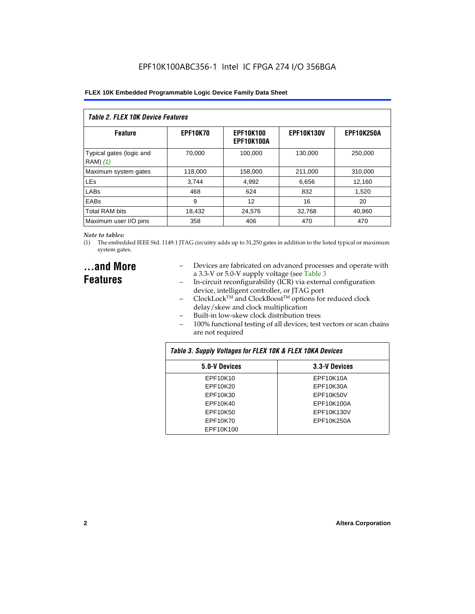| Table 2. FLEX 10K Device Features    |                 |                                |                   |                   |  |
|--------------------------------------|-----------------|--------------------------------|-------------------|-------------------|--|
| <b>Feature</b>                       | <b>EPF10K70</b> | <b>EPF10K100</b><br>EPF10K100A | <b>EPF10K130V</b> | <b>EPF10K250A</b> |  |
| Typical gates (logic and<br>RAM) (1) | 70.000          | 100.000                        | 130.000           | 250,000           |  |
| Maximum system gates                 | 118,000         | 158,000                        | 211,000           | 310,000           |  |
| <b>LEs</b>                           | 3.744           | 4,992                          | 6,656             | 12,160            |  |
| LABs                                 | 468             | 624                            | 832               | 1.520             |  |
| EABs                                 | 9               | 12                             | 16                | 20                |  |
| <b>Total RAM bits</b>                | 18,432          | 24.576                         | 32,768            | 40,960            |  |
| Maximum user I/O pins                | 358             | 406                            | 470               | 470               |  |

#### *Note to tables:*

(1) The embedded IEEE Std. 1149.1 JTAG circuitry adds up to 31,250 gates in addition to the listed typical or maximum system gates.

## **...and More Features**

- Devices are fabricated on advanced processes and operate with a 3.3-V or 5.0-V supply voltage (see Table 3
- In-circuit reconfigurability (ICR) via external configuration device, intelligent controller, or JTAG port
- $ClockLock^{TM}$  and  $ClockBoost^{TM}$  options for reduced clock delay/skew and clock multiplication
- Built-in low-skew clock distribution trees
- 100% functional testing of all devices; test vectors or scan chains are not required

| Table 3. Supply Voltages for FLEX 10K & FLEX 10KA Devices |               |  |  |  |  |
|-----------------------------------------------------------|---------------|--|--|--|--|
| 5.0-V Devices                                             | 3.3-V Devices |  |  |  |  |
| EPF10K10                                                  | EPF10K10A     |  |  |  |  |
| EPF10K20                                                  | EPF10K30A     |  |  |  |  |
| EPF10K30                                                  | EPF10K50V     |  |  |  |  |
| EPF10K40                                                  | EPF10K100A    |  |  |  |  |
| EPF10K50                                                  | EPF10K130V    |  |  |  |  |
| EPF10K70                                                  | EPF10K250A    |  |  |  |  |
| EPF10K100                                                 |               |  |  |  |  |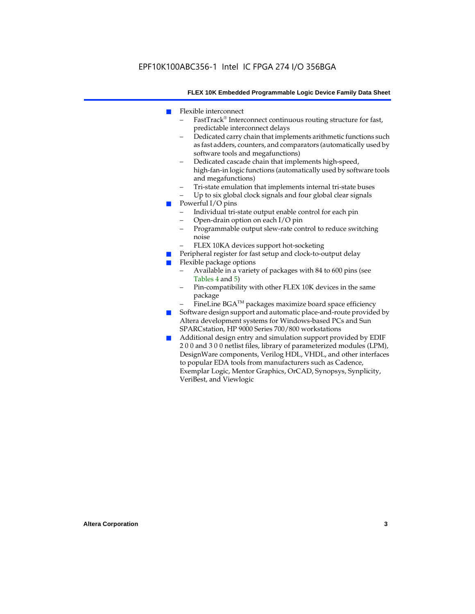- Flexible interconnect
	- FastTrack® Interconnect continuous routing structure for fast, predictable interconnect delays
	- Dedicated carry chain that implements arithmetic functions such as fast adders, counters, and comparators (automatically used by software tools and megafunctions)
	- Dedicated cascade chain that implements high-speed, high-fan-in logic functions (automatically used by software tools and megafunctions)
	- Tri-state emulation that implements internal tri-state buses
	- Up to six global clock signals and four global clear signals
- Powerful I/O pins
	- Individual tri-state output enable control for each pin
	- Open-drain option on each I/O pin
	- Programmable output slew-rate control to reduce switching noise
	- FLEX 10KA devices support hot-socketing
- Peripheral register for fast setup and clock-to-output delay
- Flexible package options
	- Available in a variety of packages with 84 to 600 pins (see Tables 4 and 5)
	- Pin-compatibility with other FLEX 10K devices in the same package
	- FineLine BGA<sup>TM</sup> packages maximize board space efficiency
- Software design support and automatic place-and-route provided by Altera development systems for Windows-based PCs and Sun SPARCstation, HP 9000 Series 700/800 workstations
- Additional design entry and simulation support provided by EDIF 2 0 0 and 3 0 0 netlist files, library of parameterized modules (LPM), DesignWare components, Verilog HDL, VHDL, and other interfaces to popular EDA tools from manufacturers such as Cadence, Exemplar Logic, Mentor Graphics, OrCAD, Synopsys, Synplicity, VeriBest, and Viewlogic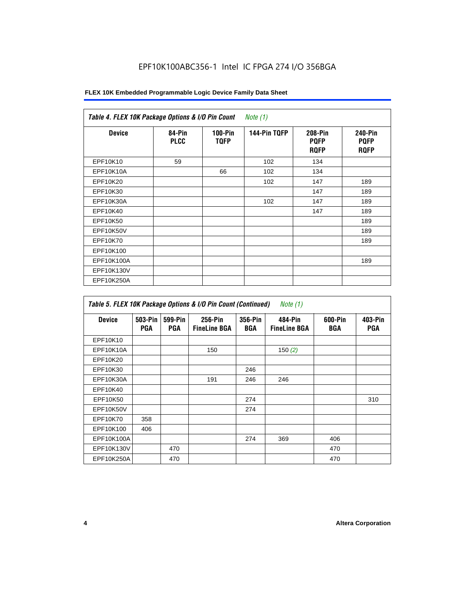| FLEX 10K Embedded Programmable Logic Device Family Data Sheet |  |  |  |
|---------------------------------------------------------------|--|--|--|
|---------------------------------------------------------------|--|--|--|

| Table 4. FLEX 10K Package Options & I/O Pin Count<br>Note $(1)$ |                       |                          |              |                                       |                                       |
|-----------------------------------------------------------------|-----------------------|--------------------------|--------------|---------------------------------------|---------------------------------------|
| <b>Device</b>                                                   | 84-Pin<br><b>PLCC</b> | $100-Pin$<br><b>TQFP</b> | 144-Pin TQFP | 208-Pin<br><b>PQFP</b><br><b>ROFP</b> | 240-Pin<br><b>PQFP</b><br><b>ROFP</b> |
| EPF10K10                                                        | 59                    |                          | 102          | 134                                   |                                       |
| EPF10K10A                                                       |                       | 66                       | 102          | 134                                   |                                       |
| EPF10K20                                                        |                       |                          | 102          | 147                                   | 189                                   |
| EPF10K30                                                        |                       |                          |              | 147                                   | 189                                   |
| EPF10K30A                                                       |                       |                          | 102          | 147                                   | 189                                   |
| EPF10K40                                                        |                       |                          |              | 147                                   | 189                                   |
| EPF10K50                                                        |                       |                          |              |                                       | 189                                   |
| EPF10K50V                                                       |                       |                          |              |                                       | 189                                   |
| EPF10K70                                                        |                       |                          |              |                                       | 189                                   |
| EPF10K100                                                       |                       |                          |              |                                       |                                       |
| EPF10K100A                                                      |                       |                          |              |                                       | 189                                   |
| EPF10K130V                                                      |                       |                          |              |                                       |                                       |
| EPF10K250A                                                      |                       |                          |              |                                       |                                       |

| Table 5. FLEX 10K Package Options & I/O Pin Count (Continued)<br>Note $(1)$ |                |                       |                                |                       |                                |                |                |
|-----------------------------------------------------------------------------|----------------|-----------------------|--------------------------------|-----------------------|--------------------------------|----------------|----------------|
| <b>Device</b>                                                               | 503-Pin<br>PGA | 599-Pin<br><b>PGA</b> | 256-Pin<br><b>FineLine BGA</b> | 356-Pin<br><b>BGA</b> | 484-Pin<br><b>FineLine BGA</b> | 600-Pin<br>BGA | 403-Pin<br>PGA |
| EPF10K10                                                                    |                |                       |                                |                       |                                |                |                |
| EPF10K10A                                                                   |                |                       | 150                            |                       | 150 $(2)$                      |                |                |
| EPF10K20                                                                    |                |                       |                                |                       |                                |                |                |
| EPF10K30                                                                    |                |                       |                                | 246                   |                                |                |                |
| EPF10K30A                                                                   |                |                       | 191                            | 246                   | 246                            |                |                |
| EPF10K40                                                                    |                |                       |                                |                       |                                |                |                |
| EPF10K50                                                                    |                |                       |                                | 274                   |                                |                | 310            |
| EPF10K50V                                                                   |                |                       |                                | 274                   |                                |                |                |
| EPF10K70                                                                    | 358            |                       |                                |                       |                                |                |                |
| EPF10K100                                                                   | 406            |                       |                                |                       |                                |                |                |
| EPF10K100A                                                                  |                |                       |                                | 274                   | 369                            | 406            |                |
| EPF10K130V                                                                  |                | 470                   |                                |                       |                                | 470            |                |
| EPF10K250A                                                                  |                | 470                   |                                |                       |                                | 470            |                |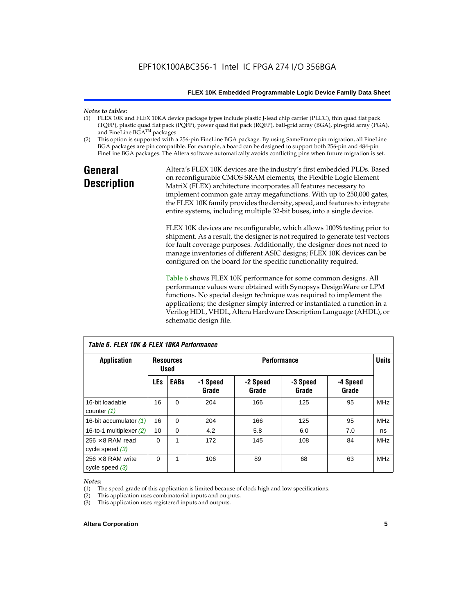## *Notes to tables:*

- FLEX 10K and FLEX 10KA device package types include plastic J-lead chip carrier (PLCC), thin quad flat pack (TQFP), plastic quad flat pack (PQFP), power quad flat pack (RQFP), ball-grid array (BGA), pin-grid array (PGA), and FineLine BGA™ packages.
- (2) This option is supported with a 256-pin FineLine BGA package. By using SameFrame pin migration, all FineLine BGA packages are pin compatible. For example, a board can be designed to support both 256-pin and 484-pin FineLine BGA packages. The Altera software automatically avoids conflicting pins when future migration is set.

## **General Description**

Altera's FLEX 10K devices are the industry's first embedded PLDs. Based on reconfigurable CMOS SRAM elements, the Flexible Logic Element MatriX (FLEX) architecture incorporates all features necessary to implement common gate array megafunctions. With up to 250,000 gates, the FLEX 10K family provides the density, speed, and features to integrate entire systems, including multiple 32-bit buses, into a single device.

FLEX 10K devices are reconfigurable, which allows 100% testing prior to shipment. As a result, the designer is not required to generate test vectors for fault coverage purposes. Additionally, the designer does not need to manage inventories of different ASIC designs; FLEX 10K devices can be configured on the board for the specific functionality required.

Table 6 shows FLEX 10K performance for some common designs. All performance values were obtained with Synopsys DesignWare or LPM functions. No special design technique was required to implement the applications; the designer simply inferred or instantiated a function in a Verilog HDL, VHDL, Altera Hardware Description Language (AHDL), or schematic design file.

| TADIE D. FLEA TUN & FLEA TUNA FEITUITITAIICE  |            |                                                       |                   |                   |                   |                   |            |
|-----------------------------------------------|------------|-------------------------------------------------------|-------------------|-------------------|-------------------|-------------------|------------|
| Application                                   |            | <b>Performance</b><br><b>Resources</b><br><b>Used</b> |                   |                   |                   | <b>Units</b>      |            |
|                                               | <b>LEs</b> | <b>EABs</b>                                           | -1 Speed<br>Grade | -2 Speed<br>Grade | -3 Speed<br>Grade | -4 Speed<br>Grade |            |
| 16-bit loadable<br>counter $(1)$              | 16         | $\mathbf 0$                                           | 204               | 166               | 125               | 95                | <b>MHz</b> |
| 16-bit accumulator (1)                        | 16         | $\Omega$                                              | 204               | 166               | 125               | 95                | <b>MHz</b> |
| 16-to-1 multiplexer $(2)$                     | 10         | $\Omega$                                              | 4.2               | 5.8               | 6.0               | 7.0               | ns         |
| $256 \times 8$ RAM read<br>cycle speed $(3)$  | $\Omega$   | 1                                                     | 172               | 145               | 108               | 84                | <b>MHz</b> |
| $256 \times 8$ RAM write<br>cycle speed $(3)$ | 0          | 1                                                     | 106               | 89                | 68                | 63                | <b>MHz</b> |

*Table 6. FLEX 10K & FLEX 10KA Performance*

#### *Notes:*

(1) The speed grade of this application is limited because of clock high and low specifications.

(2) This application uses combinatorial inputs and outputs.

(3) This application uses registered inputs and outputs.

#### **Altera Corporation 5**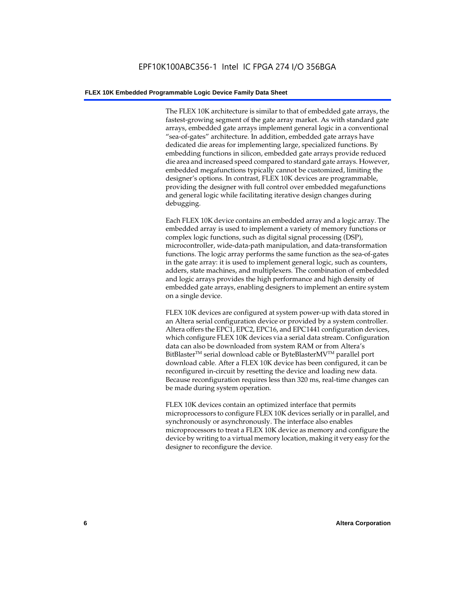The FLEX 10K architecture is similar to that of embedded gate arrays, the fastest-growing segment of the gate array market. As with standard gate arrays, embedded gate arrays implement general logic in a conventional "sea-of-gates" architecture. In addition, embedded gate arrays have dedicated die areas for implementing large, specialized functions. By embedding functions in silicon, embedded gate arrays provide reduced die area and increased speed compared to standard gate arrays. However, embedded megafunctions typically cannot be customized, limiting the designer's options. In contrast, FLEX 10K devices are programmable, providing the designer with full control over embedded megafunctions and general logic while facilitating iterative design changes during debugging.

Each FLEX 10K device contains an embedded array and a logic array. The embedded array is used to implement a variety of memory functions or complex logic functions, such as digital signal processing (DSP), microcontroller, wide-data-path manipulation, and data-transformation functions. The logic array performs the same function as the sea-of-gates in the gate array: it is used to implement general logic, such as counters, adders, state machines, and multiplexers. The combination of embedded and logic arrays provides the high performance and high density of embedded gate arrays, enabling designers to implement an entire system on a single device.

FLEX 10K devices are configured at system power-up with data stored in an Altera serial configuration device or provided by a system controller. Altera offers the EPC1, EPC2, EPC16, and EPC1441 configuration devices, which configure FLEX 10K devices via a serial data stream. Configuration data can also be downloaded from system RAM or from Altera's BitBlaster<sup>™</sup> serial download cable or ByteBlasterMV<sup>™</sup> parallel port download cable. After a FLEX 10K device has been configured, it can be reconfigured in-circuit by resetting the device and loading new data. Because reconfiguration requires less than 320 ms, real-time changes can be made during system operation.

FLEX 10K devices contain an optimized interface that permits microprocessors to configure FLEX 10K devices serially or in parallel, and synchronously or asynchronously. The interface also enables microprocessors to treat a FLEX 10K device as memory and configure the device by writing to a virtual memory location, making it very easy for the designer to reconfigure the device.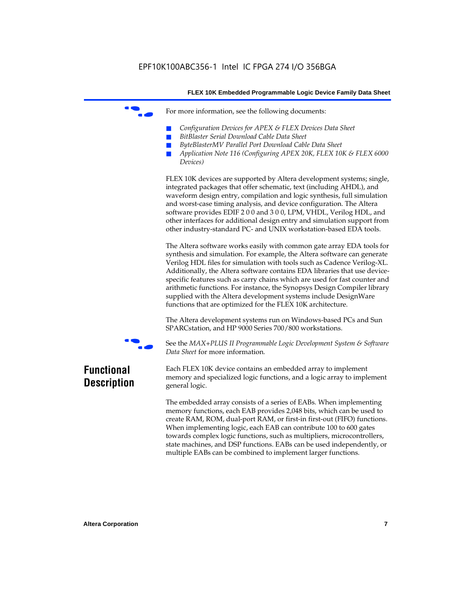For more information, see the following documents:

- *Configuration Devices for APEX & FLEX Devices Data Sheet*
- $BitBlaster$  Serial Download Cable Data Sheet
- *ByteBlasterMV Parallel Port Download Cable Data Sheet*
- *Application Note 116 (Configuring APEX 20K, FLEX 10K & FLEX 6000 Devices)*

FLEX 10K devices are supported by Altera development systems; single, integrated packages that offer schematic, text (including AHDL), and waveform design entry, compilation and logic synthesis, full simulation and worst-case timing analysis, and device configuration. The Altera software provides EDIF 2 0 0 and 3 0 0, LPM, VHDL, Verilog HDL, and other interfaces for additional design entry and simulation support from other industry-standard PC- and UNIX workstation-based EDA tools.

The Altera software works easily with common gate array EDA tools for synthesis and simulation. For example, the Altera software can generate Verilog HDL files for simulation with tools such as Cadence Verilog-XL. Additionally, the Altera software contains EDA libraries that use devicespecific features such as carry chains which are used for fast counter and arithmetic functions. For instance, the Synopsys Design Compiler library supplied with the Altera development systems include DesignWare functions that are optimized for the FLEX 10K architecture.

The Altera development systems run on Windows-based PCs and Sun SPARCstation, and HP 9000 Series 700/800 workstations.



f See the *MAX+PLUS II Programmable Logic Development System & Software Data Sheet* for more information.

## **Functional Description**

Each FLEX 10K device contains an embedded array to implement memory and specialized logic functions, and a logic array to implement general logic.

The embedded array consists of a series of EABs. When implementing memory functions, each EAB provides 2,048 bits, which can be used to create RAM, ROM, dual-port RAM, or first-in first-out (FIFO) functions. When implementing logic, each EAB can contribute 100 to 600 gates towards complex logic functions, such as multipliers, microcontrollers, state machines, and DSP functions. EABs can be used independently, or multiple EABs can be combined to implement larger functions.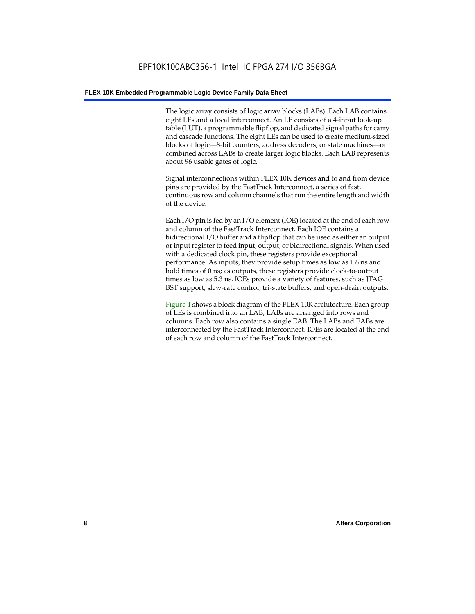The logic array consists of logic array blocks (LABs). Each LAB contains eight LEs and a local interconnect. An LE consists of a 4-input look-up table (LUT), a programmable flipflop, and dedicated signal paths for carry and cascade functions. The eight LEs can be used to create medium-sized blocks of logic—8-bit counters, address decoders, or state machines—or combined across LABs to create larger logic blocks. Each LAB represents about 96 usable gates of logic.

Signal interconnections within FLEX 10K devices and to and from device pins are provided by the FastTrack Interconnect, a series of fast, continuous row and column channels that run the entire length and width of the device.

Each I/O pin is fed by an I/O element (IOE) located at the end of each row and column of the FastTrack Interconnect. Each IOE contains a bidirectional I/O buffer and a flipflop that can be used as either an output or input register to feed input, output, or bidirectional signals. When used with a dedicated clock pin, these registers provide exceptional performance. As inputs, they provide setup times as low as 1.6 ns and hold times of 0 ns; as outputs, these registers provide clock-to-output times as low as 5.3 ns. IOEs provide a variety of features, such as JTAG BST support, slew-rate control, tri-state buffers, and open-drain outputs.

Figure 1 shows a block diagram of the FLEX 10K architecture. Each group of LEs is combined into an LAB; LABs are arranged into rows and columns. Each row also contains a single EAB. The LABs and EABs are interconnected by the FastTrack Interconnect. IOEs are located at the end of each row and column of the FastTrack Interconnect.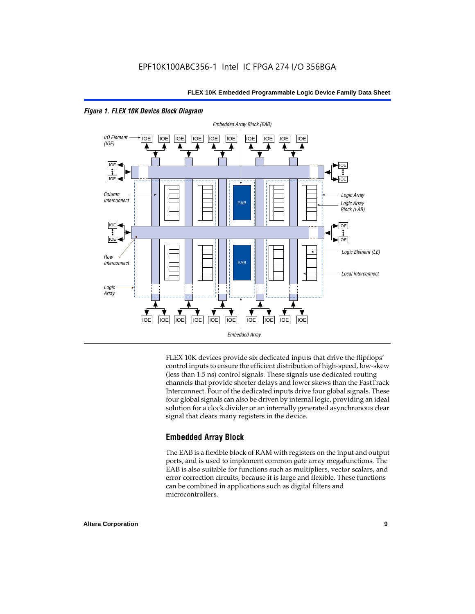

*Figure 1. FLEX 10K Device Block Diagram*

FLEX 10K devices provide six dedicated inputs that drive the flipflops' control inputs to ensure the efficient distribution of high-speed, low-skew (less than 1.5 ns) control signals. These signals use dedicated routing channels that provide shorter delays and lower skews than the FastTrack Interconnect. Four of the dedicated inputs drive four global signals. These four global signals can also be driven by internal logic, providing an ideal solution for a clock divider or an internally generated asynchronous clear signal that clears many registers in the device.

## **Embedded Array Block**

The EAB is a flexible block of RAM with registers on the input and output ports, and is used to implement common gate array megafunctions. The EAB is also suitable for functions such as multipliers, vector scalars, and error correction circuits, because it is large and flexible. These functions can be combined in applications such as digital filters and microcontrollers.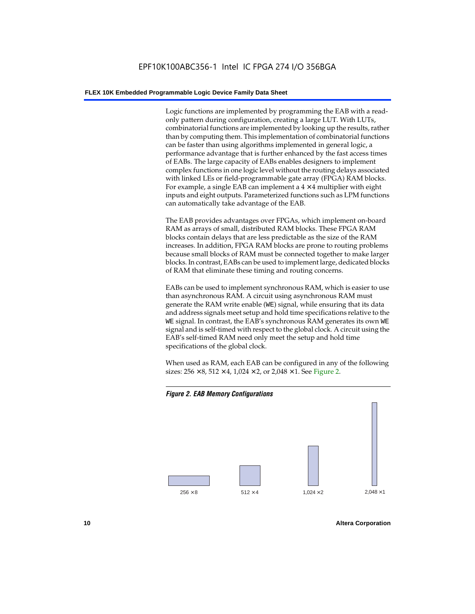Logic functions are implemented by programming the EAB with a readonly pattern during configuration, creating a large LUT. With LUTs, combinatorial functions are implemented by looking up the results, rather than by computing them. This implementation of combinatorial functions can be faster than using algorithms implemented in general logic, a performance advantage that is further enhanced by the fast access times of EABs. The large capacity of EABs enables designers to implement complex functions in one logic level without the routing delays associated with linked LEs or field-programmable gate array (FPGA) RAM blocks. For example, a single EAB can implement a  $4 \times 4$  multiplier with eight inputs and eight outputs. Parameterized functions such as LPM functions can automatically take advantage of the EAB.

The EAB provides advantages over FPGAs, which implement on-board RAM as arrays of small, distributed RAM blocks. These FPGA RAM blocks contain delays that are less predictable as the size of the RAM increases. In addition, FPGA RAM blocks are prone to routing problems because small blocks of RAM must be connected together to make larger blocks. In contrast, EABs can be used to implement large, dedicated blocks of RAM that eliminate these timing and routing concerns.

EABs can be used to implement synchronous RAM, which is easier to use than asynchronous RAM. A circuit using asynchronous RAM must generate the RAM write enable (WE) signal, while ensuring that its data and address signals meet setup and hold time specifications relative to the WE signal. In contrast, the EAB's synchronous RAM generates its own WE signal and is self-timed with respect to the global clock. A circuit using the EAB's self-timed RAM need only meet the setup and hold time specifications of the global clock.

When used as RAM, each EAB can be configured in any of the following sizes:  $256 \times 8$ ,  $512 \times 4$ ,  $1,024 \times 2$ , or  $2,048 \times 1$ . See Figure 2.



**10 Altera Corporation**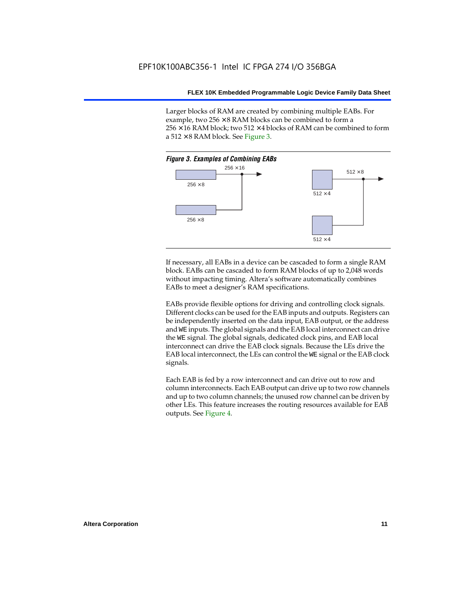Larger blocks of RAM are created by combining multiple EABs. For example, two  $256 \times 8$  RAM blocks can be combined to form a  $256 \times 16$  RAM block; two 512  $\times$  4 blocks of RAM can be combined to form a  $512 \times 8$  RAM block. See Figure 3.



If necessary, all EABs in a device can be cascaded to form a single RAM block. EABs can be cascaded to form RAM blocks of up to 2,048 words without impacting timing. Altera's software automatically combines EABs to meet a designer's RAM specifications.

EABs provide flexible options for driving and controlling clock signals. Different clocks can be used for the EAB inputs and outputs. Registers can be independently inserted on the data input, EAB output, or the address and WE inputs. The global signals and the EAB local interconnect can drive the WE signal. The global signals, dedicated clock pins, and EAB local interconnect can drive the EAB clock signals. Because the LEs drive the EAB local interconnect, the LEs can control the WE signal or the EAB clock signals.

Each EAB is fed by a row interconnect and can drive out to row and column interconnects. Each EAB output can drive up to two row channels and up to two column channels; the unused row channel can be driven by other LEs. This feature increases the routing resources available for EAB outputs. See Figure 4.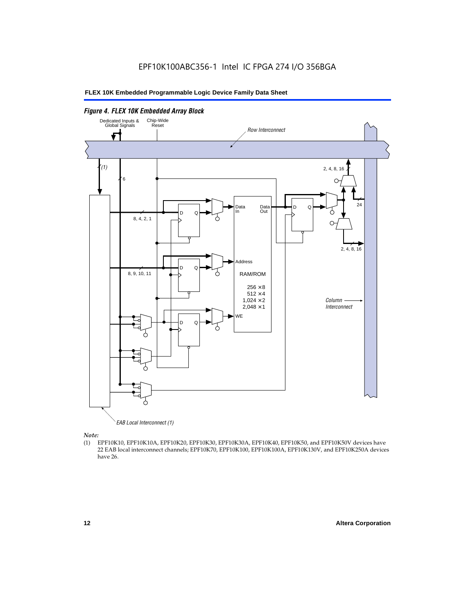

EAB Local Interconnect (1)

*Note:*<br>(1) **H** 

(1) EPF10K10, EPF10K10A, EPF10K20, EPF10K30, EPF10K30A, EPF10K40, EPF10K50, and EPF10K50V devices have 22 EAB local interconnect channels; EPF10K70, EPF10K100, EPF10K100A, EPF10K130V, and EPF10K250A devices have 26.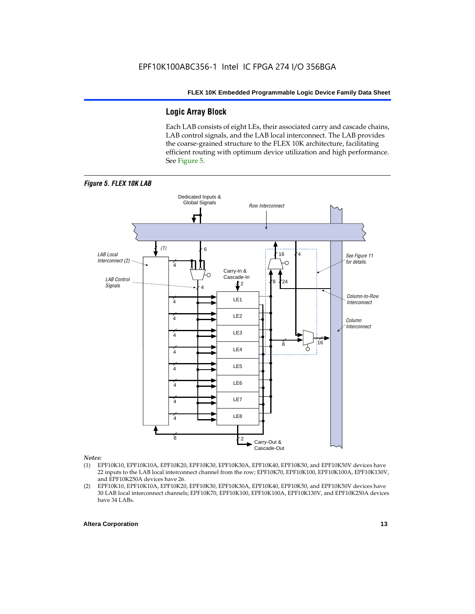## **Logic Array Block**

Each LAB consists of eight LEs, their associated carry and cascade chains, LAB control signals, and the LAB local interconnect. The LAB provides the coarse-grained structure to the FLEX 10K architecture, facilitating efficient routing with optimum device utilization and high performance. See Figure 5.



#### *Notes:*

- (1) EPF10K10, EPF10K10A, EPF10K20, EPF10K30, EPF10K30A, EPF10K40, EPF10K50, and EPF10K50V devices have 22 inputs to the LAB local interconnect channel from the row; EPF10K70, EPF10K100, EPF10K100A, EPF10K130V, and EPF10K250A devices have 26.
- (2) EPF10K10, EPF10K10A, EPF10K20, EPF10K30, EPF10K30A, EPF10K40, EPF10K50, and EPF10K50V devices have 30 LAB local interconnect channels; EPF10K70, EPF10K100, EPF10K100A, EPF10K130V, and EPF10K250A devices have 34 LABs.

#### **Altera Corporation 13 13**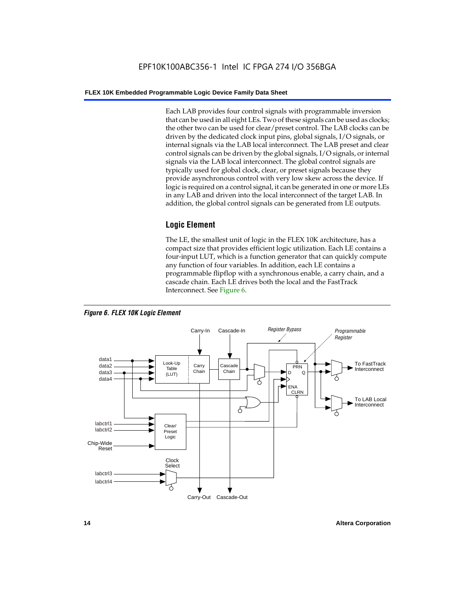Each LAB provides four control signals with programmable inversion that can be used in all eight LEs. Two of these signals can be used as clocks; the other two can be used for clear/preset control. The LAB clocks can be driven by the dedicated clock input pins, global signals, I/O signals, or internal signals via the LAB local interconnect. The LAB preset and clear control signals can be driven by the global signals, I/O signals, or internal signals via the LAB local interconnect. The global control signals are typically used for global clock, clear, or preset signals because they provide asynchronous control with very low skew across the device. If logic is required on a control signal, it can be generated in one or more LEs in any LAB and driven into the local interconnect of the target LAB. In addition, the global control signals can be generated from LE outputs.

## **Logic Element**

The LE, the smallest unit of logic in the FLEX 10K architecture, has a compact size that provides efficient logic utilization. Each LE contains a four-input LUT, which is a function generator that can quickly compute any function of four variables. In addition, each LE contains a programmable flipflop with a synchronous enable, a carry chain, and a cascade chain. Each LE drives both the local and the FastTrack Interconnect. See Figure 6.



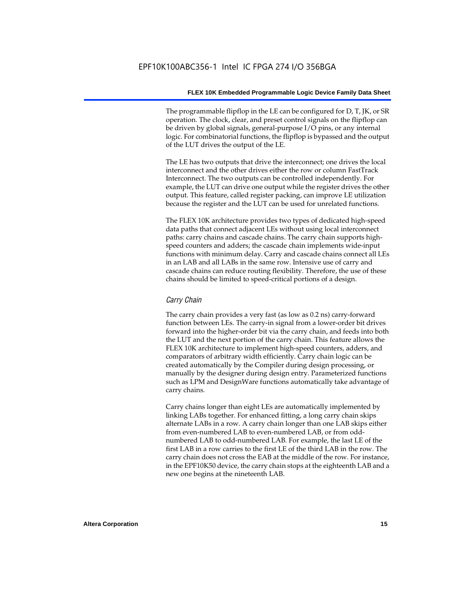The programmable flipflop in the LE can be configured for D, T, JK, or SR operation. The clock, clear, and preset control signals on the flipflop can be driven by global signals, general-purpose I/O pins, or any internal logic. For combinatorial functions, the flipflop is bypassed and the output of the LUT drives the output of the LE.

The LE has two outputs that drive the interconnect; one drives the local interconnect and the other drives either the row or column FastTrack Interconnect. The two outputs can be controlled independently. For example, the LUT can drive one output while the register drives the other output. This feature, called register packing, can improve LE utilization because the register and the LUT can be used for unrelated functions.

The FLEX 10K architecture provides two types of dedicated high-speed data paths that connect adjacent LEs without using local interconnect paths: carry chains and cascade chains. The carry chain supports highspeed counters and adders; the cascade chain implements wide-input functions with minimum delay. Carry and cascade chains connect all LEs in an LAB and all LABs in the same row. Intensive use of carry and cascade chains can reduce routing flexibility. Therefore, the use of these chains should be limited to speed-critical portions of a design.

#### *Carry Chain*

The carry chain provides a very fast (as low as 0.2 ns) carry-forward function between LEs. The carry-in signal from a lower-order bit drives forward into the higher-order bit via the carry chain, and feeds into both the LUT and the next portion of the carry chain. This feature allows the FLEX 10K architecture to implement high-speed counters, adders, and comparators of arbitrary width efficiently. Carry chain logic can be created automatically by the Compiler during design processing, or manually by the designer during design entry. Parameterized functions such as LPM and DesignWare functions automatically take advantage of carry chains.

Carry chains longer than eight LEs are automatically implemented by linking LABs together. For enhanced fitting, a long carry chain skips alternate LABs in a row. A carry chain longer than one LAB skips either from even-numbered LAB to even-numbered LAB, or from oddnumbered LAB to odd-numbered LAB. For example, the last LE of the first LAB in a row carries to the first LE of the third LAB in the row. The carry chain does not cross the EAB at the middle of the row. For instance, in the EPF10K50 device, the carry chain stops at the eighteenth LAB and a new one begins at the nineteenth LAB.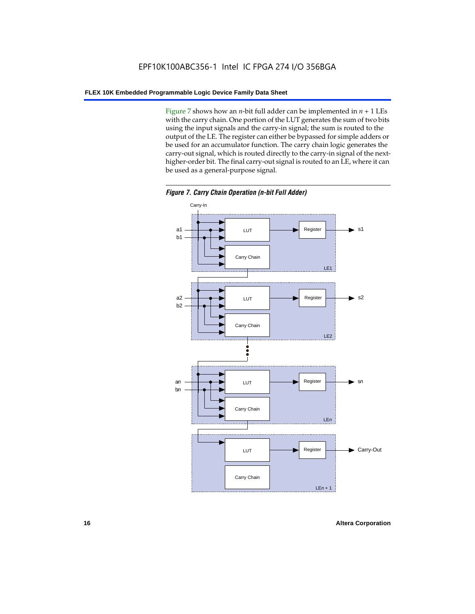Figure 7 shows how an *n*-bit full adder can be implemented in  $n + 1$  LEs with the carry chain. One portion of the LUT generates the sum of two bits using the input signals and the carry-in signal; the sum is routed to the output of the LE. The register can either be bypassed for simple adders or be used for an accumulator function. The carry chain logic generates the carry-out signal, which is routed directly to the carry-in signal of the nexthigher-order bit. The final carry-out signal is routed to an LE, where it can be used as a general-purpose signal.



*Figure 7. Carry Chain Operation (n-bit Full Adder)*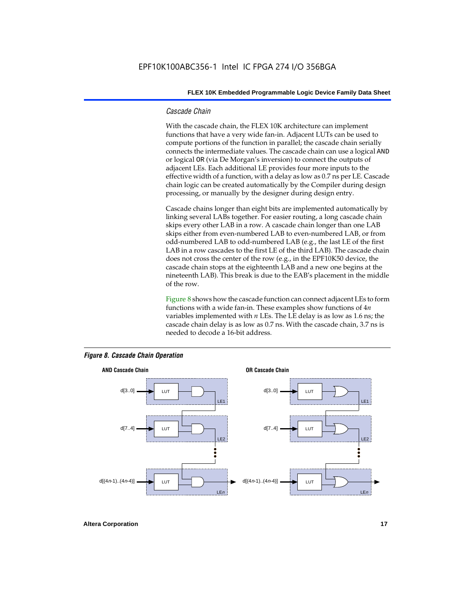#### *Cascade Chain*

With the cascade chain, the FLEX 10K architecture can implement functions that have a very wide fan-in. Adjacent LUTs can be used to compute portions of the function in parallel; the cascade chain serially connects the intermediate values. The cascade chain can use a logical AND or logical OR (via De Morgan's inversion) to connect the outputs of adjacent LEs. Each additional LE provides four more inputs to the effective width of a function, with a delay as low as 0.7 ns per LE. Cascade chain logic can be created automatically by the Compiler during design processing, or manually by the designer during design entry.

Cascade chains longer than eight bits are implemented automatically by linking several LABs together. For easier routing, a long cascade chain skips every other LAB in a row. A cascade chain longer than one LAB skips either from even-numbered LAB to even-numbered LAB, or from odd-numbered LAB to odd-numbered LAB (e.g., the last LE of the first LAB in a row cascades to the first LE of the third LAB). The cascade chain does not cross the center of the row (e.g., in the EPF10K50 device, the cascade chain stops at the eighteenth LAB and a new one begins at the nineteenth LAB). This break is due to the EAB's placement in the middle of the row.

Figure 8 shows how the cascade function can connect adjacent LEs to form functions with a wide fan-in. These examples show functions of 4*n* variables implemented with *n* LEs. The LE delay is as low as 1.6 ns; the cascade chain delay is as low as 0.7 ns. With the cascade chain, 3.7 ns is needed to decode a 16-bit address.



#### *Figure 8. Cascade Chain Operation*

**Altera Corporation 17 17**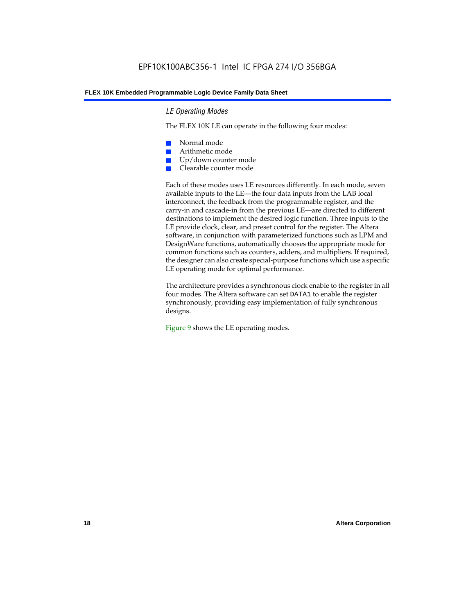#### *LE Operating Modes*

The FLEX 10K LE can operate in the following four modes:

- Normal mode
- Arithmetic mode
- Up/down counter mode
- Clearable counter mode

Each of these modes uses LE resources differently. In each mode, seven available inputs to the LE—the four data inputs from the LAB local interconnect, the feedback from the programmable register, and the carry-in and cascade-in from the previous LE—are directed to different destinations to implement the desired logic function. Three inputs to the LE provide clock, clear, and preset control for the register. The Altera software, in conjunction with parameterized functions such as LPM and DesignWare functions, automatically chooses the appropriate mode for common functions such as counters, adders, and multipliers. If required, the designer can also create special-purpose functions which use a specific LE operating mode for optimal performance.

The architecture provides a synchronous clock enable to the register in all four modes. The Altera software can set DATA1 to enable the register synchronously, providing easy implementation of fully synchronous designs.

Figure 9 shows the LE operating modes.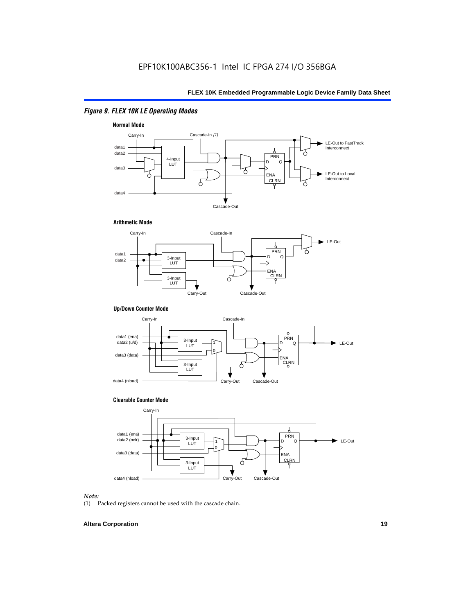## *Figure 9. FLEX 10K LE Operating Modes*







#### **Up/Down Counter Mode**



#### **Clearable Counter Mode**



#### *Note:*

(1) Packed registers cannot be used with the cascade chain.

#### **Altera Corporation 19**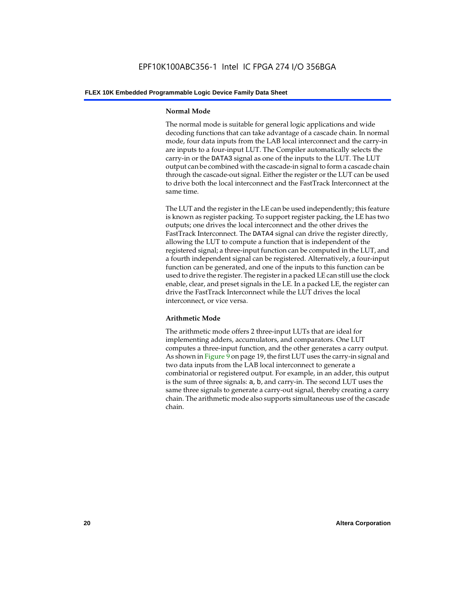#### **Normal Mode**

The normal mode is suitable for general logic applications and wide decoding functions that can take advantage of a cascade chain. In normal mode, four data inputs from the LAB local interconnect and the carry-in are inputs to a four-input LUT. The Compiler automatically selects the carry-in or the DATA3 signal as one of the inputs to the LUT. The LUT output can be combined with the cascade-in signal to form a cascade chain through the cascade-out signal. Either the register or the LUT can be used to drive both the local interconnect and the FastTrack Interconnect at the same time.

The LUT and the register in the LE can be used independently; this feature is known as register packing. To support register packing, the LE has two outputs; one drives the local interconnect and the other drives the FastTrack Interconnect. The DATA4 signal can drive the register directly, allowing the LUT to compute a function that is independent of the registered signal; a three-input function can be computed in the LUT, and a fourth independent signal can be registered. Alternatively, a four-input function can be generated, and one of the inputs to this function can be used to drive the register. The register in a packed LE can still use the clock enable, clear, and preset signals in the LE. In a packed LE, the register can drive the FastTrack Interconnect while the LUT drives the local interconnect, or vice versa.

#### **Arithmetic Mode**

The arithmetic mode offers 2 three-input LUTs that are ideal for implementing adders, accumulators, and comparators. One LUT computes a three-input function, and the other generates a carry output. As shown in Figure 9 on page 19, the first LUT uses the carry-in signal and two data inputs from the LAB local interconnect to generate a combinatorial or registered output. For example, in an adder, this output is the sum of three signals: a, b, and carry-in. The second LUT uses the same three signals to generate a carry-out signal, thereby creating a carry chain. The arithmetic mode also supports simultaneous use of the cascade chain.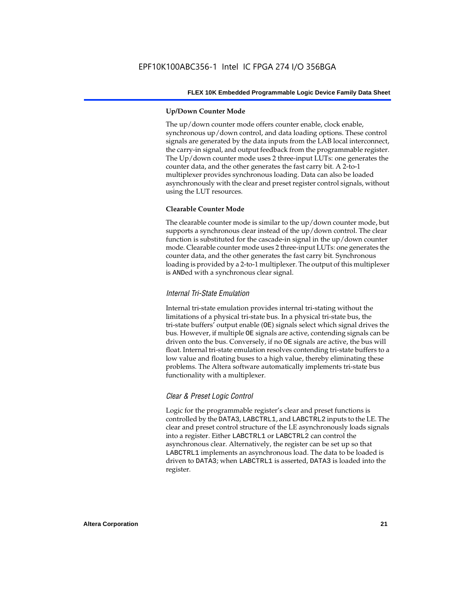#### **Up/Down Counter Mode**

The up/down counter mode offers counter enable, clock enable, synchronous up/down control, and data loading options. These control signals are generated by the data inputs from the LAB local interconnect, the carry-in signal, and output feedback from the programmable register. The Up/down counter mode uses 2 three-input LUTs: one generates the counter data, and the other generates the fast carry bit. A 2-to-1 multiplexer provides synchronous loading. Data can also be loaded asynchronously with the clear and preset register control signals, without using the LUT resources.

#### **Clearable Counter Mode**

The clearable counter mode is similar to the up/down counter mode, but supports a synchronous clear instead of the up/down control. The clear function is substituted for the cascade-in signal in the up/down counter mode. Clearable counter mode uses 2 three-input LUTs: one generates the counter data, and the other generates the fast carry bit. Synchronous loading is provided by a 2-to-1 multiplexer. The output of this multiplexer is ANDed with a synchronous clear signal.

#### *Internal Tri-State Emulation*

Internal tri-state emulation provides internal tri-stating without the limitations of a physical tri-state bus. In a physical tri-state bus, the tri-state buffers' output enable (OE) signals select which signal drives the bus. However, if multiple OE signals are active, contending signals can be driven onto the bus. Conversely, if no OE signals are active, the bus will float. Internal tri-state emulation resolves contending tri-state buffers to a low value and floating buses to a high value, thereby eliminating these problems. The Altera software automatically implements tri-state bus functionality with a multiplexer.

#### *Clear & Preset Logic Control*

Logic for the programmable register's clear and preset functions is controlled by the DATA3, LABCTRL1, and LABCTRL2 inputs to the LE. The clear and preset control structure of the LE asynchronously loads signals into a register. Either LABCTRL1 or LABCTRL2 can control the asynchronous clear. Alternatively, the register can be set up so that LABCTRL1 implements an asynchronous load. The data to be loaded is driven to DATA3; when LABCTRL1 is asserted, DATA3 is loaded into the register.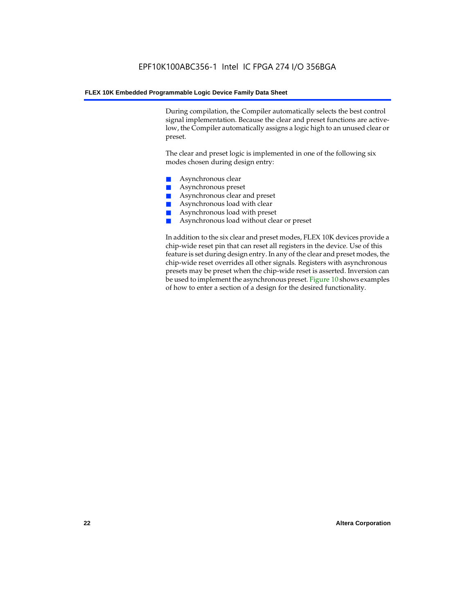During compilation, the Compiler automatically selects the best control signal implementation. Because the clear and preset functions are activelow, the Compiler automatically assigns a logic high to an unused clear or preset.

The clear and preset logic is implemented in one of the following six modes chosen during design entry:

- Asynchronous clear
- Asynchronous preset
- Asynchronous clear and preset
- Asynchronous load with clear
- Asynchronous load with preset
- Asynchronous load without clear or preset

In addition to the six clear and preset modes, FLEX 10K devices provide a chip-wide reset pin that can reset all registers in the device. Use of this feature is set during design entry. In any of the clear and preset modes, the chip-wide reset overrides all other signals. Registers with asynchronous presets may be preset when the chip-wide reset is asserted. Inversion can be used to implement the asynchronous preset. Figure 10 shows examples of how to enter a section of a design for the desired functionality.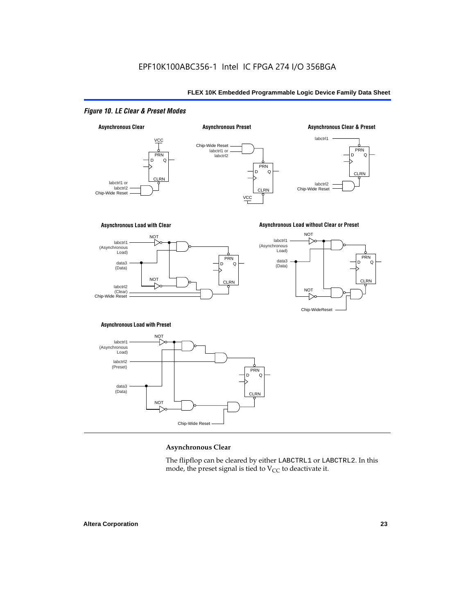## *Figure 10. LE Clear & Preset Modes*



#### **Asynchronous Clear**

The flipflop can be cleared by either LABCTRL1 or LABCTRL2. In this mode, the preset signal is tied to  $V_{CC}$  to deactivate it.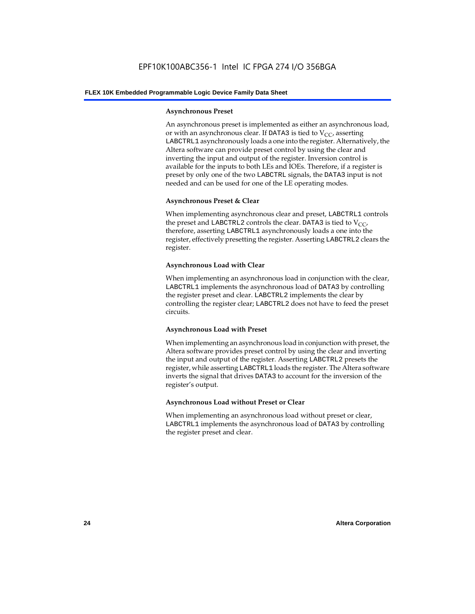#### **Asynchronous Preset**

An asynchronous preset is implemented as either an asynchronous load, or with an asynchronous clear. If DATA3 is tied to  $V_{CC}$ , asserting LABCTRL1 asynchronously loads a one into the register. Alternatively, the Altera software can provide preset control by using the clear and inverting the input and output of the register. Inversion control is available for the inputs to both LEs and IOEs. Therefore, if a register is preset by only one of the two LABCTRL signals, the DATA3 input is not needed and can be used for one of the LE operating modes.

#### **Asynchronous Preset & Clear**

When implementing asynchronous clear and preset, LABCTRL1 controls the preset and LABCTRL2 controls the clear. DATA3 is tied to  $V_{CC}$ , therefore, asserting LABCTRL1 asynchronously loads a one into the register, effectively presetting the register. Asserting LABCTRL2 clears the register.

#### **Asynchronous Load with Clear**

When implementing an asynchronous load in conjunction with the clear, LABCTRL1 implements the asynchronous load of DATA3 by controlling the register preset and clear. LABCTRL2 implements the clear by controlling the register clear; LABCTRL2 does not have to feed the preset circuits.

#### **Asynchronous Load with Preset**

When implementing an asynchronous load in conjunction with preset, the Altera software provides preset control by using the clear and inverting the input and output of the register. Asserting LABCTRL2 presets the register, while asserting LABCTRL1 loads the register. The Altera software inverts the signal that drives DATA3 to account for the inversion of the register's output.

#### **Asynchronous Load without Preset or Clear**

When implementing an asynchronous load without preset or clear, LABCTRL1 implements the asynchronous load of DATA3 by controlling the register preset and clear.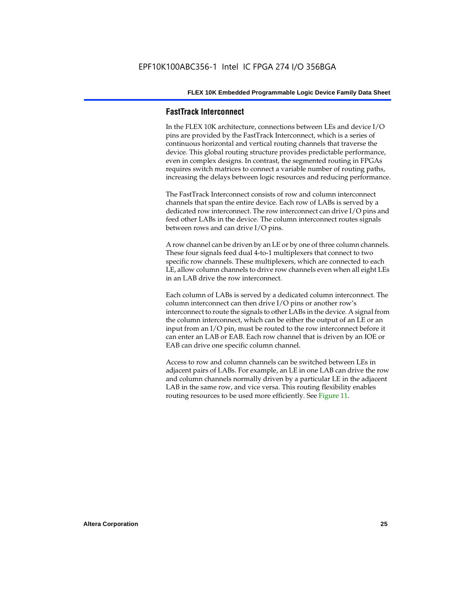#### **FastTrack Interconnect**

In the FLEX 10K architecture, connections between LEs and device I/O pins are provided by the FastTrack Interconnect, which is a series of continuous horizontal and vertical routing channels that traverse the device. This global routing structure provides predictable performance, even in complex designs. In contrast, the segmented routing in FPGAs requires switch matrices to connect a variable number of routing paths, increasing the delays between logic resources and reducing performance.

The FastTrack Interconnect consists of row and column interconnect channels that span the entire device. Each row of LABs is served by a dedicated row interconnect. The row interconnect can drive I/O pins and feed other LABs in the device. The column interconnect routes signals between rows and can drive I/O pins.

A row channel can be driven by an LE or by one of three column channels. These four signals feed dual 4-to-1 multiplexers that connect to two specific row channels. These multiplexers, which are connected to each LE, allow column channels to drive row channels even when all eight LEs in an LAB drive the row interconnect.

Each column of LABs is served by a dedicated column interconnect. The column interconnect can then drive I/O pins or another row's interconnect to route the signals to other LABs in the device. A signal from the column interconnect, which can be either the output of an LE or an input from an I/O pin, must be routed to the row interconnect before it can enter an LAB or EAB. Each row channel that is driven by an IOE or EAB can drive one specific column channel.

Access to row and column channels can be switched between LEs in adjacent pairs of LABs. For example, an LE in one LAB can drive the row and column channels normally driven by a particular LE in the adjacent LAB in the same row, and vice versa. This routing flexibility enables routing resources to be used more efficiently. See Figure 11.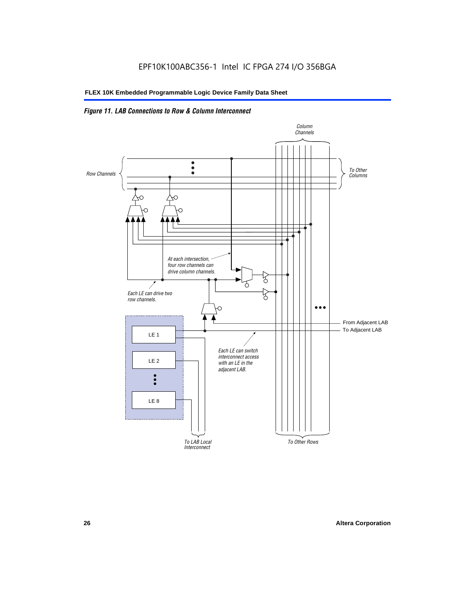## *Figure 11. LAB Connections to Row & Column Interconnect*

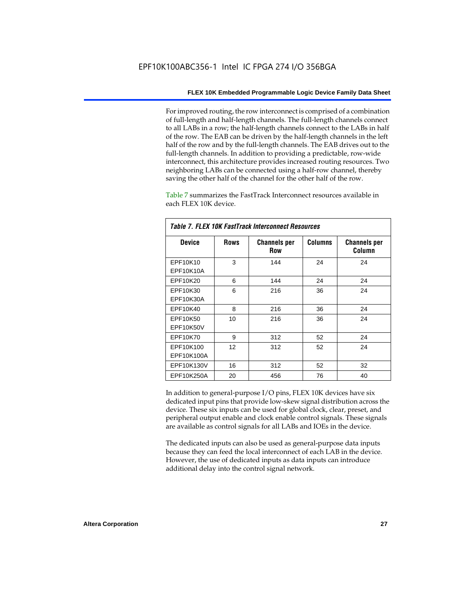For improved routing, the row interconnect is comprised of a combination of full-length and half-length channels. The full-length channels connect to all LABs in a row; the half-length channels connect to the LABs in half of the row. The EAB can be driven by the half-length channels in the left half of the row and by the full-length channels. The EAB drives out to the full-length channels. In addition to providing a predictable, row-wide interconnect, this architecture provides increased routing resources. Two neighboring LABs can be connected using a half-row channel, thereby saving the other half of the channel for the other half of the row.

Table 7 summarizes the FastTrack Interconnect resources available in each FLEX 10K device.

| Table 7. FLEX 10K FastTrack Interconnect Resources |             |                                   |                |                               |  |
|----------------------------------------------------|-------------|-----------------------------------|----------------|-------------------------------|--|
| <b>Device</b>                                      | <b>Rows</b> | <b>Channels per</b><br><b>Row</b> | <b>Columns</b> | <b>Channels per</b><br>Column |  |
| EPF10K10                                           | 3           | 144                               | 24             | 24                            |  |
| EPF10K10A                                          |             |                                   |                |                               |  |
| EPF10K20                                           | 6           | 144                               | 24             | 24                            |  |
| EPF10K30                                           | 6           | 216                               | 36             | 24                            |  |
| EPF10K30A                                          |             |                                   |                |                               |  |
| EPF10K40                                           | 8           | 216                               | 36             | 24                            |  |
| EPF10K50                                           | 10          | 216                               | 36             | 24                            |  |
| <b>EPF10K50V</b>                                   |             |                                   |                |                               |  |
| EPF10K70                                           | 9           | 312                               | 52             | 24                            |  |
| EPF10K100                                          | 12          | 312                               | 52             | 24                            |  |
| EPF10K100A                                         |             |                                   |                |                               |  |
| EPF10K130V                                         | 16          | 312                               | 52             | 32                            |  |
| EPF10K250A                                         | 20          | 456                               | 76             | 40                            |  |

In addition to general-purpose I/O pins, FLEX 10K devices have six dedicated input pins that provide low-skew signal distribution across the device. These six inputs can be used for global clock, clear, preset, and peripheral output enable and clock enable control signals. These signals are available as control signals for all LABs and IOEs in the device.

The dedicated inputs can also be used as general-purpose data inputs because they can feed the local interconnect of each LAB in the device. However, the use of dedicated inputs as data inputs can introduce additional delay into the control signal network.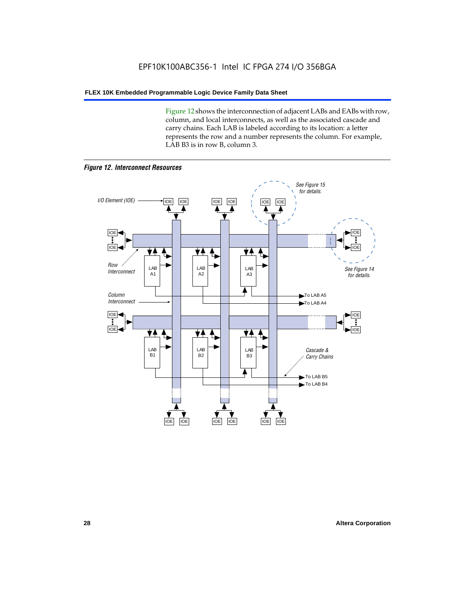Figure 12 shows the interconnection of adjacent LABs and EABs with row, column, and local interconnects, as well as the associated cascade and carry chains. Each LAB is labeled according to its location: a letter represents the row and a number represents the column. For example, LAB B3 is in row B, column 3.



*Figure 12. Interconnect Resources*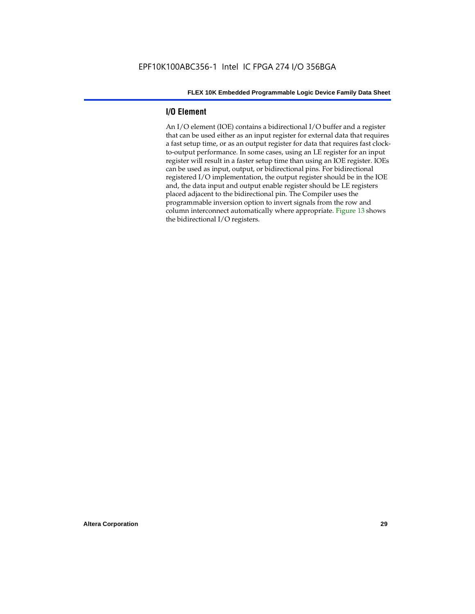## **I/O Element**

An I/O element (IOE) contains a bidirectional I/O buffer and a register that can be used either as an input register for external data that requires a fast setup time, or as an output register for data that requires fast clockto-output performance. In some cases, using an LE register for an input register will result in a faster setup time than using an IOE register. IOEs can be used as input, output, or bidirectional pins. For bidirectional registered I/O implementation, the output register should be in the IOE and, the data input and output enable register should be LE registers placed adjacent to the bidirectional pin. The Compiler uses the programmable inversion option to invert signals from the row and column interconnect automatically where appropriate. Figure 13 shows the bidirectional I/O registers.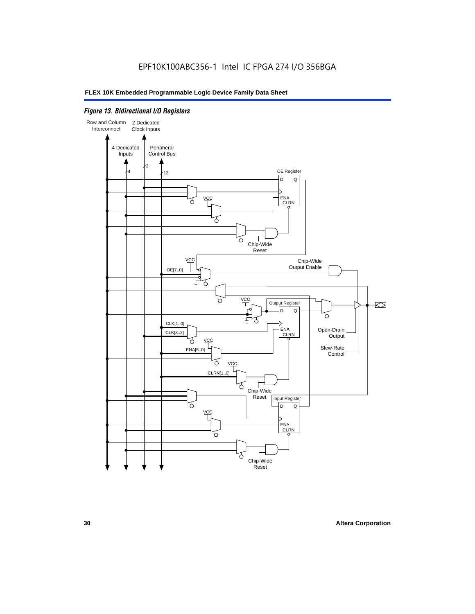## *Figure 13. Bidirectional I/O Registers*

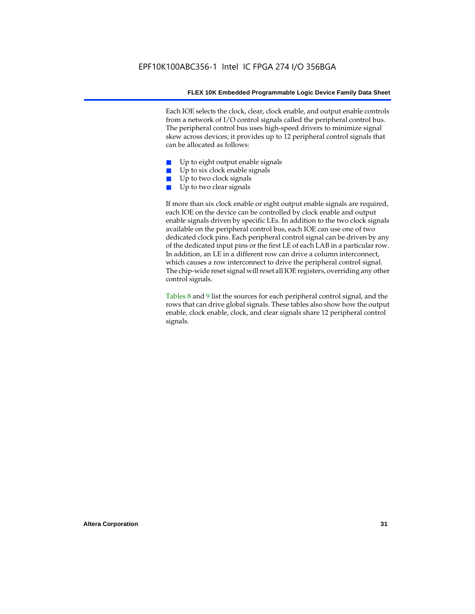Each IOE selects the clock, clear, clock enable, and output enable controls from a network of I/O control signals called the peripheral control bus. The peripheral control bus uses high-speed drivers to minimize signal skew across devices; it provides up to 12 peripheral control signals that can be allocated as follows:

- Up to eight output enable signals
- Up to six clock enable signals
- Up to two clock signals
- Up to two clear signals

If more than six clock enable or eight output enable signals are required, each IOE on the device can be controlled by clock enable and output enable signals driven by specific LEs. In addition to the two clock signals available on the peripheral control bus, each IOE can use one of two dedicated clock pins. Each peripheral control signal can be driven by any of the dedicated input pins or the first LE of each LAB in a particular row. In addition, an LE in a different row can drive a column interconnect, which causes a row interconnect to drive the peripheral control signal. The chip-wide reset signal will reset all IOE registers, overriding any other control signals.

Tables 8 and 9 list the sources for each peripheral control signal, and the rows that can drive global signals. These tables also show how the output enable, clock enable, clock, and clear signals share 12 peripheral control signals.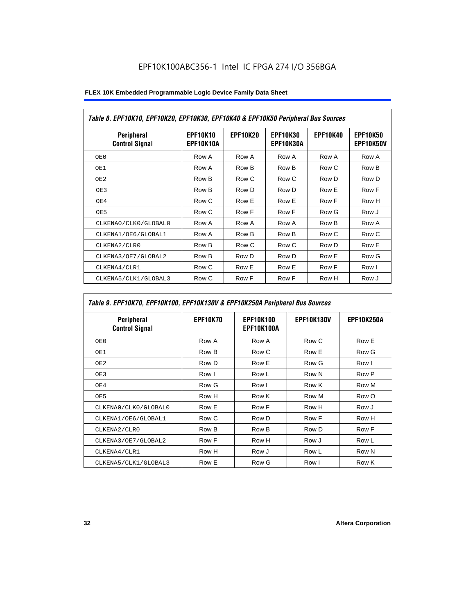| Table 8. EPF10K10, EPF10K20, EPF10K30, EPF10K40 & EPF10K50 Peripheral Bus Sources |                              |                 |                              |                 |                              |  |
|-----------------------------------------------------------------------------------|------------------------------|-----------------|------------------------------|-----------------|------------------------------|--|
| Peripheral<br><b>Control Signal</b>                                               | <b>EPF10K10</b><br>EPF10K10A | <b>EPF10K20</b> | <b>EPF10K30</b><br>EPF10K30A | <b>EPF10K40</b> | <b>EPF10K50</b><br>EPF10K50V |  |
| OE 0                                                                              | Row A                        | Row A           | Row A                        | Row A           | Row A                        |  |
| OE1                                                                               | Row A                        | Row B           | Row B                        | Row C           | Row B                        |  |
| OE <sub>2</sub>                                                                   | Row B                        | Row C           | Row C                        | Row D           | Row D                        |  |
| OE3                                                                               | Row B                        | Row D           | Row D                        | Row E           | Row F                        |  |
| OE4                                                                               | Row C                        | Row E           | Row E                        | Row F           | Row H                        |  |
| OE5                                                                               | Row C                        | Row F           | Row F                        | Row G           | Row J                        |  |
| CLKENA0/CLK0/GLOBAL0                                                              | Row A                        | Row A           | Row A                        | Row B           | Row A                        |  |
| CLKENA1/OE6/GLOBAL1                                                               | Row A                        | Row B           | Row B                        | Row C           | Row C                        |  |
| CLKENA2/CLR0                                                                      | Row B                        | Row C           | Row C                        | Row D           | Row E                        |  |
| CLKENA3/OE7/GLOBAL2                                                               | Row B                        | Row D           | Row D                        | Row E           | Row G                        |  |
| CLKENA4/CLR1                                                                      | Row C                        | Row E           | Row E                        | Row F           | Row I                        |  |
| CLKENA5/CLK1/GLOBAL3                                                              | Row C                        | Row F           | Row F                        | Row H           | Row J                        |  |

## *Table 9. EPF10K70, EPF10K100, EPF10K130V & EPF10K250A Peripheral Bus Sources*

| Peripheral<br><b>Control Signal</b> | <b>EPF10K70</b> | <b>EPF10K100</b><br><b>EPF10K100A</b> | <b>EPF10K130V</b> | <b>EPF10K250A</b> |
|-------------------------------------|-----------------|---------------------------------------|-------------------|-------------------|
| OE0                                 | Row A           | Row A                                 | Row C             | Row E             |
| OE1                                 | Row B           | Row C                                 | Row E             | Row G             |
| OE <sub>2</sub>                     | Row D           | Row E                                 | Row G             | Row I             |
| OE3                                 | Row I           | Row L                                 | Row N             | Row P             |
| OE4                                 | Row G           | Row I                                 | Row K             | Row M             |
| OE5                                 | Row H           | Row K                                 | Row M             | Row O             |
| CLKENA0/CLK0/GLOBAL0                | Row E           | Row F                                 | Row H             | Row J             |
| CLKENA1/OE6/GLOBAL1                 | Row C           | Row D                                 | Row F             | Row H             |
| CLKENA2/CLR0                        | Row B           | Row B                                 | Row D             | Row F             |
| CLKENA3/OE7/GLOBAL2                 | Row F           | Row H                                 | Row J             | Row L             |
| CLKENA4/CLR1                        | Row H           | Row J                                 | Row L             | Row N             |
| CLKENA5/CLK1/GLOBAL3                | Row E           | Row G                                 | Row I             | Row K             |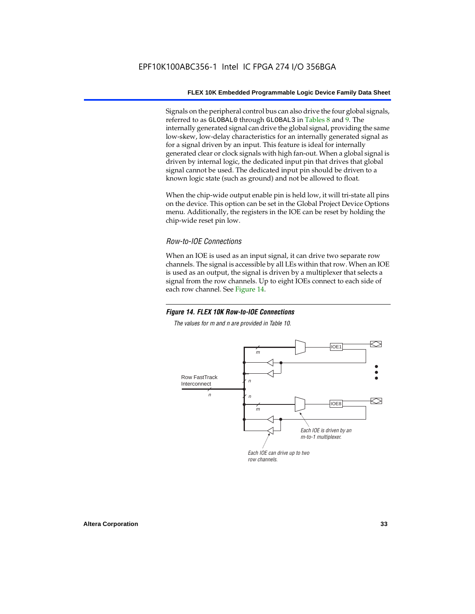Signals on the peripheral control bus can also drive the four global signals, referred to as GLOBAL0 through GLOBAL3 in Tables 8 and 9. The internally generated signal can drive the global signal, providing the same low-skew, low-delay characteristics for an internally generated signal as for a signal driven by an input. This feature is ideal for internally generated clear or clock signals with high fan-out. When a global signal is driven by internal logic, the dedicated input pin that drives that global signal cannot be used. The dedicated input pin should be driven to a known logic state (such as ground) and not be allowed to float.

When the chip-wide output enable pin is held low, it will tri-state all pins on the device. This option can be set in the Global Project Device Options menu. Additionally, the registers in the IOE can be reset by holding the chip-wide reset pin low.

## *Row-to-IOE Connections*

When an IOE is used as an input signal, it can drive two separate row channels. The signal is accessible by all LEs within that row. When an IOE is used as an output, the signal is driven by a multiplexer that selects a signal from the row channels. Up to eight IOEs connect to each side of each row channel. See Figure 14.

#### *Figure 14. FLEX 10K Row-to-IOE Connections*

*The values for m and n are provided in Table 10.*

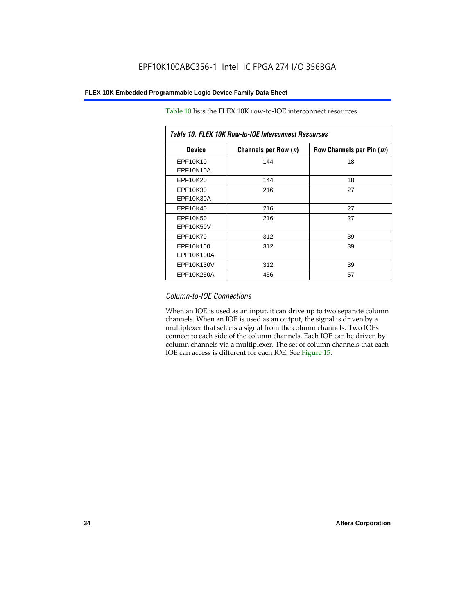| Table 10. FLEX 10K Row-to-IOE Interconnect Resources |                      |                          |  |  |  |
|------------------------------------------------------|----------------------|--------------------------|--|--|--|
| <b>Device</b>                                        | Channels per Row (n) | Row Channels per Pin (m) |  |  |  |
| EPF10K10<br>EPF10K10A                                | 144                  | 18                       |  |  |  |
| EPF10K20                                             | 144                  | 18                       |  |  |  |
| EPF10K30<br>EPF10K30A                                | 216                  | 27                       |  |  |  |
| EPF10K40                                             | 216                  | 27                       |  |  |  |
| EPF10K50<br>EPF10K50V                                | 216                  | 27                       |  |  |  |
| EPF10K70                                             | 312                  | 39                       |  |  |  |
| EPF10K100<br>EPF10K100A                              | 312                  | 39                       |  |  |  |
| EPF10K130V                                           | 312                  | 39                       |  |  |  |
| EPF10K250A                                           | 456                  | 57                       |  |  |  |

Table 10 lists the FLEX 10K row-to-IOE interconnect resources.

### *Column-to-IOE Connections*

When an IOE is used as an input, it can drive up to two separate column channels. When an IOE is used as an output, the signal is driven by a multiplexer that selects a signal from the column channels. Two IOEs connect to each side of the column channels. Each IOE can be driven by column channels via a multiplexer. The set of column channels that each IOE can access is different for each IOE. See Figure 15.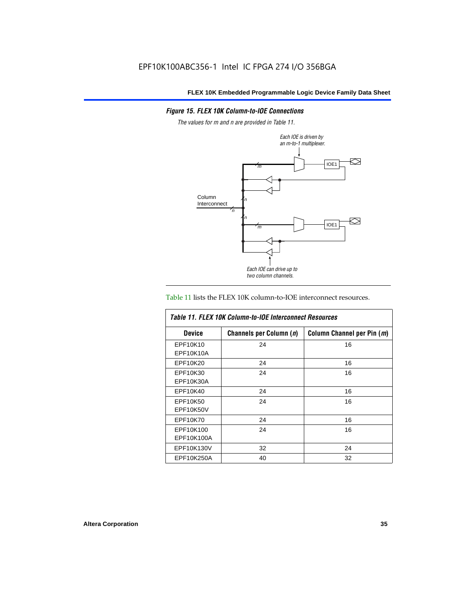## *Figure 15. FLEX 10K Column-to-IOE Connections*

*The values for m and n are provided in Table 11.*



#### Table 11 lists the FLEX 10K column-to-IOE interconnect resources.

| Table 11, FLEX 10K Column-to-IOE Interconnect Resources |                         |                            |  |  |  |
|---------------------------------------------------------|-------------------------|----------------------------|--|--|--|
| <b>Device</b>                                           | Channels per Column (n) | Column Channel per Pin (m) |  |  |  |
| EPF10K10                                                | 24                      | 16                         |  |  |  |
| EPF10K10A                                               |                         |                            |  |  |  |
| EPF10K20                                                | 24                      | 16                         |  |  |  |
| EPF10K30                                                | 24                      | 16                         |  |  |  |
| EPF10K30A                                               |                         |                            |  |  |  |
| EPF10K40                                                | 24                      | 16                         |  |  |  |
| EPF10K50                                                | 24                      | 16                         |  |  |  |
| EPF10K50V                                               |                         |                            |  |  |  |
| EPF10K70                                                | 24                      | 16                         |  |  |  |
| EPF10K100                                               | 24                      | 16                         |  |  |  |
| EPF10K100A                                              |                         |                            |  |  |  |
| EPF10K130V                                              | 32                      | 24                         |  |  |  |
| EPF10K250A                                              | 40                      | 32                         |  |  |  |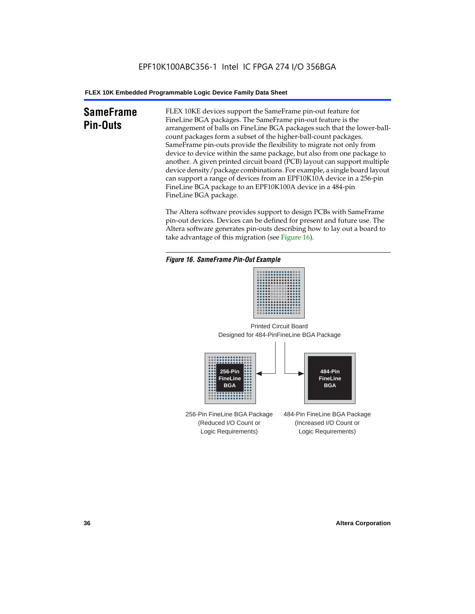# **SameFrame Pin-Outs**

FLEX 10KE devices support the SameFrame pin-out feature for FineLine BGA packages. The SameFrame pin-out feature is the arrangement of balls on FineLine BGA packages such that the lower-ballcount packages form a subset of the higher-ball-count packages. SameFrame pin-outs provide the flexibility to migrate not only from device to device within the same package, but also from one package to another. A given printed circuit board (PCB) layout can support multiple device density/package combinations. For example, a single board layout can support a range of devices from an EPF10K10A device in a 256-pin FineLine BGA package to an EPF10K100A device in a 484-pin FineLine BGA package.

The Altera software provides support to design PCBs with SameFrame pin-out devices. Devices can be defined for present and future use. The Altera software generates pin-outs describing how to lay out a board to take advantage of this migration (see Figure 16).







256-Pin FineLine BGA Package (Reduced I/O Count or Logic Requirements) 484-Pin FineLine BGA Package (Increased I/O Count or Logic Requirements)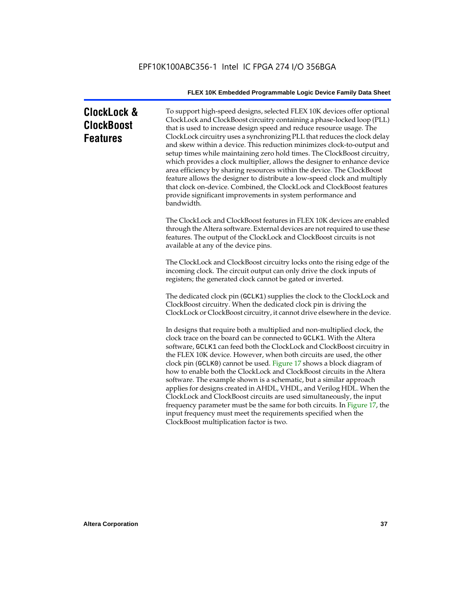# **ClockLock & ClockBoost Features**

To support high-speed designs, selected FLEX 10K devices offer optional ClockLock and ClockBoost circuitry containing a phase-locked loop (PLL) that is used to increase design speed and reduce resource usage. The ClockLock circuitry uses a synchronizing PLL that reduces the clock delay and skew within a device. This reduction minimizes clock-to-output and setup times while maintaining zero hold times. The ClockBoost circuitry, which provides a clock multiplier, allows the designer to enhance device area efficiency by sharing resources within the device. The ClockBoost feature allows the designer to distribute a low-speed clock and multiply that clock on-device. Combined, the ClockLock and ClockBoost features provide significant improvements in system performance and bandwidth.

The ClockLock and ClockBoost features in FLEX 10K devices are enabled through the Altera software. External devices are not required to use these features. The output of the ClockLock and ClockBoost circuits is not available at any of the device pins.

The ClockLock and ClockBoost circuitry locks onto the rising edge of the incoming clock. The circuit output can only drive the clock inputs of registers; the generated clock cannot be gated or inverted.

The dedicated clock pin (GCLK1) supplies the clock to the ClockLock and ClockBoost circuitry. When the dedicated clock pin is driving the ClockLock or ClockBoost circuitry, it cannot drive elsewhere in the device.

In designs that require both a multiplied and non-multiplied clock, the clock trace on the board can be connected to GCLK1. With the Altera software, GCLK1 can feed both the ClockLock and ClockBoost circuitry in the FLEX 10K device. However, when both circuits are used, the other clock pin (GCLK0) cannot be used. Figure 17 shows a block diagram of how to enable both the ClockLock and ClockBoost circuits in the Altera software. The example shown is a schematic, but a similar approach applies for designs created in AHDL, VHDL, and Verilog HDL. When the ClockLock and ClockBoost circuits are used simultaneously, the input frequency parameter must be the same for both circuits. In Figure 17, the input frequency must meet the requirements specified when the ClockBoost multiplication factor is two.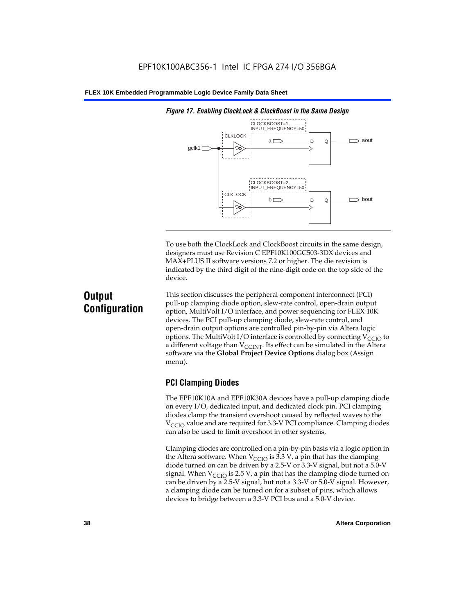

*Figure 17. Enabling ClockLock & ClockBoost in the Same Design*

To use both the ClockLock and ClockBoost circuits in the same design, designers must use Revision C EPF10K100GC503-3DX devices and MAX+PLUS II software versions 7.2 or higher. The die revision is indicated by the third digit of the nine-digit code on the top side of the device.

# **Output Configuration**

This section discusses the peripheral component interconnect (PCI) pull-up clamping diode option, slew-rate control, open-drain output option, MultiVolt I/O interface, and power sequencing for FLEX 10K devices. The PCI pull-up clamping diode, slew-rate control, and open-drain output options are controlled pin-by-pin via Altera logic options. The MultiVolt I/O interface is controlled by connecting  $V_{\text{CCIO}}$  to a different voltage than  $V_{\text{CCINT}}$ . Its effect can be simulated in the Altera software via the **Global Project Device Options** dialog box (Assign menu).

# **PCI Clamping Diodes**

The EPF10K10A and EPF10K30A devices have a pull-up clamping diode on every I/O, dedicated input, and dedicated clock pin. PCI clamping diodes clamp the transient overshoot caused by reflected waves to the  $V_{\text{CCIO}}$  value and are required for 3.3-V PCI compliance. Clamping diodes can also be used to limit overshoot in other systems.

Clamping diodes are controlled on a pin-by-pin basis via a logic option in the Altera software. When  $V_{\text{CCIO}}$  is 3.3 V, a pin that has the clamping diode turned on can be driven by a 2.5-V or 3.3-V signal, but not a 5.0-V signal. When  $V_{\text{CCIO}}$  is 2.5 V, a pin that has the clamping diode turned on can be driven by a 2.5-V signal, but not a 3.3-V or 5.0-V signal. However, a clamping diode can be turned on for a subset of pins, which allows devices to bridge between a 3.3-V PCI bus and a 5.0-V device.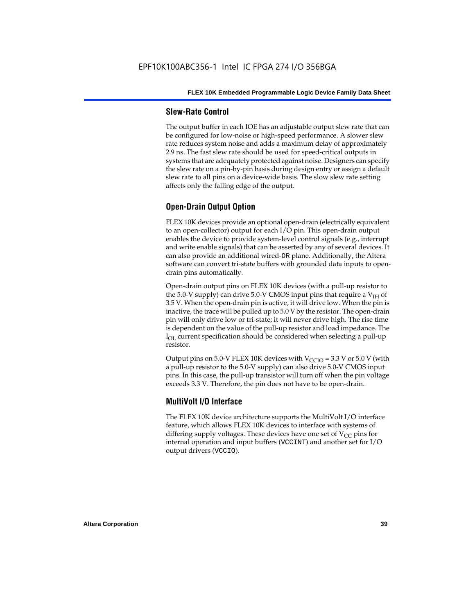#### **Slew-Rate Control**

The output buffer in each IOE has an adjustable output slew rate that can be configured for low-noise or high-speed performance. A slower slew rate reduces system noise and adds a maximum delay of approximately 2.9 ns. The fast slew rate should be used for speed-critical outputs in systems that are adequately protected against noise. Designers can specify the slew rate on a pin-by-pin basis during design entry or assign a default slew rate to all pins on a device-wide basis. The slow slew rate setting affects only the falling edge of the output.

# **Open-Drain Output Option**

FLEX 10K devices provide an optional open-drain (electrically equivalent to an open-collector) output for each I/O pin. This open-drain output enables the device to provide system-level control signals (e.g., interrupt and write enable signals) that can be asserted by any of several devices. It can also provide an additional wired-OR plane. Additionally, the Altera software can convert tri-state buffers with grounded data inputs to opendrain pins automatically.

Open-drain output pins on FLEX 10K devices (with a pull-up resistor to the 5.0-V supply) can drive 5.0-V CMOS input pins that require a  $V<sub>IH</sub>$  of 3.5 V. When the open-drain pin is active, it will drive low. When the pin is inactive, the trace will be pulled up to 5.0 V by the resistor. The open-drain pin will only drive low or tri-state; it will never drive high. The rise time is dependent on the value of the pull-up resistor and load impedance. The  $I_{\text{OL}}$  current specification should be considered when selecting a pull-up resistor.

Output pins on 5.0-V FLEX 10K devices with  $V_{\text{CCIO}} = 3.3$  V or 5.0 V (with a pull-up resistor to the 5.0-V supply) can also drive 5.0-V CMOS input pins. In this case, the pull-up transistor will turn off when the pin voltage exceeds 3.3 V. Therefore, the pin does not have to be open-drain.

#### **MultiVolt I/O Interface**

The FLEX 10K device architecture supports the MultiVolt I/O interface feature, which allows FLEX 10K devices to interface with systems of differing supply voltages. These devices have one set of  $V_{CC}$  pins for internal operation and input buffers (VCCINT) and another set for I/O output drivers (VCCIO).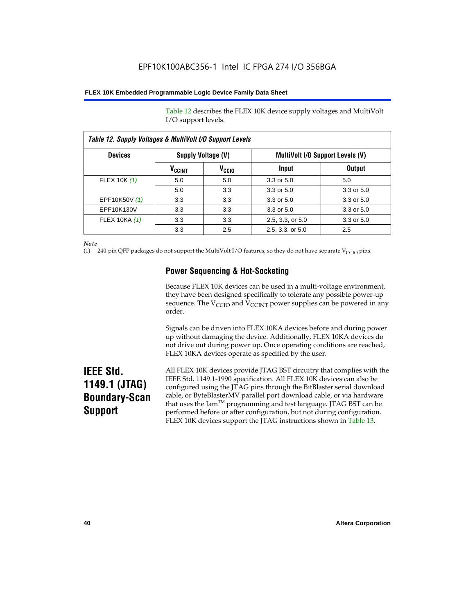Table 12 describes the FLEX 10K device supply voltages and MultiVolt I/O support levels.

| Table 12. Supply Voltages & MultiVolt I/O Support Levels |                          |                   |                                         |               |
|----------------------------------------------------------|--------------------------|-------------------|-----------------------------------------|---------------|
| <b>Devices</b>                                           | Supply Voltage (V)       |                   | <b>MultiVolt I/O Support Levels (V)</b> |               |
|                                                          | <b>V<sub>CCINT</sub></b> | V <sub>CCIO</sub> | Input                                   | <b>Output</b> |
| FLEX 10K (1)                                             | 5.0                      | 5.0               | $3.3$ or $5.0$                          | 5.0           |
|                                                          | 5.0                      | 3.3               | 3.3 or 5.0                              | 3.3 or 5.0    |
| EPF10K50V (1)                                            | 3.3                      | 3.3               | 3.3 or 5.0                              | 3.3 or 5.0    |
| EPF10K130V                                               | 3.3                      | 3.3               | 3.3 or 5.0                              | 3.3 or 5.0    |
| <b>FLEX 10KA (1)</b>                                     | 3.3                      | 3.3               | 2.5, 3.3, or 5.0                        | 3.3 or 5.0    |
|                                                          | 3.3                      | 2.5               | 2.5, 3.3, or 5.0                        | 2.5           |

*Note*

(1) 240-pin QFP packages do not support the MultiVolt I/O features, so they do not have separate V<sub>CCIO</sub> pins.

# **Power Sequencing & Hot-Socketing**

Because FLEX 10K devices can be used in a multi-voltage environment, they have been designed specifically to tolerate any possible power-up sequence. The  $V_{\text{CCIO}}$  and  $V_{\text{CCINT}}$  power supplies can be powered in any order.

Signals can be driven into FLEX 10KA devices before and during power up without damaging the device. Additionally, FLEX 10KA devices do not drive out during power up. Once operating conditions are reached, FLEX 10KA devices operate as specified by the user.

# **IEEE Std. 1149.1 (JTAG) Boundary-Scan Support**

All FLEX 10K devices provide JTAG BST circuitry that complies with the IEEE Std. 1149.1-1990 specification. All FLEX 10K devices can also be configured using the JTAG pins through the BitBlaster serial download cable, or ByteBlasterMV parallel port download cable, or via hardware that uses the Jam<sup>TM</sup> programming and test language. JTAG BST can be performed before or after configuration, but not during configuration. FLEX 10K devices support the JTAG instructions shown in Table 13.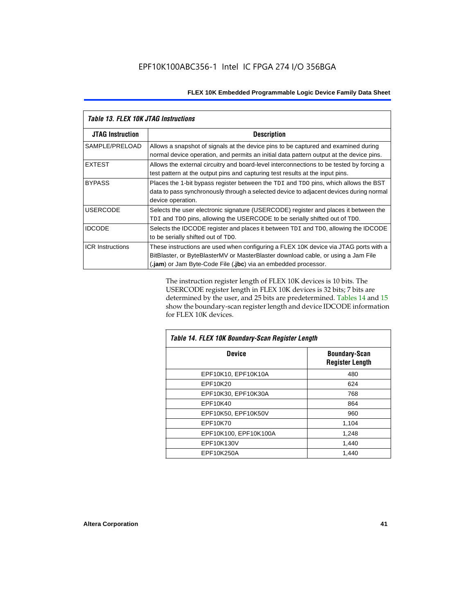| <b>Table 13. FLEX 10K JTAG Instructions</b> |                                                                                                                                                                                                                                             |  |  |
|---------------------------------------------|---------------------------------------------------------------------------------------------------------------------------------------------------------------------------------------------------------------------------------------------|--|--|
| <b>JTAG Instruction</b>                     | <b>Description</b>                                                                                                                                                                                                                          |  |  |
| SAMPLE/PRELOAD                              | Allows a snapshot of signals at the device pins to be captured and examined during<br>normal device operation, and permits an initial data pattern output at the device pins.                                                               |  |  |
| <b>EXTEST</b>                               | Allows the external circuitry and board-level interconnections to be tested by forcing a<br>test pattern at the output pins and capturing test results at the input pins.                                                                   |  |  |
| <b>BYPASS</b>                               | Places the 1-bit bypass register between the TDI and TDO pins, which allows the BST<br>data to pass synchronously through a selected device to adjacent devices during normal<br>device operation.                                          |  |  |
| <b>USERCODE</b>                             | Selects the user electronic signature (USERCODE) register and places it between the<br>TDI and TDO pins, allowing the USERCODE to be serially shifted out of TDO.                                                                           |  |  |
| <b>IDCODE</b>                               | Selects the IDCODE register and places it between TDI and TDO, allowing the IDCODE<br>to be serially shifted out of TDO.                                                                                                                    |  |  |
| <b>ICR Instructions</b>                     | These instructions are used when configuring a FLEX 10K device via JTAG ports with a<br>BitBlaster, or ByteBlasterMV or MasterBlaster download cable, or using a Jam File<br>(.jam) or Jam Byte-Code File (.jbc) via an embedded processor. |  |  |

The instruction register length of FLEX 10K devices is 10 bits. The USERCODE register length in FLEX 10K devices is 32 bits; 7 bits are determined by the user, and 25 bits are predetermined. Tables 14 and 15 show the boundary-scan register length and device IDCODE information for FLEX 10K devices.

| Table 14. FLEX 10K Boundary-Scan Register Length |                                                |  |  |
|--------------------------------------------------|------------------------------------------------|--|--|
| <b>Device</b>                                    | <b>Boundary-Scan</b><br><b>Register Length</b> |  |  |
| EPF10K10, EPF10K10A                              | 480                                            |  |  |
| EPF10K20                                         | 624                                            |  |  |
| EPF10K30, EPF10K30A                              | 768                                            |  |  |
| EPF10K40                                         | 864                                            |  |  |
| EPF10K50, EPF10K50V                              | 960                                            |  |  |
| EPF10K70                                         | 1,104                                          |  |  |
| EPF10K100, EPF10K100A                            | 1,248                                          |  |  |
| EPF10K130V                                       | 1,440                                          |  |  |
| EPF10K250A                                       | 1,440                                          |  |  |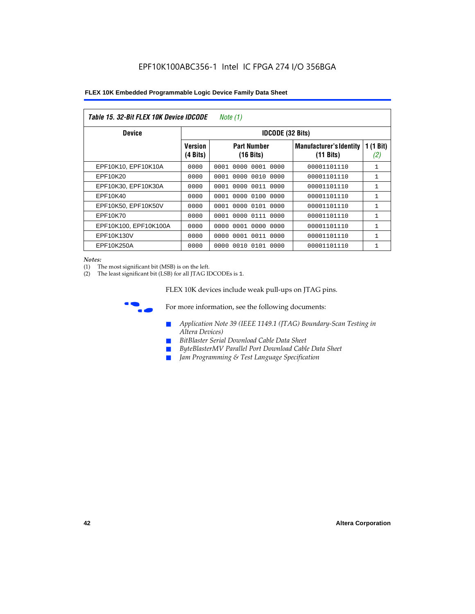| Table 15. 32-Bit FLEX 10K Device IDCODE<br>Note (1) |                            |                                           |                                                       |                    |  |  |  |
|-----------------------------------------------------|----------------------------|-------------------------------------------|-------------------------------------------------------|--------------------|--|--|--|
| <b>Device</b>                                       | <b>IDCODE (32 Bits)</b>    |                                           |                                                       |                    |  |  |  |
|                                                     | <b>Version</b><br>(4 Bits) | <b>Part Number</b><br>$(16 \text{ bits})$ | <b>Manufacturer's Identity</b><br>$(11 \text{ bits})$ | 1 $(1$ Bit)<br>(2) |  |  |  |
| EPF10K10, EPF10K10A                                 | 0000                       | 0001<br>0000<br>0001 0000                 | 00001101110                                           | $\mathbf{1}$       |  |  |  |
| EPF10K20                                            | 0000                       | 0000 0010 0000<br>0001                    | 00001101110                                           | 1                  |  |  |  |
| EPF10K30, EPF10K30A                                 | 0000                       | 0001 0000 0011 0000                       | 00001101110                                           | 1                  |  |  |  |
| EPF10K40                                            | 0000                       | 0000<br>0100<br>0001<br>0000              | 00001101110                                           | $\mathbf{1}$       |  |  |  |
| EPF10K50, EPF10K50V                                 | 0000                       | 0001 0000 0101 0000                       | 00001101110                                           | 1                  |  |  |  |
| EPF10K70                                            | 0000                       | 0000 0111 0000<br>0001                    | 00001101110                                           | $\mathbf{1}$       |  |  |  |
| EPF10K100, EPF10K100A                               | 0000                       | 0001 0000 0000<br>0000                    | 00001101110                                           | 1                  |  |  |  |
| EPF10K130V                                          | 0000                       | 0000<br>0001 0011 0000                    | 00001101110                                           | 1                  |  |  |  |
| EPF10K250A                                          | 0000                       | 0000<br>0010 0101 0000                    | 00001101110                                           | $\mathbf{1}$       |  |  |  |

#### *Notes:*

(1) The most significant bit (MSB) is on the left.

(2) The least significant bit (LSB) for all JTAG IDCODEs is 1.

FLEX 10K devices include weak pull-ups on JTAG pins.



**for more information, see the following documents:** 

- *Application Note 39 (IEEE 1149.1 (JTAG) Boundary-Scan Testing in Altera Devices)*
- *BitBlaster Serial Download Cable Data Sheet*
- *ByteBlasterMV Parallel Port Download Cable Data Sheet*
- *Jam Programming & Test Language Specification*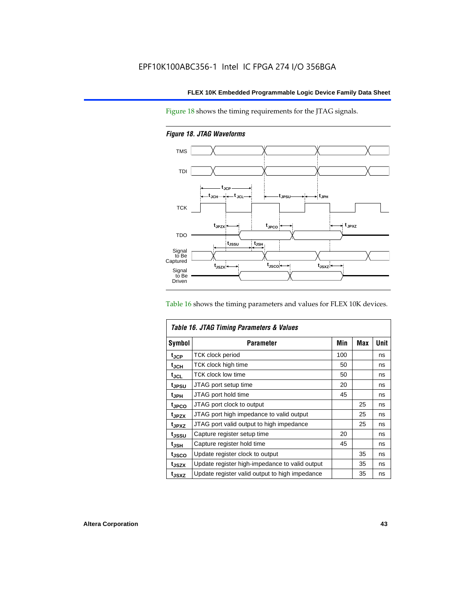Figure 18 shows the timing requirements for the JTAG signals.

*Figure 18. JTAG Waveforms*



Table 16 shows the timing parameters and values for FLEX 10K devices.

| Table 16. JTAG Timing Parameters & Values |                                                |     |            |      |  |  |
|-------------------------------------------|------------------------------------------------|-----|------------|------|--|--|
| <b>Symbol</b>                             | Parameter                                      | Min | <b>Max</b> | Unit |  |  |
| $t_{\rm JCP}$                             | <b>TCK clock period</b>                        | 100 |            | ns   |  |  |
| t <sub>JCH</sub>                          | TCK clock high time                            | 50  |            | ns   |  |  |
| $t_{JCL}$                                 | TCK clock low time                             | 50  |            | ns   |  |  |
| tjpsu                                     | JTAG port setup time                           | 20  |            | ns   |  |  |
| t <sub>JPH</sub>                          | JTAG port hold time                            | 45  |            | ns   |  |  |
| <sup>t</sup> JPCO                         | JTAG port clock to output                      |     | 25         | ns   |  |  |
| t <sub>JPZX</sub>                         | JTAG port high impedance to valid output       |     | 25         | ns   |  |  |
| t <sub>JPXZ</sub>                         | JTAG port valid output to high impedance       |     | 25         | ns   |  |  |
| tjssu                                     | Capture register setup time                    | 20  |            | ns   |  |  |
| $t_{\mathsf{JSH}}$                        | Capture register hold time                     | 45  |            | ns   |  |  |
| t <sub>JSCO</sub>                         | Update register clock to output                |     | 35         | ns   |  |  |
| t <sub>JSZX</sub>                         | Update register high-impedance to valid output |     | 35         | ns   |  |  |
| t <sub>JSXZ</sub>                         | Update register valid output to high impedance |     | 35         | ns   |  |  |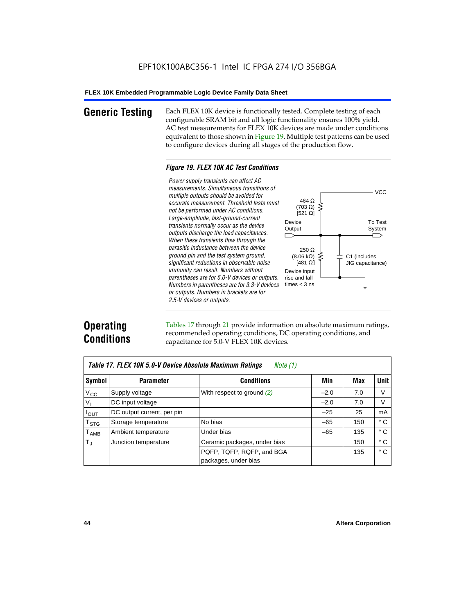**Generic Testing** Each FLEX 10K device is functionally tested. Complete testing of each configurable SRAM bit and all logic functionality ensures 100% yield. AC test measurements for FLEX 10K devices are made under conditions equivalent to those shown in Figure 19. Multiple test patterns can be used to configure devices during all stages of the production flow.

#### *Figure 19. FLEX 10K AC Test Conditions*

*Power supply transients can affect AC measurements. Simultaneous transitions of*  $V<sub>CC</sub>$ *multiple outputs should be avoided for* 464 Ω *accurate measurement. Threshold tests must* (703 Ω) ξ *not be performed under AC conditions.*  $[521 \Omega]$ *Large-amplitude, fast-ground-current* To Test Device *transients normally occur as the device* Output System *outputs discharge the load capacitances. When these transients flow through the parasitic inductance between the device* 250 Ω *ground pin and the test system ground,*  $(8.06 \text{ k}\Omega)$ C1 (includes *significant reductions in observable noise* [481 $\Omega$ ] JIG capacitance) *immunity can result. Numbers without*  Device input *parentheses are for 5.0-V devices or outputs.*  rise and fall *Numbers in parentheses are for 3.3-V devices*  times  $<$  3 ns ŧ *or outputs. Numbers in brackets are for 2.5-V devices or outputs.*

# **Operating Conditions**

Tables 17 through 21 provide information on absolute maximum ratings, recommended operating conditions, DC operating conditions, and capacitance for 5.0-V FLEX 10K devices.

| Table 17. FLEX 10K 5.0-V Device Absolute Maximum Ratings<br>Note (1) |                            |                              |        |     |              |  |
|----------------------------------------------------------------------|----------------------------|------------------------------|--------|-----|--------------|--|
| Symbol                                                               | <b>Parameter</b>           | <b>Conditions</b>            | Min    | Max | <b>Unit</b>  |  |
| $V_{\rm CC}$                                                         | Supply voltage             | With respect to ground $(2)$ | $-2.0$ | 7.0 | V            |  |
| $V_{I}$                                                              | DC input voltage           |                              | $-2.0$ | 7.0 | V            |  |
| $I_{\text{OUT}}$                                                     | DC output current, per pin |                              | $-25$  | 25  | mA           |  |
| $\mathsf{T}_{\texttt{STG}}$                                          | Storage temperature        | No bias                      | $-65$  | 150 | ° C          |  |
| $\mathsf{T}_{\mathsf{AMB}}$                                          | Ambient temperature        | Under bias                   | $-65$  | 135 | $^{\circ}$ C |  |
| $T_{\rm J}$                                                          | Junction temperature       | Ceramic packages, under bias |        | 150 | ° C          |  |
|                                                                      |                            | PQFP, TQFP, RQFP, and BGA    |        | 135 | $^{\circ}$ C |  |
|                                                                      |                            | packages, under bias         |        |     |              |  |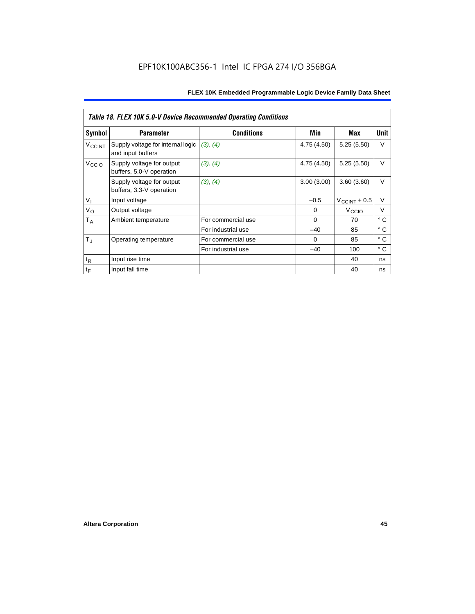|                    | Table 18. FLEX 10K 5.0-V Device Recommended Operating Conditions |                    |             |                       |              |  |  |
|--------------------|------------------------------------------------------------------|--------------------|-------------|-----------------------|--------------|--|--|
| Symbol             | <b>Parameter</b>                                                 | <b>Conditions</b>  | Min         | Max                   | Unit         |  |  |
| V <sub>CCINT</sub> | Supply voltage for internal logic<br>and input buffers           | (3), (4)           | 4.75 (4.50) | 5.25(5.50)            | V            |  |  |
| V <sub>CCIO</sub>  | Supply voltage for output<br>buffers, 5.0-V operation            | (3), (4)           | 4.75 (4.50) | 5.25(5.50)            | $\vee$       |  |  |
|                    | Supply voltage for output<br>buffers, 3.3-V operation            | (3), (4)           | 3.00(3.00)  | 3.60(3.60)            | $\vee$       |  |  |
| V <sub>1</sub>     | Input voltage                                                    |                    | $-0.5$      | $V_{\rm CCINT}$ + 0.5 | V            |  |  |
| $V_{\rm O}$        | Output voltage                                                   |                    | 0           | V <sub>CCIO</sub>     | V            |  |  |
| $T_A$              | Ambient temperature                                              | For commercial use | $\Omega$    | 70                    | $^{\circ}$ C |  |  |
|                    |                                                                  | For industrial use | -40         | 85                    | $^{\circ}$ C |  |  |
| $T_{\rm J}$        | Operating temperature                                            | For commercial use | $\Omega$    | 85                    | ° C          |  |  |
|                    |                                                                  | For industrial use | $-40$       | 100                   | ° C          |  |  |
| $t_{R}$            | Input rise time                                                  |                    |             | 40                    | ns           |  |  |
| $t_F$              | Input fall time                                                  |                    |             | 40                    | ns           |  |  |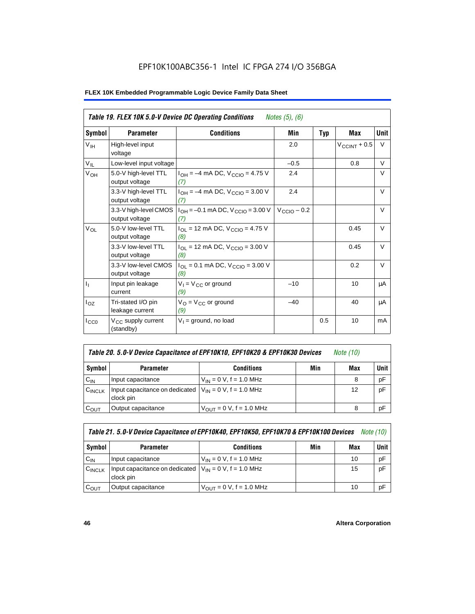# EPF10K100ABC356-1 Intel IC FPGA 274 I/O 356BGA

| Table 19. FLEX 10K 5.0-V Device DC Operating Conditions<br><i>Notes</i> $(5)$ , $(6)$ |                                             |                                                   |                         |            |                   |             |
|---------------------------------------------------------------------------------------|---------------------------------------------|---------------------------------------------------|-------------------------|------------|-------------------|-------------|
| Symbol                                                                                | <b>Parameter</b>                            | <b>Conditions</b>                                 | Min                     | <b>Typ</b> | <b>Max</b>        | <b>Unit</b> |
| $V_{\text{IH}}$                                                                       | High-level input<br>voltage                 |                                                   | 2.0                     |            | $V_{CCINT} + 0.5$ | V           |
| $V_{IL}$                                                                              | Low-level input voltage                     |                                                   | $-0.5$                  |            | 0.8               | V           |
| V <sub>OH</sub>                                                                       | 5.0-V high-level TTL<br>output voltage      | $I_{OH} = -4$ mA DC, $V_{CGIO} = 4.75$ V<br>(7)   | 2.4                     |            |                   | V           |
|                                                                                       | 3.3-V high-level TTL<br>output voltage      | $I_{OH} = -4$ mA DC, $V_{CGIO} = 3.00$ V<br>(7)   | 2.4                     |            |                   | V           |
|                                                                                       | 3.3-V high-level CMOS<br>output voltage     | $I_{OH} = -0.1$ mA DC, $V_{CCIO} = 3.00$ V<br>(7) | $V_{\text{CCIO}} - 0.2$ |            |                   | $\vee$      |
| $V_{OL}$                                                                              | 5.0-V low-level TTL<br>output voltage       | $I_{OL}$ = 12 mA DC, $V_{CCIO}$ = 4.75 V<br>(8)   |                         |            | 0.45              | $\vee$      |
|                                                                                       | 3.3-V low-level TTL<br>output voltage       | $I_{OL}$ = 12 mA DC, $V_{CCIO}$ = 3.00 V<br>(8)   |                         |            | 0.45              | $\vee$      |
|                                                                                       | 3.3-V low-level CMOS<br>output voltage      | $I_{OL}$ = 0.1 mA DC, $V_{CCIO}$ = 3.00 V<br>(8)  |                         |            | 0.2               | $\vee$      |
| $\mathbf{I}_{\mathbf{I}}$                                                             | Input pin leakage<br>current                | $V_1 = V_{CC}$ or ground<br>(9)                   | $-10$                   |            | 10                | μA          |
| $I_{OZ}$                                                                              | Tri-stated I/O pin<br>leakage current       | $V_{O} = V_{CC}$ or ground<br>(9)                 | $-40$                   |            | 40                | μA          |
| $I_{CC0}$                                                                             | V <sub>CC</sub> supply current<br>(standby) | $V_1$ = ground, no load                           |                         | 0.5        | 10                | mA          |

| Table 20. 5.0-V Device Capacitance of EPF10K10, EPF10K20 & EPF10K30 Devices | Note (10) |  |
|-----------------------------------------------------------------------------|-----------|--|
|-----------------------------------------------------------------------------|-----------|--|

| Symbol             | <b>Parameter</b>                                                        | <b>Conditions</b>                   | Min | Max | Unit |
|--------------------|-------------------------------------------------------------------------|-------------------------------------|-----|-----|------|
| $C_{IN}$           | Input capacitance                                                       | $V_{IN} = 0 V$ , f = 1.0 MHz        |     |     | pF   |
| $C_{\text{INCLK}}$ | Input capacitance on dedicated $V_{1N} = 0$ V, f = 1.0 MHz<br>clock pin |                                     |     | 12  | pF   |
| $C_{\text{OUT}}$   | Output capacitance                                                      | $V_{\text{OUT}} = 0$ V, f = 1.0 MHz |     |     | рF   |

| Table 21. 5.0-V Device Capacitance of EPF10K40, EPF10K50, EPF10K70 & EPF10K100 Devices<br><i>Note</i> (10) |                                                                           |                               |     |     |      |  |
|------------------------------------------------------------------------------------------------------------|---------------------------------------------------------------------------|-------------------------------|-----|-----|------|--|
| Symbol                                                                                                     | <b>Parameter</b>                                                          | <b>Conditions</b>             | Min | Max | Unit |  |
| $C_{IN}$                                                                                                   | Input capacitance                                                         | $V_{IN} = 0 V$ , f = 1.0 MHz  |     | 10  | рF   |  |
| CINCLK                                                                                                     | Input capacitance on dedicated $ V_{IN} = 0 V$ , f = 1.0 MHz<br>clock pin |                               |     | 15  | pF   |  |
| $C_{OUT}$                                                                                                  | Output capacitance                                                        | $V_{OIII}$ = 0 V, f = 1.0 MHz |     | 10  | рF   |  |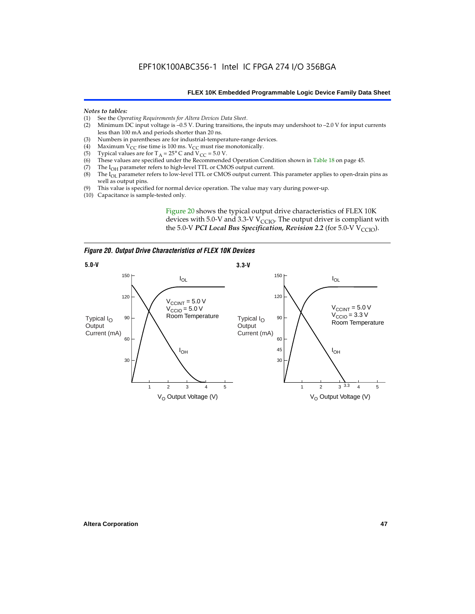#### *Notes to tables:*

- (1) See the *Operating Requirements for Altera Devices Data Sheet*.
- Minimum DC input voltage is  $-0.5$  V. During transitions, the inputs may undershoot to  $-2.0$  V for input currents less than 100 mA and periods shorter than 20 ns.
- (3) Numbers in parentheses are for industrial-temperature-range devices.<br>(4) Maximum  $V_{CC}$  rise time is 100 ms.  $V_{CC}$  must rise monotonically.
- (4) Maximum V<sub>CC</sub> rise time is 100 ms. V<sub>CC</sub> must rise monotonically.<br>(5) Typical values are for T<sub>A</sub> = 25° C and V<sub>CC</sub> = 5.0 V.
- (5) Typical values are for  $T_A = 25^\circ$  C and  $V_{CC} = 5.0$  V.<br>(6) These values are specified under the Recommende
- (6) These values are specified under the Recommended Operation Condition shown in Table 18 on page 45.<br>(7) The  $I_{OH}$  parameter refers to high-level TTL or CMOS output current.
- (7) The  $I_{OH}$  parameter refers to high-level TTL or CMOS output current.<br>(8) The  $I_{OL}$  parameter refers to low-level TTL or CMOS output current. T
- The I<sub>OL</sub> parameter refers to low-level TTL or CMOS output current. This parameter applies to open-drain pins as well as output pins.
- (9) This value is specified for normal device operation. The value may vary during power-up.
- (10) Capacitance is sample-tested only.

Figure 20 shows the typical output drive characteristics of FLEX 10K devices with 5.0-V and 3.3-V  $V_{CCIO}$ . The output driver is compliant with the 5.0-V *PCI Local Bus Specification, Revision 2.2* (for 5.0-V  $V_{\text{CCIO}}$ ).

*Figure 20. Output Drive Characteristics of FLEX 10K Devices*

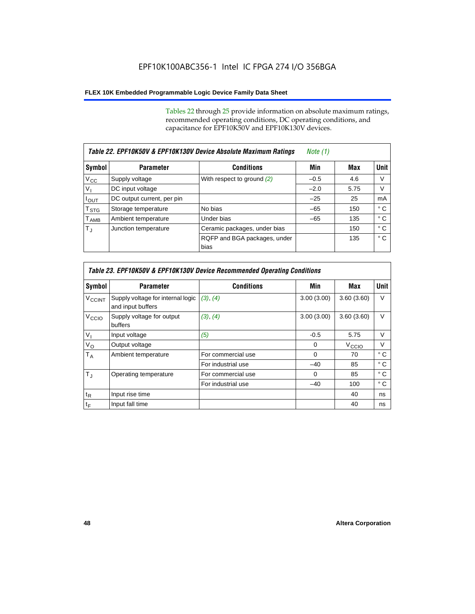Tables 22 through 25 provide information on absolute maximum ratings, recommended operating conditions, DC operating conditions, and capacitance for EPF10K50V and EPF10K130V devices.

|                           | Table 22. EPF10K50V & EPF10K130V Device Absolute Maximum Ratings | Note (1)                             |        |      |             |
|---------------------------|------------------------------------------------------------------|--------------------------------------|--------|------|-------------|
| Symbol                    | <b>Parameter</b>                                                 | <b>Conditions</b>                    | Min    | Max  | <b>Unit</b> |
| $V_{\rm CC}$              | Supply voltage                                                   | With respect to ground $(2)$         | $-0.5$ | 4.6  | V           |
| $V_{I}$                   | DC input voltage                                                 |                                      | $-2.0$ | 5.75 | V           |
| $I_{\text{OUT}}$          | DC output current, per pin                                       |                                      | $-25$  | 25   | mA          |
| $\mathsf{T}_{\text{STG}}$ | Storage temperature                                              | No bias                              | $-65$  | 150  | ° C         |
| $T_{\sf AMB}$             | Ambient temperature                                              | Under bias                           | $-65$  | 135  | ° C         |
| $T_{\rm J}$               | Junction temperature                                             | Ceramic packages, under bias         |        | 150  | ° C         |
|                           |                                                                  | RQFP and BGA packages, under<br>bias |        | 135  | ° C         |

| Table 23. EPF10K50V & EPF10K130V Device Recommended Operating Conditions |                                                        |                    |            |                   |              |  |
|--------------------------------------------------------------------------|--------------------------------------------------------|--------------------|------------|-------------------|--------------|--|
| Symbol                                                                   | <b>Parameter</b>                                       | <b>Conditions</b>  | Min        | Max               | Unit         |  |
| <b>V<sub>CCINT</sub></b>                                                 | Supply voltage for internal logic<br>and input buffers | (3), (4)           | 3.00(3.00) | 3.60(3.60)        | $\vee$       |  |
| V <sub>CCIO</sub>                                                        | Supply voltage for output<br>buffers                   | (3), (4)           | 3.00(3.00) | 3.60(3.60)        | V            |  |
| $V_{I}$                                                                  | Input voltage                                          | (5)                | $-0.5$     | 5.75              | $\vee$       |  |
| $V_{\rm O}$                                                              | Output voltage                                         |                    | $\Omega$   | V <sub>CCIO</sub> | V            |  |
| $T_A$                                                                    | Ambient temperature                                    | For commercial use | $\Omega$   | 70                | $^{\circ}$ C |  |
|                                                                          |                                                        | For industrial use | $-40$      | 85                | ° C          |  |
| $T_{J}$                                                                  | Operating temperature                                  | For commercial use | $\Omega$   | 85                | $^{\circ}$ C |  |
|                                                                          |                                                        | For industrial use | $-40$      | 100               | ° C          |  |
| $t_{\mathsf{R}}$                                                         | Input rise time                                        |                    |            | 40                | ns           |  |
| $t_F$                                                                    | Input fall time                                        |                    |            | 40                | ns           |  |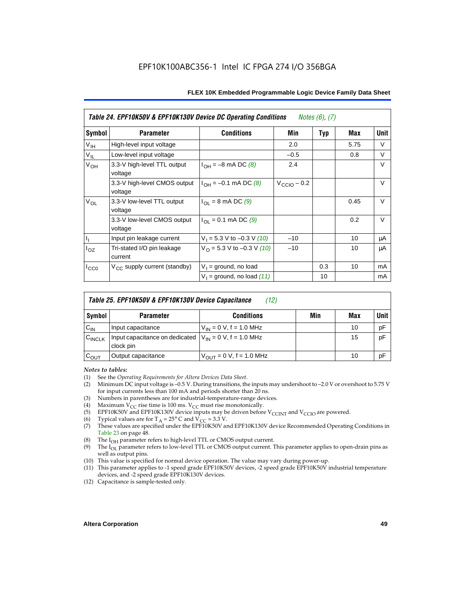| Table 24. EPF10K50V & EPF10K130V Device DC Operating Conditions<br><i>Notes <math>(6)</math>, <math>(7)</math></i> |                                          |                                          |                         |            |      |        |
|--------------------------------------------------------------------------------------------------------------------|------------------------------------------|------------------------------------------|-------------------------|------------|------|--------|
| Symbol                                                                                                             | <b>Parameter</b>                         | <b>Conditions</b>                        | Min                     | <b>Typ</b> | Max  | Unit   |
| V <sub>IH</sub>                                                                                                    | High-level input voltage                 |                                          | 2.0                     |            | 5.75 | V      |
| $V_{IL}$                                                                                                           | Low-level input voltage                  |                                          | $-0.5$                  |            | 0.8  | V      |
| V <sub>OH</sub>                                                                                                    | 3.3-V high-level TTL output<br>voltage   | $I_{OH} = -8$ mA DC (8)                  | 2.4                     |            |      | V      |
|                                                                                                                    | 3.3-V high-level CMOS output<br>voltage  | $I_{OH} = -0.1$ mA DC (8)                | $V_{\text{CCIO}} - 0.2$ |            |      | V      |
| $V_{OL}$                                                                                                           | 3.3-V low-level TTL output<br>voltage    | $I_{\Omega I}$ = 8 mA DC (9)             |                         |            | 0.45 | $\vee$ |
|                                                                                                                    | 3.3-V low-level CMOS output<br>voltage   | $I_{\text{OI}} = 0.1 \text{ mA DC } (9)$ |                         |            | 0.2  | V      |
| $\mathsf{I}_1$                                                                                                     | Input pin leakage current                | $V_1 = 5.3$ V to -0.3 V (10)             | $-10$                   |            | 10   | μA     |
| $I_{OZ}$                                                                                                           | Tri-stated I/O pin leakage<br>current    | $V_O = 5.3 V$ to -0.3 V (10)             | $-10$                   |            | 10   | μA     |
| $I_{CC0}$                                                                                                          | V <sub>CC</sub> supply current (standby) | $V_1$ = ground, no load                  |                         | 0.3        | 10   | mA     |
|                                                                                                                    |                                          | $V_1$ = ground, no load (11)             |                         | 10         |      | mA     |

| Table 25. EPF10K50V & EPF10K130V Device Capacitance<br>(12) |                                                                          |                               |     |     |             |
|-------------------------------------------------------------|--------------------------------------------------------------------------|-------------------------------|-----|-----|-------------|
| Symbol                                                      | <b>Parameter</b>                                                         | <b>Conditions</b>             | Min | Max | <b>Unit</b> |
| $C_{IN}$                                                    | Input capacitance                                                        | $V_{IN} = 0 V$ , f = 1.0 MHz  |     | 10  | pF          |
| $C_{\text{INCLK}}$                                          | Input capacitance on dedicated $V_{IN} = 0 V$ , f = 1.0 MHz<br>clock pin |                               |     | 15  | pF          |
| $C_{OUT}$                                                   | Output capacitance                                                       | $V_{OUT} = 0 V$ , f = 1.0 MHz |     | 10  | pF          |

#### *Notes to tables:*

- (1) See the *Operating Requirements for Altera Devices Data Sheet*.
- Minimum DC input voltage is –0.5 V. During transitions, the inputs may undershoot to –2.0 V or overshoot to 5.75 V for input currents less than 100 mA and periods shorter than 20 ns.
- (3) Numbers in parentheses are for industrial-temperature-range devices.<br>(4) Maximum  $V_{CC}$  rise time is 100 ms.  $V_{CC}$  must rise monotonically.
- (4) Maximum  $V_{CC}$  rise time is 100 ms.  $V_{CC}$  must rise monotonically.<br>(5) EPF10K50V and EPF10K130V device inputs may be driven before
- (5) EPF10K50V and EPF10K130V device inputs may be driven before V<sub>CCINT</sub> and V<sub>CCIO</sub> are powered.<br>(6) Typical values are for T<sub>A</sub> = 25° C and V<sub>CC</sub> = 3.3 V.
- Typical values are for  $T_A = 25^\circ$  C and  $V_{CC} = 3.3$  V.
- (7) These values are specified under the EPF10K50V and EPF10K130V device Recommended Operating Conditions in Table 23 on page 48.
- (8) The  $I<sub>OH</sub>$  parameter refers to high-level TTL or CMOS output current.
- (9) The  $I_{OL}$  parameter refers to low-level TTL or CMOS output current. This parameter applies to open-drain pins as well as output pins.
- (10) This value is specified for normal device operation. The value may vary during power-up.
- (11) This parameter applies to -1 speed grade EPF10K50V devices, -2 speed grade EPF10K50V industrial temperature devices, and -2 speed grade EPF10K130V devices.
- (12) Capacitance is sample-tested only.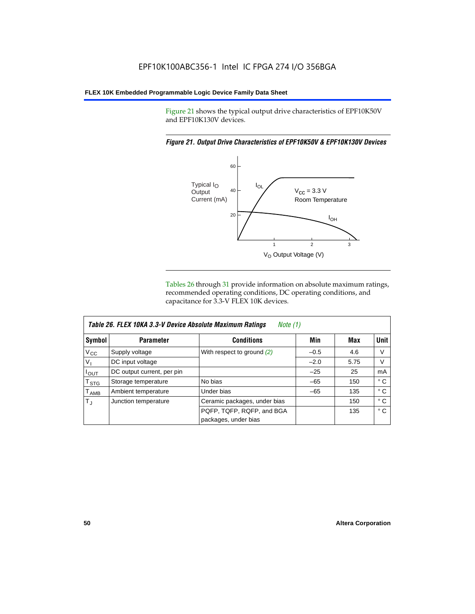Figure 21 shows the typical output drive characteristics of EPF10K50V and EPF10K130V devices.

#### *Figure 21. Output Drive Characteristics of EPF10K50V & EPF10K130V Devices*



Tables 26 through 31 provide information on absolute maximum ratings, recommended operating conditions, DC operating conditions, and capacitance for 3.3-V FLEX 10K devices.

|                  | Table 26. FLEX 10KA 3.3-V Device Absolute Maximum Ratings<br>Note (1) |                              |        |      |              |  |  |
|------------------|-----------------------------------------------------------------------|------------------------------|--------|------|--------------|--|--|
| Symbol           | <b>Parameter</b>                                                      | <b>Conditions</b>            | Min    | Max  | <b>Unit</b>  |  |  |
| $V_{\rm CC}$     | Supply voltage                                                        | With respect to ground $(2)$ | $-0.5$ | 4.6  | V            |  |  |
| $V_{1}$          | DC input voltage                                                      |                              | $-2.0$ | 5.75 | V            |  |  |
| $I_{OUT}$        | DC output current, per pin                                            |                              | $-25$  | 25   | mA           |  |  |
| $T_{\text{STG}}$ | Storage temperature                                                   | No bias                      | $-65$  | 150  | $^{\circ}$ C |  |  |
| T <sub>AMB</sub> | Ambient temperature                                                   | Under bias                   | $-65$  | 135  | ° C          |  |  |
| $T_{\rm J}$      | Junction temperature                                                  | Ceramic packages, under bias |        | 150  | ° C          |  |  |
|                  |                                                                       | PQFP, TQFP, RQFP, and BGA    |        | 135  | $^{\circ}$ C |  |  |
|                  |                                                                       | packages, under bias         |        |      |              |  |  |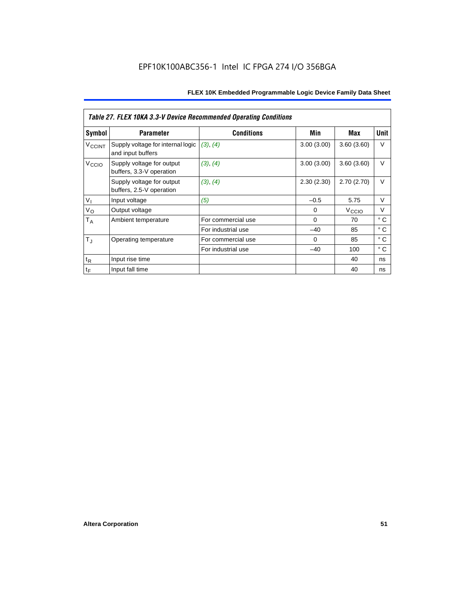|                          | Table 27. FLEX 10KA 3.3-V Device Recommended Operating Conditions |                    |            |                   |              |  |  |
|--------------------------|-------------------------------------------------------------------|--------------------|------------|-------------------|--------------|--|--|
| Symbol                   | <b>Parameter</b>                                                  | <b>Conditions</b>  | Min        | Max               | Unit         |  |  |
| <b>V<sub>CCINT</sub></b> | Supply voltage for internal logic<br>and input buffers            | (3), (4)           | 3.00(3.00) | 3.60(3.60)        | V            |  |  |
| V <sub>CCIO</sub>        | Supply voltage for output<br>buffers, 3.3-V operation             | (3), (4)           | 3.00(3.00) | 3.60(3.60)        | V            |  |  |
|                          | Supply voltage for output<br>buffers, 2.5-V operation             | (3), (4)           | 2.30(2.30) | 2.70(2.70)        | V            |  |  |
| $V_{I}$                  | Input voltage                                                     | (5)                | $-0.5$     | 5.75              | $\vee$       |  |  |
| $V_{\rm O}$              | Output voltage                                                    |                    | $\Omega$   | V <sub>CCIO</sub> | V            |  |  |
| $T_A$                    | Ambient temperature                                               | For commercial use | $\Omega$   | 70                | $^{\circ}$ C |  |  |
|                          |                                                                   | For industrial use | $-40$      | 85                | ° C          |  |  |
| $T_{\rm J}$              | Operating temperature                                             | For commercial use | $\Omega$   | 85                | ° C          |  |  |
|                          |                                                                   | For industrial use | $-40$      | 100               | ° C          |  |  |
| $t_{R}$                  | Input rise time                                                   |                    |            | 40                | ns           |  |  |
| $t_F$                    | Input fall time                                                   |                    |            | 40                | ns           |  |  |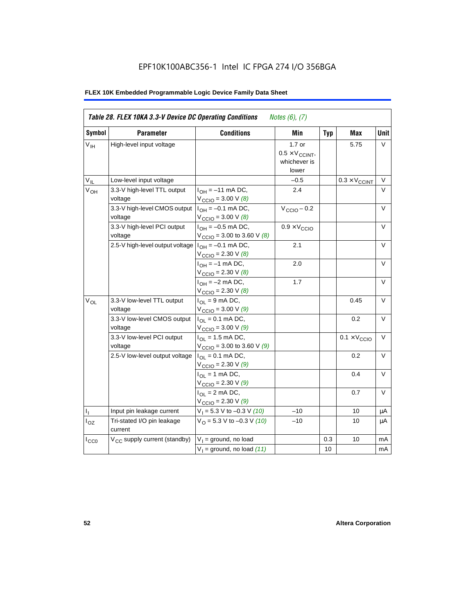# EPF10K100ABC356-1 Intel IC FPGA 274 I/O 356BGA

|                 | Table 28. FLEX 10KA 3.3-V Device DC Operating Conditions<br>Notes $(6)$ , $(7)$ |                                                                                        |                                                             |            |                              |        |  |
|-----------------|---------------------------------------------------------------------------------|----------------------------------------------------------------------------------------|-------------------------------------------------------------|------------|------------------------------|--------|--|
| Symbol          | <b>Parameter</b>                                                                | <b>Conditions</b>                                                                      | Min                                                         | <b>Typ</b> | <b>Max</b>                   | Unit   |  |
| $V_{\text{IH}}$ | High-level input voltage                                                        |                                                                                        | $1.7$ or<br>$0.5 \times V_{CCINT}$<br>whichever is<br>lower |            | 5.75                         | $\vee$ |  |
| $V_{IL}$        | Low-level input voltage                                                         |                                                                                        | $-0.5$                                                      |            | $0.3 \times V_{CCINT}$       | $\vee$ |  |
| V <sub>OH</sub> | 3.3-V high-level TTL output<br>voltage                                          | $I_{OH} = -11$ mA DC,<br>$V_{\text{CCIO}} = 3.00 V (8)$                                | 2.4                                                         |            |                              | $\vee$ |  |
|                 | 3.3-V high-level CMOS output<br>voltage                                         | $I_{OH} = -0.1$ mA DC,<br>$V_{\text{CCIO}} = 3.00 \text{ V } (8)$                      | $V_{\text{CCIO}} - 0.2$                                     |            |                              | $\vee$ |  |
|                 | 3.3-V high-level PCI output<br>voltage                                          | $I_{OH} = -0.5$ mA DC,<br>$V_{\text{CCIO}} = 3.00$ to 3.60 V (8)                       | $0.9 \times V_{\text{CCIO}}$                                |            |                              | $\vee$ |  |
|                 | 2.5-V high-level output voltage                                                 | $I_{OH} = -0.1$ mA DC,<br>$V_{\text{CCIO}} = 2.30 \text{ V } (8)$                      | 2.1                                                         |            |                              | $\vee$ |  |
|                 |                                                                                 | $I_{OH} = -1$ mA DC,<br>$V_{\text{CCIO}} = 2.30 \text{ V } (8)$                        | 2.0                                                         |            |                              | $\vee$ |  |
|                 |                                                                                 | $I_{OH} = -2$ mA DC,<br>$V_{\text{CCIO}} = 2.30 V (8)$                                 | 1.7                                                         |            |                              | $\vee$ |  |
| $V_{OL}$        | 3.3-V low-level TTL output<br>voltage                                           | $I_{OL}$ = 9 mA DC,<br>$V_{\text{CCIO}} = 3.00 V (9)$                                  |                                                             |            | 0.45                         | $\vee$ |  |
|                 | 3.3-V low-level CMOS output<br>voltage                                          | $I_{\text{OI}} = 0.1 \text{ mA} \text{ DC},$<br>$V_{\text{CCIO}} = 3.00 \text{ V} (9)$ |                                                             |            | 0.2                          | $\vee$ |  |
|                 | 3.3-V low-level PCI output<br>voltage                                           | $I_{OL}$ = 1.5 mA DC,<br>$V_{\text{CCIO}} = 3.00$ to 3.60 V (9)                        |                                                             |            | $0.1 \times V_{\text{CCIO}}$ | $\vee$ |  |
|                 | 2.5-V low-level output voltage                                                  | $I_{OL} = 0.1$ mA DC,<br>$V_{\text{CCIO}} = 2.30 \text{ V} (9)$                        |                                                             |            | 0.2                          | $\vee$ |  |
|                 |                                                                                 | $I_{\Omega}$ = 1 mA DC,<br>$V_{\text{CCIO}} = 2.30 V (9)$                              |                                                             |            | 0.4                          | $\vee$ |  |
|                 |                                                                                 | $I_{OL} = 2$ mA DC,<br>$V_{\text{CCIO}} = 2.30 V (9)$                                  |                                                             |            | 0.7                          | $\vee$ |  |
| $I_1$           | Input pin leakage current                                                       | $V_1 = 5.3$ V to -0.3 V (10)                                                           | $-10$                                                       |            | 10                           | μA     |  |
| $I_{OZ}$        | Tri-stated I/O pin leakage<br>current                                           | $V_O = 5.3 V to -0.3 V (10)$                                                           | $-10$                                                       |            | 10                           | μA     |  |
| $I_{CC0}$       | V <sub>CC</sub> supply current (standby)                                        | $V_1$ = ground, no load                                                                |                                                             | 0.3        | 10                           | mA     |  |
|                 |                                                                                 | $V_1$ = ground, no load (11)                                                           |                                                             | 10         |                              | mA     |  |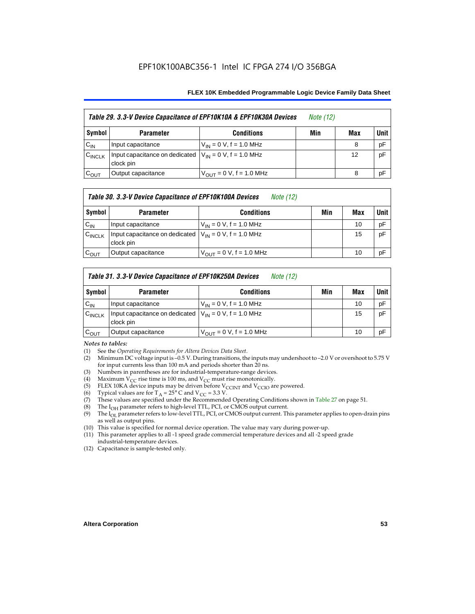| Table 29. 3.3-V Device Capacitance of EPF10K10A & EPF10K30A Devices |                                                                           | <i>Note</i> (12)              |     |     |        |
|---------------------------------------------------------------------|---------------------------------------------------------------------------|-------------------------------|-----|-----|--------|
| Symbol                                                              | <b>Parameter</b>                                                          | <b>Conditions</b>             | Min | Max | Unit I |
| $C_{IN}$                                                            | Input capacitance                                                         | $V_{IN} = 0 V$ , f = 1.0 MHz  |     | 8   | pF     |
| $C_{\text{INCLK}}$                                                  | Input capacitance on dedicated $ V_{IN} = 0 V$ , f = 1.0 MHz<br>clock pin |                               |     | 12  | pF     |
| $C_{OUT}$                                                           | Output capacitance                                                        | $V_{OUT} = 0 V$ , f = 1.0 MHz |     | 8   | pF     |

#### *Table 30. 3.3-V Device Capacitance of EPF10K100A Devices Note (12)*

| Symbol             | <b>Parameter</b>                                                        | <b>Conditions</b>                   | Min | Max | <b>Unit</b> |
|--------------------|-------------------------------------------------------------------------|-------------------------------------|-----|-----|-------------|
| $C_{IN}$           | Input capacitance                                                       | $V_{IN} = 0 V$ , f = 1.0 MHz        |     | 10  | pF          |
| $C_{\text{INCLK}}$ | Input capacitance on dedicated $V_{1N} = 0$ V, f = 1.0 MHz<br>clock pin |                                     |     | 15  | pF          |
| $\mathrm{c_{out}}$ | Output capacitance                                                      | $V_{\text{OUT}} = 0$ V, f = 1.0 MHz |     | 10  | pF          |

#### *Table 31. 3.3-V Device Capacitance of EPF10K250A Devices Note (12)*

| Symbol             | <b>Parameter</b>                                                          | <b>Conditions</b>                                           | Min | Max | <b>Unit</b> |
|--------------------|---------------------------------------------------------------------------|-------------------------------------------------------------|-----|-----|-------------|
| $C_{IN}$           | Input capacitance                                                         | $V_{IN} = 0 V$ , f = 1.0 MHz                                |     | 10  | pF          |
| $C_{\text{INCLK}}$ | Input capacitance on dedicated $ V_{IN} = 0 V$ , f = 1.0 MHz<br>clock pin |                                                             |     | 15  | pF          |
| $C_{\text{OUT}}$   | Output capacitance                                                        | $V_{\text{OUT}} = 0 \text{ V}, \text{ f} = 1.0 \text{ MHz}$ |     | 10  | pF          |

#### *Notes to tables:*

- (1) See the *Operating Requirements for Altera Devices Data Sheet*.
- (2) Minimum DC voltage input is –0.5 V. During transitions, the inputs may undershoot to –2.0 V or overshoot to 5.75 V for input currents less than 100 mA and periods shorter than 20 ns.
- (3) Numbers in parentheses are for industrial-temperature-range devices.
- (4) Maximum V<sub>CC</sub> rise time is 100 ms, and V<sub>CC</sub> must rise monotonically.<br>(5) ELEX 10KA device inputs may be driven before V<sub>CCINT</sub> and V<sub>CCIO</sub> ar
- (5) FLEX 10KA device inputs may be driven before  $V_{CCTN}$  and  $V_{CCIO}$  are powered.<br>(6) Typical values are for T<sub>A</sub> = 25° C and  $V_{CC}$  = 3.3 V.
- (6) Typical values are for  $T_A = 25^\circ$  C and  $V_{CC} = 3.3$  V.<br>(7) These values are specified under the Recommende
- These values are specified under the Recommended Operating Conditions shown in Table 27 on page 51.
- (8) The  $I_{OH}$  parameter refers to high-level TTL, PCI, or CMOS output current. The  $I_{OH}$  parameter refers to low-level TTL, PCI, or CMOS output current. The
- The I<sub>OL</sub> parameter refers to low-level TTL, PCI, or CMOS output current. This parameter applies to open-drain pins as well as output pins.
- (10) This value is specified for normal device operation. The value may vary during power-up.
- (11) This parameter applies to all -1 speed grade commercial temperature devices and all -2 speed grade industrial-temperature devices.
- (12) Capacitance is sample-tested only.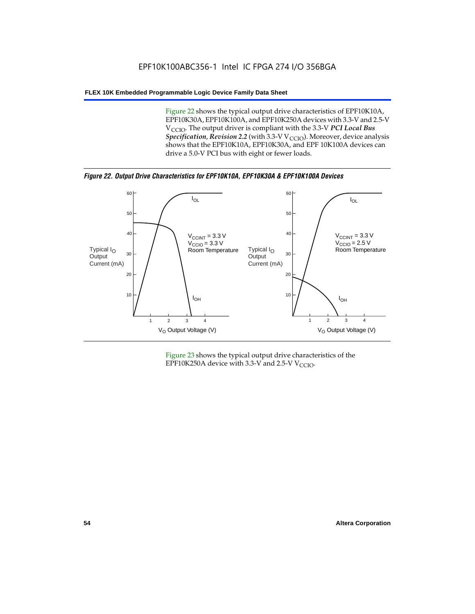Figure 22 shows the typical output drive characteristics of EPF10K10A, EPF10K30A, EPF10K100A, and EPF10K250A devices with 3.3-V and 2.5-V V<sub>CCIO</sub>. The output driver is compliant with the 3.3-V PCI Local Bus *Specification, Revision 2.2* (with 3.3-V V<sub>CCIO</sub>). Moreover, device analysis shows that the EPF10K10A, EPF10K30A, and EPF 10K100A devices can drive a 5.0-V PCI bus with eight or fewer loads.

*Figure 22. Output Drive Characteristics for EPF10K10A, EPF10K30A & EPF10K100A Devices*



Figure 23 shows the typical output drive characteristics of the EPF10K250A device with 3.3-V and 2.5-V  $V_{\text{CCIO}}$ .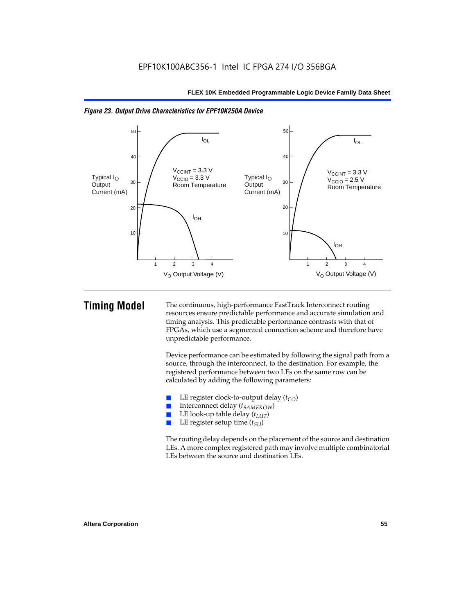

*Figure 23. Output Drive Characteristics for EPF10K250A Device*

**Timing Model** The continuous, high-performance FastTrack Interconnect routing resources ensure predictable performance and accurate simulation and timing analysis. This predictable performance contrasts with that of FPGAs, which use a segmented connection scheme and therefore have unpredictable performance.

> Device performance can be estimated by following the signal path from a source, through the interconnect, to the destination. For example, the registered performance between two LEs on the same row can be calculated by adding the following parameters:

- **E** LE register clock-to-output delay  $(t_{CO})$ <br> **E** Interconnect delay  $(t_{CMBOW})$
- Interconnect delay (*t<sub>SAMEROW</sub>*)
- LE look-up table delay  $(t_{LUT})$
- LE register setup time ( $t_{SI}$ )

The routing delay depends on the placement of the source and destination LEs. A more complex registered path may involve multiple combinatorial LEs between the source and destination LEs.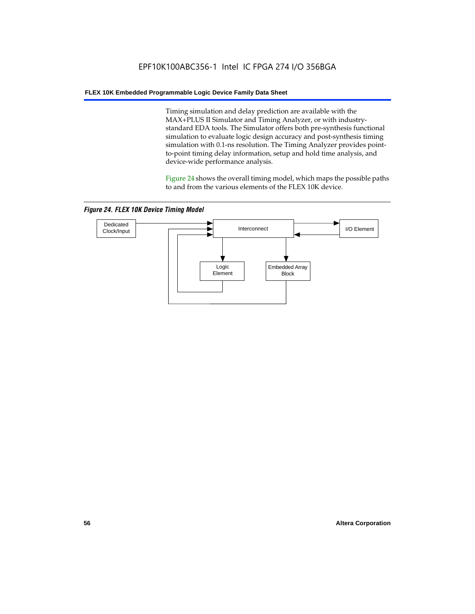Timing simulation and delay prediction are available with the MAX+PLUS II Simulator and Timing Analyzer, or with industrystandard EDA tools. The Simulator offers both pre-synthesis functional simulation to evaluate logic design accuracy and post-synthesis timing simulation with 0.1-ns resolution. The Timing Analyzer provides pointto-point timing delay information, setup and hold time analysis, and device-wide performance analysis.

Figure 24 shows the overall timing model, which maps the possible paths to and from the various elements of the FLEX 10K device.

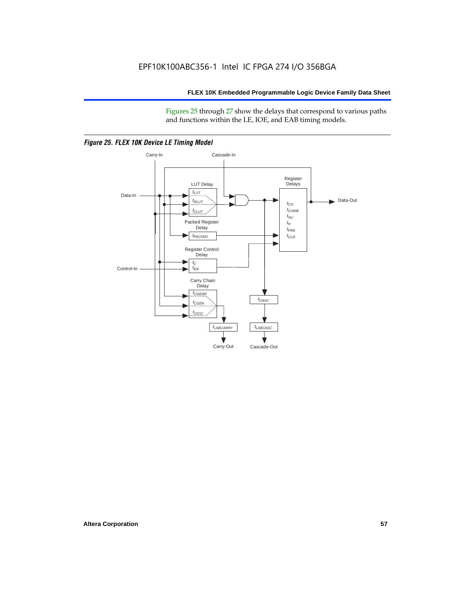Figures 25 through 27 show the delays that correspond to various paths and functions within the LE, IOE, and EAB timing models.



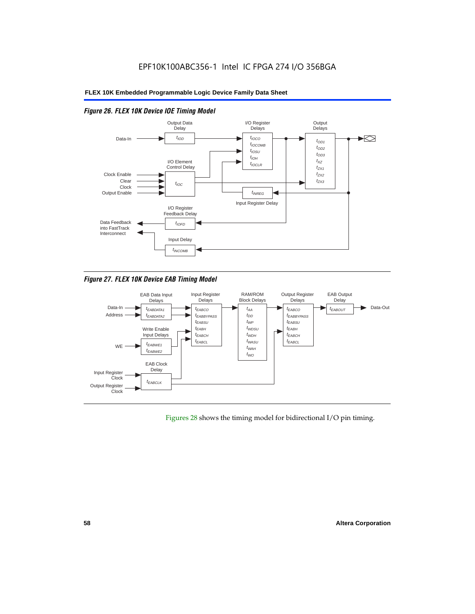

## *Figure 26. FLEX 10K Device IOE Timing Model*

*Figure 27. FLEX 10K Device EAB Timing Model*



Figures 28 shows the timing model for bidirectional I/O pin timing.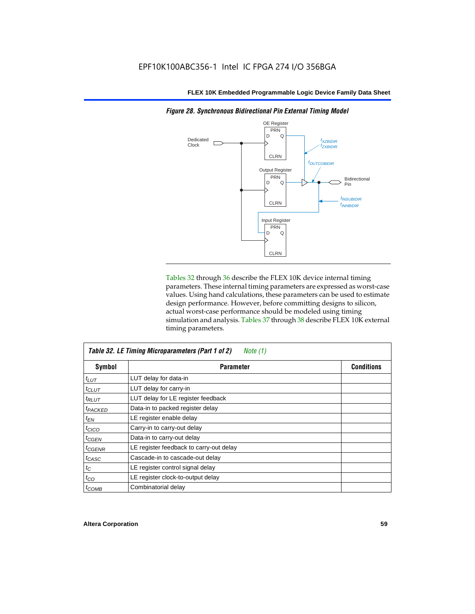

Tables 32 through 36 describe the FLEX 10K device internal timing parameters. These internal timing parameters are expressed as worst-case values. Using hand calculations, these parameters can be used to estimate design performance. However, before committing designs to silicon, actual worst-case performance should be modeled using timing simulation and analysis. Tables 37 through 38 describe FLEX 10K external timing parameters.

| Table 32. LE Timing Microparameters (Part 1 of 2)<br>Note (1) |                                         |                   |  |  |
|---------------------------------------------------------------|-----------------------------------------|-------------------|--|--|
| Symbol                                                        | <b>Parameter</b>                        | <b>Conditions</b> |  |  |
| $t_{LUT}$                                                     | LUT delay for data-in                   |                   |  |  |
| $t_{CLUT}$                                                    | LUT delay for carry-in                  |                   |  |  |
| $t_{RLUT}$                                                    | LUT delay for LE register feedback      |                   |  |  |
| <b><i>LPACKED</i></b>                                         | Data-in to packed register delay        |                   |  |  |
| $t_{EN}$                                                      | LE register enable delay                |                   |  |  |
| $t_{CICO}$                                                    | Carry-in to carry-out delay             |                   |  |  |
| $t_{\text{GEN}}$                                              | Data-in to carry-out delay              |                   |  |  |
| $t_{CGENR}$                                                   | LE register feedback to carry-out delay |                   |  |  |
| t <sub>CASC</sub>                                             | Cascade-in to cascade-out delay         |                   |  |  |
| $t_C$                                                         | LE register control signal delay        |                   |  |  |
| $t_{CO}$                                                      | LE register clock-to-output delay       |                   |  |  |
| $t_{COMB}$                                                    | Combinatorial delay                     |                   |  |  |

*Figure 28. Synchronous Bidirectional Pin External Timing Model*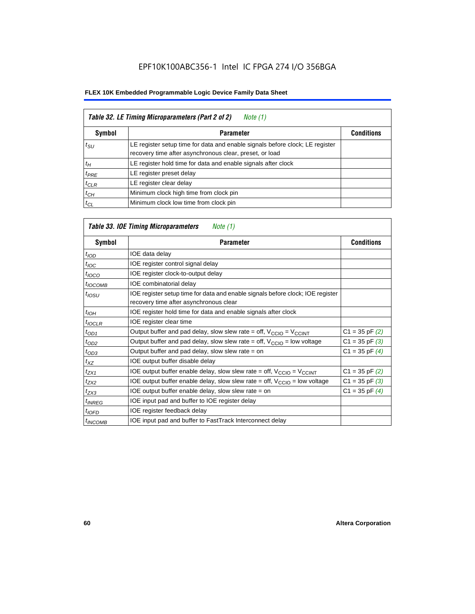| Table 32. LE Timing Microparameters (Part 2 of 2)<br>Note (1) |                                                                                                                                         |                   |  |  |
|---------------------------------------------------------------|-----------------------------------------------------------------------------------------------------------------------------------------|-------------------|--|--|
| <b>Symbol</b>                                                 | <b>Parameter</b>                                                                                                                        | <b>Conditions</b> |  |  |
| $t_{\rm SU}$                                                  | LE register setup time for data and enable signals before clock; LE register<br>recovery time after asynchronous clear, preset, or load |                   |  |  |
| $t_H$                                                         | LE register hold time for data and enable signals after clock                                                                           |                   |  |  |
| $t_{PRE}$                                                     | LE register preset delay                                                                                                                |                   |  |  |
| $t_{CLR}$                                                     | LE register clear delay                                                                                                                 |                   |  |  |
| $t_{CH}$                                                      | Minimum clock high time from clock pin                                                                                                  |                   |  |  |
| $t_{CL}$                                                      | Minimum clock low time from clock pin                                                                                                   |                   |  |  |

# *Table 33. IOE Timing Microparameters Note (1)*

| Symbol              | <b>Parameter</b>                                                                                                         | <b>Conditions</b>  |
|---------------------|--------------------------------------------------------------------------------------------------------------------------|--------------------|
| t <sub>IOD</sub>    | IOE data delay                                                                                                           |                    |
| $t_{\text{IOC}}$    | IOE register control signal delay                                                                                        |                    |
| $t_{\text{IOCO}}$   | IOE register clock-to-output delay                                                                                       |                    |
| $t_{IOCOMB}$        | IOE combinatorial delay                                                                                                  |                    |
| $t_{IOSU}$          | IOE register setup time for data and enable signals before clock; IOE register<br>recovery time after asynchronous clear |                    |
| $t_{IOH}$           | IOE register hold time for data and enable signals after clock                                                           |                    |
| $t_{IOCLR}$         | IOE register clear time                                                                                                  |                    |
| $t_{OD1}$           | Output buffer and pad delay, slow slew rate = off, $V_{\text{CCIO}} = V_{\text{CCINT}}$                                  | $C1 = 35$ pF $(2)$ |
| $t_{OD2}$           | Output buffer and pad delay, slow slew rate = off, $V_{CCIO}$ = low voltage                                              | $C1 = 35$ pF $(3)$ |
| $t_{OD3}$           | Output buffer and pad delay, slow slew rate $=$ on                                                                       | $C1 = 35$ pF $(4)$ |
| $t_{XZ}$            | IOE output buffer disable delay                                                                                          |                    |
| $t_{ZX1}$           | IOE output buffer enable delay, slow slew rate = off, $V_{\text{CCIO}} = V_{\text{CCINT}}$                               | $C1 = 35$ pF $(2)$ |
| t <sub>ZX2</sub>    | IOE output buffer enable delay, slow slew rate = off, $V_{\text{CCIO}}$ = low voltage                                    | $C1 = 35$ pF $(3)$ |
| $t_{ZX3}$           | IOE output buffer enable delay, slow slew rate $=$ on                                                                    | $C1 = 35$ pF $(4)$ |
| <sup>t</sup> INREG  | IOE input pad and buffer to IOE register delay                                                                           |                    |
| $t_{IOFD}$          | IOE register feedback delay                                                                                              |                    |
| <sup>t</sup> INCOMB | IOE input pad and buffer to FastTrack Interconnect delay                                                                 |                    |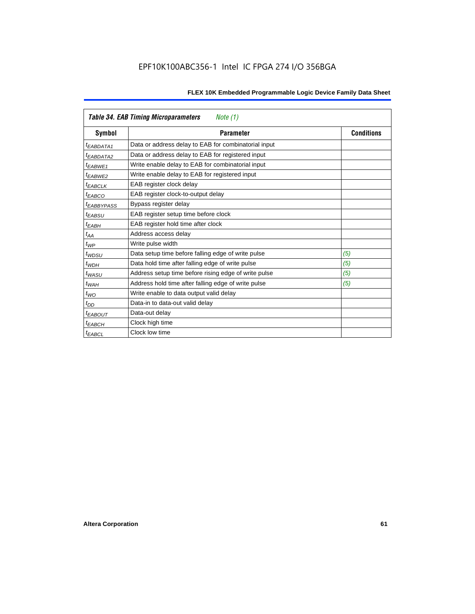| <b>Table 34. EAB Timing Microparameters</b><br>Note (1) |                                                      |     |  |  |  |  |
|---------------------------------------------------------|------------------------------------------------------|-----|--|--|--|--|
| Symbol                                                  | <b>Parameter</b><br><b>Conditions</b>                |     |  |  |  |  |
| <i>EABDATA1</i>                                         | Data or address delay to EAB for combinatorial input |     |  |  |  |  |
| <sup>t</sup> EABDATA2                                   | Data or address delay to EAB for registered input    |     |  |  |  |  |
| t <sub>EABWE1</sub>                                     | Write enable delay to EAB for combinatorial input    |     |  |  |  |  |
| t <sub>FARWF2</sub>                                     | Write enable delay to EAB for registered input       |     |  |  |  |  |
| <b><i>EABCLK</i></b>                                    | EAB register clock delay                             |     |  |  |  |  |
| $t_{EABCO}$                                             | EAB register clock-to-output delay                   |     |  |  |  |  |
| <sup>t</sup> EABBYPASS                                  | Bypass register delay                                |     |  |  |  |  |
| $t_{EABSU}$                                             | EAB register setup time before clock                 |     |  |  |  |  |
| $t_{EABH}$                                              | EAB register hold time after clock                   |     |  |  |  |  |
| $t_{AA}$                                                | Address access delay                                 |     |  |  |  |  |
| $t_{WP}$                                                | Write pulse width                                    |     |  |  |  |  |
| $t_{WDSU}$                                              | Data setup time before falling edge of write pulse   | (5) |  |  |  |  |
| $t_{WDH}$                                               | Data hold time after falling edge of write pulse     | (5) |  |  |  |  |
| $t_{WASU}$                                              | Address setup time before rising edge of write pulse | (5) |  |  |  |  |
| $t_{WAH}$                                               | Address hold time after falling edge of write pulse  | (5) |  |  |  |  |
| $t_{WO}$                                                | Write enable to data output valid delay              |     |  |  |  |  |
| $t_{DD}$                                                | Data-in to data-out valid delay                      |     |  |  |  |  |
| <sup>t</sup> EABOUT                                     | Data-out delay                                       |     |  |  |  |  |
| t <sub>EABCH</sub>                                      | Clock high time                                      |     |  |  |  |  |
| <sup>t</sup> EABCL                                      | Clock low time                                       |     |  |  |  |  |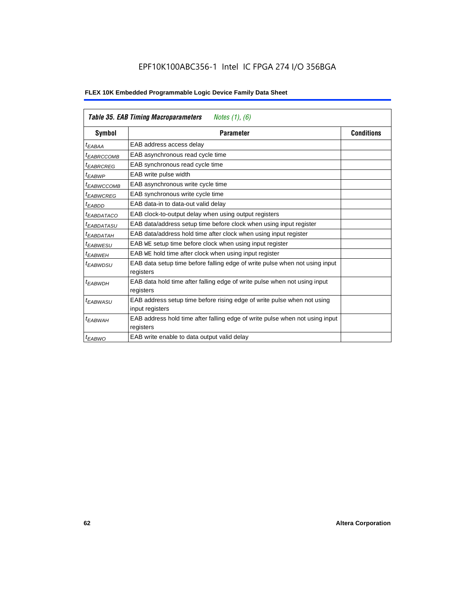| <b>Table 35. EAB Timing Macroparameters</b><br><i>Notes (1), (6)</i> |                                                                                            |                   |  |  |  |
|----------------------------------------------------------------------|--------------------------------------------------------------------------------------------|-------------------|--|--|--|
| Symbol                                                               | <b>Parameter</b>                                                                           | <b>Conditions</b> |  |  |  |
| t <sub>EABAA</sub>                                                   | EAB address access delay                                                                   |                   |  |  |  |
| <sup>t</sup> EABRCCOMB                                               | EAB asynchronous read cycle time                                                           |                   |  |  |  |
| <sup>t</sup> EABRCREG                                                | EAB synchronous read cycle time                                                            |                   |  |  |  |
| <sup>t</sup> EABWP                                                   | EAB write pulse width                                                                      |                   |  |  |  |
| <sup>t</sup> EABWCCOMB                                               | EAB asynchronous write cycle time                                                          |                   |  |  |  |
| <sup>t</sup> EABWCREG                                                | EAB synchronous write cycle time                                                           |                   |  |  |  |
| <sup>t</sup> EABDD                                                   | EAB data-in to data-out valid delay                                                        |                   |  |  |  |
| <sup>t</sup> EABDATACO                                               | EAB clock-to-output delay when using output registers                                      |                   |  |  |  |
| <sup>t</sup> EABDATASU                                               | EAB data/address setup time before clock when using input register                         |                   |  |  |  |
| <sup>t</sup> EABDATAH                                                | EAB data/address hold time after clock when using input register                           |                   |  |  |  |
| <sup>t</sup> EABWESU                                                 | EAB WE setup time before clock when using input register                                   |                   |  |  |  |
| <sup>t</sup> EABWEH                                                  | EAB WE hold time after clock when using input register                                     |                   |  |  |  |
| <sup>t</sup> EABWDSU                                                 | EAB data setup time before falling edge of write pulse when not using input<br>registers   |                   |  |  |  |
| $t_{EABWDH}$                                                         | EAB data hold time after falling edge of write pulse when not using input<br>registers     |                   |  |  |  |
| <sup>t</sup> EABWASU                                                 | EAB address setup time before rising edge of write pulse when not using<br>input registers |                   |  |  |  |
| <sup>t</sup> EABWAH                                                  | EAB address hold time after falling edge of write pulse when not using input<br>registers  |                   |  |  |  |
| <sup>t</sup> EABWO                                                   | EAB write enable to data output valid delay                                                |                   |  |  |  |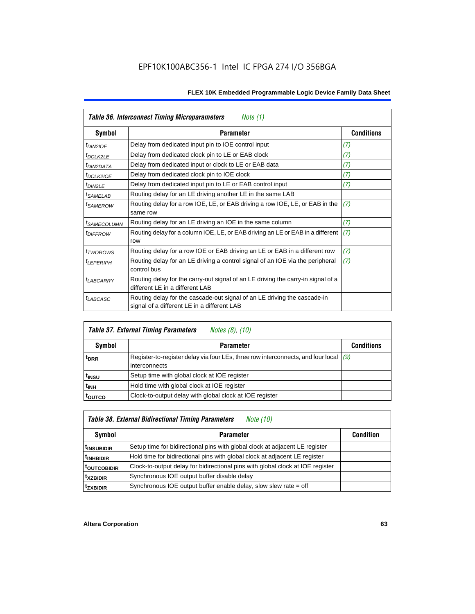| Table 36. Interconnect Timing Microparameters<br>Note $(1)$ |                                                                                                                         |                   |  |  |  |
|-------------------------------------------------------------|-------------------------------------------------------------------------------------------------------------------------|-------------------|--|--|--|
| Symbol                                                      | <b>Parameter</b>                                                                                                        | <b>Conditions</b> |  |  |  |
| <sup>t</sup> DIN2IOE                                        | Delay from dedicated input pin to IOE control input                                                                     | (7)               |  |  |  |
| <sup>t</sup> DCLK2LE                                        | Delay from dedicated clock pin to LE or EAB clock                                                                       | (7)               |  |  |  |
| <sup>t</sup> DIN2DATA                                       | Delay from dedicated input or clock to LE or EAB data                                                                   | (7)               |  |  |  |
| <sup>t</sup> DCLK2IOE                                       | Delay from dedicated clock pin to IOE clock                                                                             | (7)               |  |  |  |
| $t_{DIN2LE}$                                                | Delay from dedicated input pin to LE or EAB control input                                                               | (7)               |  |  |  |
| <sup>t</sup> SAMELAB                                        | Routing delay for an LE driving another LE in the same LAB                                                              |                   |  |  |  |
| <sup>t</sup> SAMEROW                                        | Routing delay for a row IOE, LE, or EAB driving a row IOE, LE, or EAB in the<br>same row                                | (7)               |  |  |  |
| <sup>t</sup> SAMECOLUMN                                     | Routing delay for an LE driving an IOE in the same column                                                               | (7)               |  |  |  |
| <i>t<sub>DIFFROW</sub></i>                                  | Routing delay for a column IOE, LE, or EAB driving an LE or EAB in a different<br>row                                   | (7)               |  |  |  |
| <i>t</i> TWOROWS                                            | Routing delay for a row IOE or EAB driving an LE or EAB in a different row                                              | (7)               |  |  |  |
| <sup>t</sup> LEPERIPH                                       | Routing delay for an LE driving a control signal of an IOE via the peripheral<br>control bus                            | (7)               |  |  |  |
| <b>LABCARRY</b>                                             | Routing delay for the carry-out signal of an LE driving the carry-in signal of a<br>different LE in a different LAB     |                   |  |  |  |
| $t_{LABCASC}$                                               | Routing delay for the cascade-out signal of an LE driving the cascade-in<br>signal of a different LE in a different LAB |                   |  |  |  |

| <b>Table 37. External Timing Parameters</b><br><i>Notes (8), (10)</i> |                                                                                                         |                   |  |  |  |
|-----------------------------------------------------------------------|---------------------------------------------------------------------------------------------------------|-------------------|--|--|--|
| <b>Symbol</b>                                                         | <b>Parameter</b>                                                                                        | <b>Conditions</b> |  |  |  |
| <sup>t</sup> DRR                                                      | Register-to-register delay via four LEs, three row interconnects, and four local $(9)$<br>interconnects |                   |  |  |  |
| t <sub>insu</sub>                                                     | Setup time with global clock at IOE register                                                            |                   |  |  |  |
| t <sub>INH</sub>                                                      | Hold time with global clock at IOE register                                                             |                   |  |  |  |
| <b>TOUTCO</b>                                                         | Clock-to-output delay with global clock at IOE register                                                 |                   |  |  |  |

# *Table 38. External Bidirectional Timing Parameters Note (10)*

| Symbol                  | <b>Parameter</b>                                                               | <b>Condition</b> |
|-------------------------|--------------------------------------------------------------------------------|------------------|
| <sup>t</sup> INSUBIDIR  | Setup time for bidirectional pins with global clock at adjacent LE register    |                  |
| <sup>t</sup> INHBIDIR   | Hold time for bidirectional pins with global clock at adjacent LE register     |                  |
| <sup>t</sup> outcobidir | Clock-to-output delay for bidirectional pins with global clock at IOE register |                  |
| <sup>t</sup> xzbidir    | Synchronous IOE output buffer disable delay                                    |                  |
| <sup>t</sup> zxbidir    | Synchronous IOE output buffer enable delay, slow slew rate = off               |                  |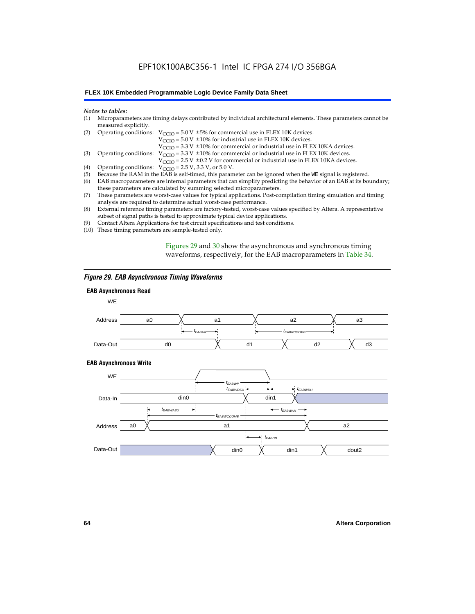# EPF10K100ABC356-1 Intel IC FPGA 274 I/O 356BGA

#### **FLEX 10K Embedded Programmable Logic Device Family Data Sheet**

#### *Notes to tables:*

| (1) Microparameters are timing delays contributed by individual architectural elements. These parameters cannot be |
|--------------------------------------------------------------------------------------------------------------------|
| measured explicitly.                                                                                               |

| (2) Operating conditions: $V_{CCIO} = 5.0 V \pm 5%$ for commercial use in FLEX 10K devices. |  |  |  |
|---------------------------------------------------------------------------------------------|--|--|--|
|                                                                                             |  |  |  |

 $V<sub>CCIO</sub>$  = 5.0 V  $\pm$  10% for industrial use in FLEX 10K devices.

 $V_{\text{CCIO}} = 3.3 \text{ V} \pm 10\%$  for commercial or industrial use in FLEX 10KA devices.

(3) Operating conditions:  $V_{\text{CCIO}} = 3.3 V \pm 10\%$  for commercial or industrial use in FLEX 10K devices.

 $V_{\text{CCIO}} = 2.5 \text{ V} \pm 0.2 \text{ V}$  for commercial or industrial use in FLEX 10KA devices.

- (4) Operating conditions:  $V_{\text{CCIO}} = 2.5 V$ , 3.3 V, or 5.0 V.<br>(5) Because the RAM in the EAB is self-timed, this param
- (5) Because the RAM in the EAB is self-timed, this parameter can be ignored when the WE signal is registered.<br>(6) EAB macroparameters are internal parameters that can simplify predicting the behavior of an EAB at its bou
- EAB macroparameters are internal parameters that can simplify predicting the behavior of an EAB at its boundary; these parameters are calculated by summing selected microparameters.
- (7) These parameters are worst-case values for typical applications. Post-compilation timing simulation and timing analysis are required to determine actual worst-case performance.
- (8) External reference timing parameters are factory-tested, worst-case values specified by Altera. A representative subset of signal paths is tested to approximate typical device applications.
- (9) Contact Altera Applications for test circuit specifications and test conditions.
- (10) These timing parameters are sample-tested only.

Figures 29 and 30 show the asynchronous and synchronous timing waveforms, respectively, for the EAB macroparameters in Table 34.

#### *Figure 29. EAB Asynchronous Timing Waveforms*

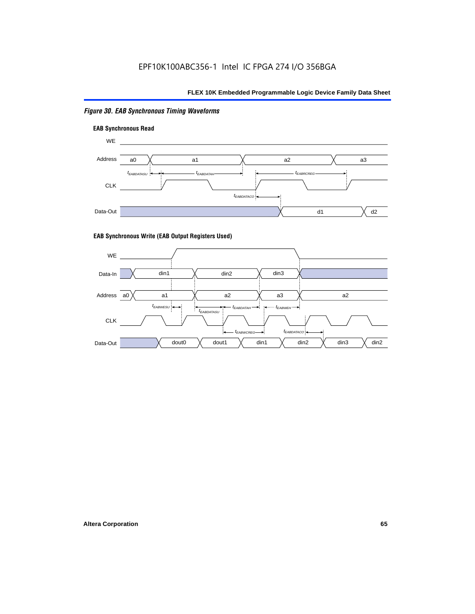## *Figure 30. EAB Synchronous Timing Waveforms*





#### **EAB Synchronous Write (EAB Output Registers Used)**

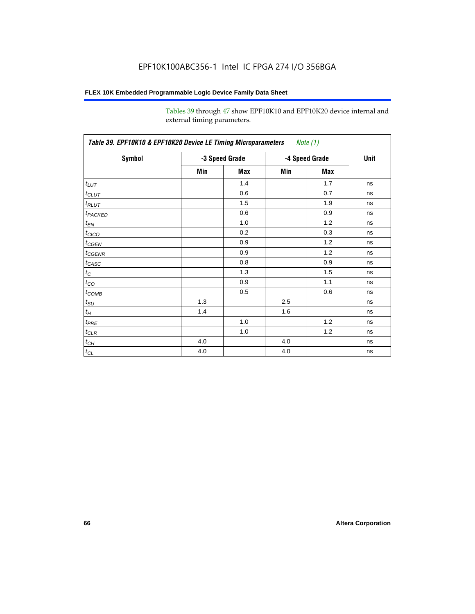Tables 39 through 47 show EPF10K10 and EPF10K20 device internal and external timing parameters.

| Table 39. EPF10K10 & EPF10K20 Device LE Timing Microparameters Note (1) |                |     |                |     |      |
|-------------------------------------------------------------------------|----------------|-----|----------------|-----|------|
| Symbol                                                                  | -3 Speed Grade |     | -4 Speed Grade |     | Unit |
|                                                                         | Min            | Max | Min            | Max |      |
| $t_{LUT}$                                                               |                | 1.4 |                | 1.7 | ns   |
| $t_{CLUT}$                                                              |                | 0.6 |                | 0.7 | ns   |
| $t_{RLUT}$                                                              |                | 1.5 |                | 1.9 | ns   |
| <b>t</b> <sub>PACKED</sub>                                              |                | 0.6 |                | 0.9 | ns   |
| $t_{EN}$                                                                |                | 1.0 |                | 1.2 | ns   |
| $t_{CICO}$                                                              |                | 0.2 |                | 0.3 | ns   |
| $t_{CGEN}$                                                              |                | 0.9 |                | 1.2 | ns   |
| $t_{CGENR}$                                                             |                | 0.9 |                | 1.2 | ns   |
| $t_{CASC}$                                                              |                | 0.8 |                | 0.9 | ns   |
| $t_{\rm C}$                                                             |                | 1.3 |                | 1.5 | ns   |
| $t_{CO}$                                                                |                | 0.9 |                | 1.1 | ns   |
| $t_{\text{COMB}}$                                                       |                | 0.5 |                | 0.6 | ns   |
| $t_{\text{SU}}$                                                         | 1.3            |     | 2.5            |     | ns   |
| $t_H$                                                                   | 1.4            |     | 1.6            |     | ns   |
| $t_{PRE}$                                                               |                | 1.0 |                | 1.2 | ns   |
| $t_{\text{CLR}}$                                                        |                | 1.0 |                | 1.2 | ns   |
| $t_{CH}$                                                                | 4.0            |     | 4.0            |     | ns   |
| $t_{CL}$                                                                | 4.0            |     | 4.0            |     | ns   |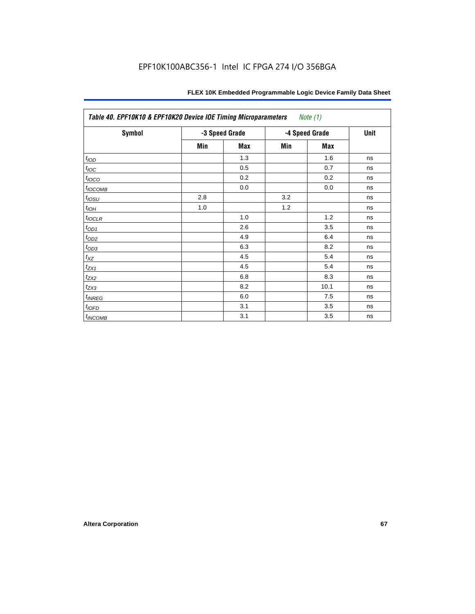| Table 40. EPF10K10 & EPF10K20 Device IOE Timing Microparameters<br>Note (1) |                |     |                |      |      |
|-----------------------------------------------------------------------------|----------------|-----|----------------|------|------|
| <b>Symbol</b>                                                               | -3 Speed Grade |     | -4 Speed Grade |      | Unit |
|                                                                             | Min            | Max | Min            | Max  |      |
| t <sub>IOD</sub>                                                            |                | 1.3 |                | 1.6  | ns   |
| $t_{\text{IOC}}$                                                            |                | 0.5 |                | 0.7  | ns   |
| $t_{IOCO}$                                                                  |                | 0.2 |                | 0.2  | ns   |
| t <sub>I</sub> OCOMB                                                        |                | 0.0 |                | 0.0  | ns   |
| $t_{IOSU}$                                                                  | 2.8            |     | 3.2            |      | ns   |
| $t_{IOH}$                                                                   | 1.0            |     | 1.2            |      | ns   |
| $t_{IOCLR}$                                                                 |                | 1.0 |                | 1.2  | ns   |
| $t_{OD1}$                                                                   |                | 2.6 |                | 3.5  | ns   |
| $t_{OD2}$                                                                   |                | 4.9 |                | 6.4  | ns   |
| $t_{\rm OD3}$                                                               |                | 6.3 |                | 8.2  | ns   |
| $t_{\mathsf{XZ}}$                                                           |                | 4.5 |                | 5.4  | ns   |
| $t_{ZX1}$                                                                   |                | 4.5 |                | 5.4  | ns   |
| $t_{ZX2}$                                                                   |                | 6.8 |                | 8.3  | ns   |
| $t_{ZX3}$                                                                   |                | 8.2 |                | 10.1 | ns   |
| $t_{INREG}$                                                                 |                | 6.0 |                | 7.5  | ns   |
| $t_{IOFD}$                                                                  |                | 3.1 |                | 3.5  | ns   |
| $t_{INCOMB}$                                                                |                | 3.1 |                | 3.5  | ns   |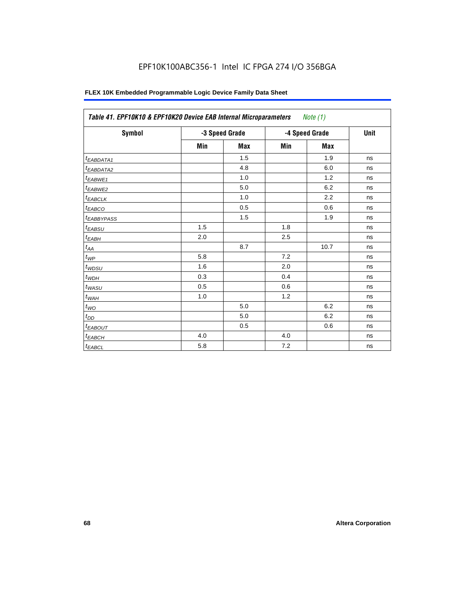| Table 41. EPF10K10 & EPF10K20 Device EAB Internal Microparameters Note (1) |                |            |                |            |      |
|----------------------------------------------------------------------------|----------------|------------|----------------|------------|------|
| Symbol                                                                     | -3 Speed Grade |            | -4 Speed Grade |            | Unit |
|                                                                            | Min            | <b>Max</b> | Min            | <b>Max</b> |      |
| <sup>t</sup> EABDATA1                                                      |                | 1.5        |                | 1.9        | ns   |
| t <sub>EABDATA2</sub>                                                      |                | 4.8        |                | 6.0        | ns   |
| t <sub>EABWE1</sub>                                                        |                | 1.0        |                | 1.2        | ns   |
| $t_{EABWE2}$                                                               |                | 5.0        |                | 6.2        | ns   |
| <sup>t</sup> EABCLK                                                        |                | 1.0        |                | 2.2        | ns   |
| $t_{EABCO}$                                                                |                | 0.5        |                | 0.6        | ns   |
| <sup>t</sup> EABBYPASS                                                     |                | 1.5        |                | 1.9        | ns   |
| t <sub>EABSU</sub>                                                         | 1.5            |            | 1.8            |            | ns   |
| t <sub>ЕАВН</sub>                                                          | 2.0            |            | 2.5            |            | ns   |
| $t_{AA}$                                                                   |                | 8.7        |                | 10.7       | ns   |
| $t_{\mathit{WP}}$                                                          | 5.8            |            | 7.2            |            | ns   |
| $t_{WDSU}$                                                                 | 1.6            |            | 2.0            |            | ns   |
| $t_{WDH}$                                                                  | 0.3            |            | 0.4            |            | ns   |
| $t_{WASU}$                                                                 | 0.5            |            | 0.6            |            | ns   |
| $t_{\underline{WAH}}$                                                      | 1.0            |            | 1.2            |            | ns   |
| $t_{WO}$                                                                   |                | 5.0        |                | 6.2        | ns   |
| $t_{DD}$                                                                   |                | 5.0        |                | 6.2        | ns   |
| <sup>t</sup> EABOUT                                                        |                | 0.5        |                | 0.6        | ns   |
| $t_{EABCH}$                                                                | 4.0            |            | 4.0            |            | ns   |
| $t_{EABCL}$                                                                | 5.8            |            | 7.2            |            | ns   |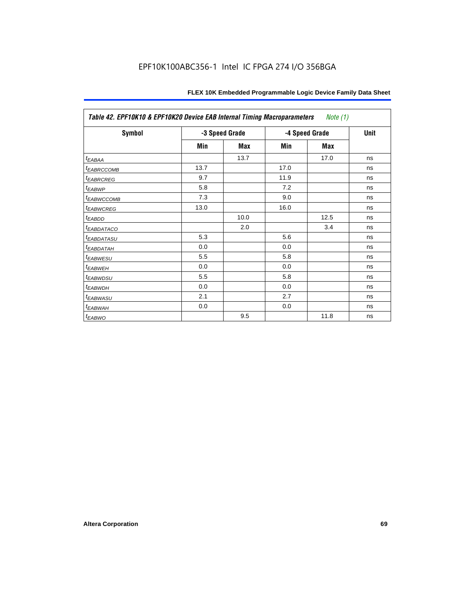| Table 42. EPF10K10 & EPF10K20 Device EAB Internal Timing Macroparameters<br>Note (1) |                |      |                |      |             |  |
|--------------------------------------------------------------------------------------|----------------|------|----------------|------|-------------|--|
| Symbol                                                                               | -3 Speed Grade |      | -4 Speed Grade |      | <b>Unit</b> |  |
|                                                                                      | Min            | Max  | Min            | Max  |             |  |
| t <sub>EABAA</sub>                                                                   |                | 13.7 |                | 17.0 | ns          |  |
| <sup>t</sup> EABRCCOMB                                                               | 13.7           |      | 17.0           |      | ns          |  |
| <b><i>EABRCREG</i></b>                                                               | 9.7            |      | 11.9           |      | ns          |  |
| <sup>t</sup> EABWP                                                                   | 5.8            |      | 7.2            |      | ns          |  |
| <sup>t</sup> EABWCCOMB                                                               | 7.3            |      | 9.0            |      | ns          |  |
| <sup>t</sup> EABWCREG                                                                | 13.0           |      | 16.0           |      | ns          |  |
| t <sub>EABDD</sub>                                                                   |                | 10.0 |                | 12.5 | ns          |  |
| <sup>t</sup> EABDATACO                                                               |                | 2.0  |                | 3.4  | ns          |  |
| <sup>t</sup> EABDATASU                                                               | 5.3            |      | 5.6            |      | ns          |  |
| <sup>t</sup> EABDATAH                                                                | 0.0            |      | 0.0            |      | ns          |  |
| <sup>t</sup> EABWESU                                                                 | 5.5            |      | 5.8            |      | ns          |  |
| <sup>t</sup> EABWEH                                                                  | 0.0            |      | 0.0            |      | ns          |  |
| <sup>t</sup> EABWDSU                                                                 | 5.5            |      | 5.8            |      | ns          |  |
| <sup>t</sup> EABWDH                                                                  | 0.0            |      | 0.0            |      | ns          |  |
| t <sub>EABWASU</sub>                                                                 | 2.1            |      | 2.7            |      | ns          |  |
| <sup>t</sup> EABWAH                                                                  | 0.0            |      | 0.0            |      | ns          |  |
| <sup>t</sup> EABWO                                                                   |                | 9.5  |                | 11.8 | ns          |  |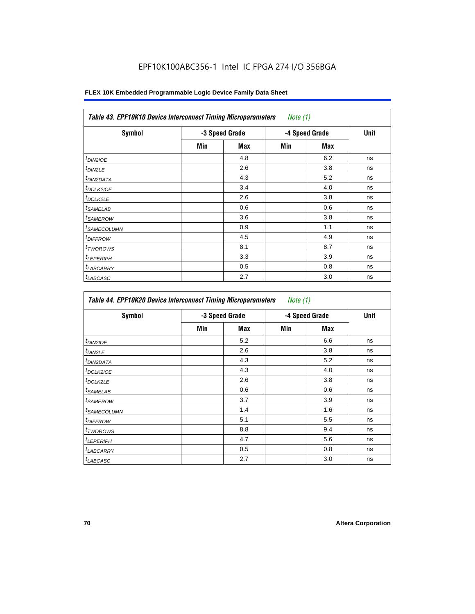| <b>Table 43. EPF10K10 Device Interconnect Timing Microparameters</b><br>Note $(1)$ |                |     |                |            |      |  |
|------------------------------------------------------------------------------------|----------------|-----|----------------|------------|------|--|
| <b>Symbol</b>                                                                      | -3 Speed Grade |     | -4 Speed Grade |            | Unit |  |
|                                                                                    | Min            | Max | Min            | <b>Max</b> |      |  |
| $t_{DIN2IOE}$                                                                      |                | 4.8 |                | 6.2        | ns   |  |
| <sup>t</sup> DIN2LE                                                                |                | 2.6 |                | 3.8        | ns   |  |
| <sup>t</sup> DIN2DATA                                                              |                | 4.3 |                | 5.2        | ns   |  |
| <sup>t</sup> DCLK2IOE                                                              |                | 3.4 |                | 4.0        | ns   |  |
| <sup>t</sup> DCLK2LE                                                               |                | 2.6 |                | 3.8        | ns   |  |
| <sup>t</sup> SAMELAB                                                               |                | 0.6 |                | 0.6        | ns   |  |
| <sup>t</sup> SAMEROW                                                               |                | 3.6 |                | 3.8        | ns   |  |
| <sup>t</sup> SAMECOLUMN                                                            |                | 0.9 |                | 1.1        | ns   |  |
| <i>t<sub>DIFFROW</sub></i>                                                         |                | 4.5 |                | 4.9        | ns   |  |
| <sup>t</sup> TWOROWS                                                               |                | 8.1 |                | 8.7        | ns   |  |
| <sup>t</sup> LEPERIPH                                                              |                | 3.3 |                | 3.9        | ns   |  |
| <sup>t</sup> LABCARRY                                                              |                | 0.5 |                | 0.8        | ns   |  |
| <sup>t</sup> LABCASC                                                               |                | 2.7 |                | 3.0        | ns   |  |

| Symbol                  | -3 Speed Grade |     | -4 Speed Grade |     | Unit |
|-------------------------|----------------|-----|----------------|-----|------|
|                         | Min            | Max | Min            | Max |      |
| <sup>t</sup> DIN2IOE    |                | 5.2 |                | 6.6 | ns   |
| <sup>t</sup> DIN2LE     |                | 2.6 |                | 3.8 | ns   |
| <sup>I</sup> DIN2DATA   |                | 4.3 |                | 5.2 | ns   |
| <sup>t</sup> DCLK2IOE   |                | 4.3 |                | 4.0 | ns   |
| <sup>t</sup> DCLK2LE    |                | 2.6 |                | 3.8 | ns   |
| <sup>t</sup> SAMELAB    |                | 0.6 |                | 0.6 | ns   |
| <sup>t</sup> SAMEROW    |                | 3.7 |                | 3.9 | ns   |
| <sup>t</sup> SAMECOLUMN |                | 1.4 |                | 1.6 | ns   |
| <sup>t</sup> DIFFROW    |                | 5.1 |                | 5.5 | ns   |
| <sup>t</sup> TWOROWS    |                | 8.8 |                | 9.4 | ns   |
| <sup>t</sup> LEPERIPH   |                | 4.7 |                | 5.6 | ns   |
| <sup>t</sup> LABCARRY   |                | 0.5 |                | 0.8 | ns   |
| <sup>t</sup> LABCASC    |                | 2.7 |                | 3.0 | ns   |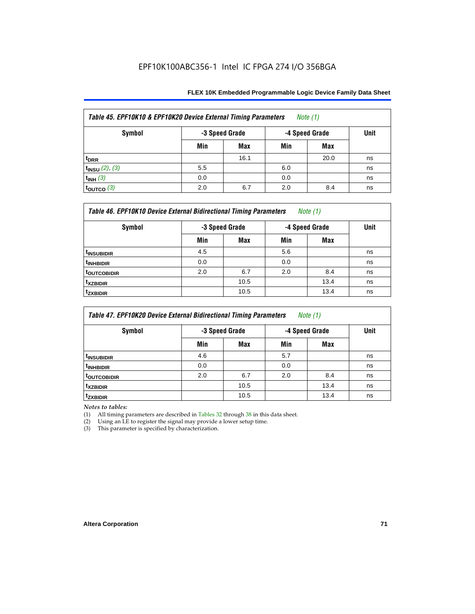| Table 45. EPF10K10 & EPF10K20 Device External Timing Parameters<br>Note (1) |                |      |                |      |             |  |
|-----------------------------------------------------------------------------|----------------|------|----------------|------|-------------|--|
| <b>Symbol</b>                                                               | -3 Speed Grade |      | -4 Speed Grade |      | <b>Unit</b> |  |
|                                                                             | Min            | Max  | Min            | Max  |             |  |
| t <sub>DRR</sub>                                                            |                | 16.1 |                | 20.0 | ns          |  |
| $t_{INSU}$ (2), (3)                                                         | 5.5            |      | 6.0            |      | ns          |  |
| $t_{INH}$ (3)                                                               | 0.0            |      | 0.0            |      | ns          |  |
| $\vert$ toutco (3)                                                          | 2.0            | 6.7  | 2.0            | 8.4  | ns          |  |

| Table 46. EPF10K10 Device External Bidirectional Timing Parameters<br>Note $(1)$ |                |      |                |      |             |  |  |
|----------------------------------------------------------------------------------|----------------|------|----------------|------|-------------|--|--|
| Symbol                                                                           | -3 Speed Grade |      | -4 Speed Grade |      | <b>Unit</b> |  |  |
|                                                                                  | Min            | Max  | Min            | Max  |             |  |  |
| <sup>t</sup> insubidir                                                           | 4.5            |      | 5.6            |      | ns          |  |  |
| <sup>t</sup> INHBIDIR                                                            | 0.0            |      | 0.0            |      | ns          |  |  |
| <sup>t</sup> OUTCOBIDIR                                                          | 2.0            | 6.7  | 2.0            | 8.4  | ns          |  |  |
| <sup>t</sup> xzbidir                                                             |                | 10.5 |                | 13.4 | ns          |  |  |
| <sup>t</sup> zxbidir                                                             |                | 10.5 |                | 13.4 | ns          |  |  |

| Table 47. EPF10K20 Device External Bidirectional Timing Parameters<br><i>Note</i> $(1)$ |                |      |                |      |             |  |  |
|-----------------------------------------------------------------------------------------|----------------|------|----------------|------|-------------|--|--|
| Symbol                                                                                  | -3 Speed Grade |      | -4 Speed Grade |      | <b>Unit</b> |  |  |
|                                                                                         | Min            | Max  | Min            | Max  |             |  |  |
| <sup>t</sup> INSUBIDIR                                                                  | 4.6            |      | 5.7            |      | ns          |  |  |
| <sup>t</sup> INHBIDIR                                                                   | 0.0            |      | 0.0            |      | ns          |  |  |
| <b>TOUTCOBIDIR</b>                                                                      | 2.0            | 6.7  | 2.0            | 8.4  | ns          |  |  |
| <sup>t</sup> xzbidir                                                                    |                | 10.5 |                | 13.4 | ns          |  |  |
| <sup>t</sup> zxbidir                                                                    |                | 10.5 |                | 13.4 | ns          |  |  |

*Notes to tables:*

(1) All timing parameters are described in Tables 32 through 38 in this data sheet.

(2) Using an LE to register the signal may provide a lower setup time.

(3) This parameter is specified by characterization.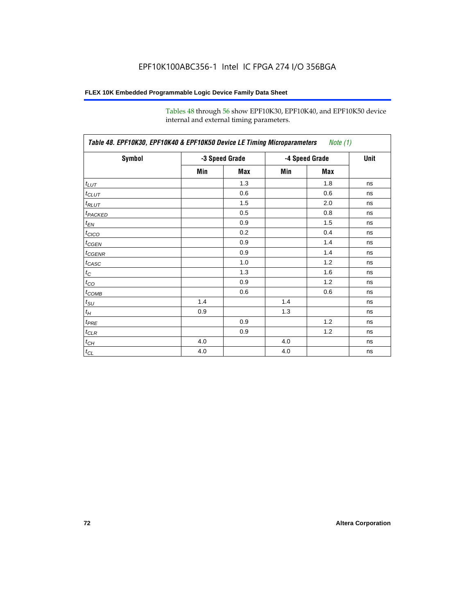Tables 48 through 56 show EPF10K30, EPF10K40, and EPF10K50 device internal and external timing parameters.

| Symbol                     |     | -3 Speed Grade | -4 Speed Grade | <b>Unit</b> |    |
|----------------------------|-----|----------------|----------------|-------------|----|
|                            |     |                |                |             |    |
|                            | Min | Max            | Min            | Max         |    |
| $t_{LUT}$                  |     | 1.3            |                | 1.8         | ns |
| $t_{CLUT}$                 |     | 0.6            |                | 0.6         | ns |
| $t_{RLUT}$                 |     | 1.5            |                | 2.0         | ns |
| <b>t</b> <sub>PACKED</sub> |     | 0.5            |                | 0.8         | ns |
| $t_{EN}$                   |     | 0.9            |                | 1.5         | ns |
| $t_{CICO}$                 |     | 0.2            |                | 0.4         | ns |
| $t_{CGEN}$                 |     | 0.9            |                | 1.4         | ns |
| $t_{\text{GENR}}$          |     | 0.9            |                | 1.4         | ns |
| $t_{CASC}$                 |     | 1.0            |                | 1.2         | ns |
| $t_{\rm C}$                |     | 1.3            |                | 1.6         | ns |
| $t_{CO}$                   |     | 0.9            |                | 1.2         | ns |
| $t_{\text{COMB}}$          |     | 0.6            |                | 0.6         | ns |
| $t_{\text{SU}}$            | 1.4 |                | 1.4            |             | ns |
| $t_H$                      | 0.9 |                | 1.3            |             | ns |
| $t_{PRE}$                  |     | 0.9            |                | 1.2         | ns |
| $t_{\text{CLR}}$           |     | 0.9            |                | 1.2         | ns |
| $t_{CH}$                   | 4.0 |                | 4.0            |             | ns |
| $t_{CL}$                   | 4.0 |                | 4.0            |             | ns |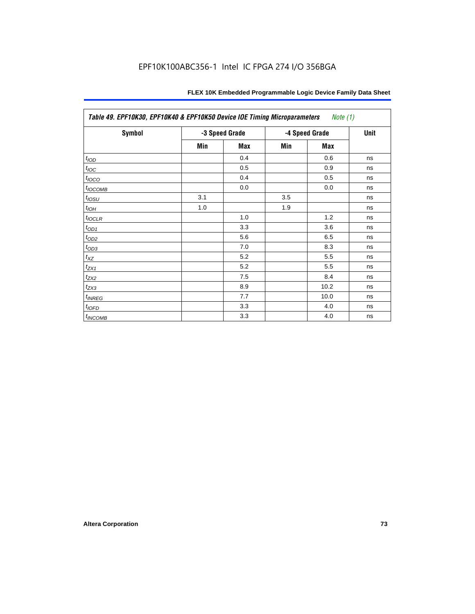| Table 49. EPF10K30, EPF10K40 & EPF10K50 Device IOE Timing Microparameters<br><i>Note</i> $(1)$ |     |                |                |             |    |  |  |  |
|------------------------------------------------------------------------------------------------|-----|----------------|----------------|-------------|----|--|--|--|
| <b>Symbol</b>                                                                                  |     | -3 Speed Grade | -4 Speed Grade | <b>Unit</b> |    |  |  |  |
|                                                                                                | Min | <b>Max</b>     | Min            | Max         |    |  |  |  |
| t <sub>IOD</sub>                                                                               |     | 0.4            |                | 0.6         | ns |  |  |  |
| $t_{\text{IOC}}$                                                                               |     | 0.5            |                | 0.9         | ns |  |  |  |
| $t_{IOCO}$                                                                                     |     | 0.4            |                | 0.5         | ns |  |  |  |
| $t_{IOCOMB}$                                                                                   |     | 0.0            |                | 0.0         | ns |  |  |  |
| $t_{IOSU}$                                                                                     | 3.1 |                | 3.5            |             | ns |  |  |  |
| $t_{IOH}$                                                                                      | 1.0 |                | 1.9            |             | ns |  |  |  |
| $t_{\text{IOCLR}}$                                                                             |     | 1.0            |                | 1.2         | ns |  |  |  |
| $t_{OD1}$                                                                                      |     | 3.3            |                | 3.6         | ns |  |  |  |
| $t_{OD2}$                                                                                      |     | 5.6            |                | 6.5         | ns |  |  |  |
| $t_{OD3}$                                                                                      |     | 7.0            |                | 8.3         | ns |  |  |  |
| $t_{\mathsf{XZ}}$                                                                              |     | 5.2            |                | 5.5         | ns |  |  |  |
| $t_{ZX1}$                                                                                      |     | 5.2            |                | 5.5         | ns |  |  |  |
| $t_{ZX2}$                                                                                      |     | 7.5            |                | 8.4         | ns |  |  |  |
| $t_{ZX3}$                                                                                      |     | 8.9            |                | 10.2        | ns |  |  |  |
| $t_{INREG}$                                                                                    |     | 7.7            |                | 10.0        | ns |  |  |  |
| $t_{IOFD}$                                                                                     |     | 3.3            |                | 4.0         | ns |  |  |  |
| $t_{INCOMB}$                                                                                   |     | 3.3            |                | 4.0         | ns |  |  |  |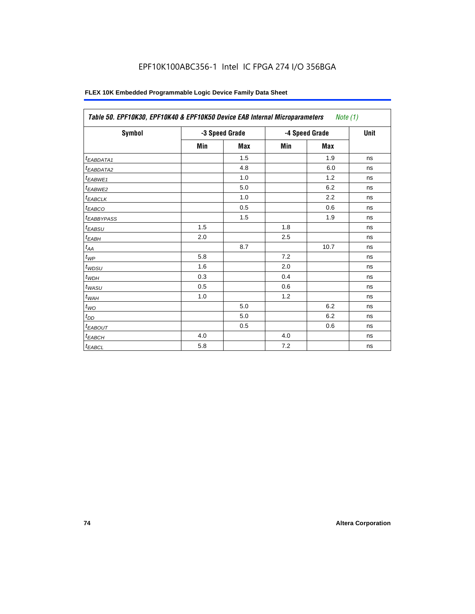| Symbol                   |     | -3 Speed Grade |     | -4 Speed Grade | <b>Unit</b> |
|--------------------------|-----|----------------|-----|----------------|-------------|
|                          | Min | <b>Max</b>     | Min | Max            |             |
| <sup>t</sup> EABDATA1    |     | 1.5            |     | 1.9            | ns          |
| t <sub>EABDATA2</sub>    |     | 4.8            |     | 6.0            | ns          |
| t <sub>EABWE1</sub>      |     | 1.0            |     | 1.2            | ns          |
| t <sub>EABWE2</sub>      |     | 5.0            |     | 6.2            | ns          |
| $t_{EABCLK}$             |     | 1.0            |     | 2.2            | ns          |
| $t_{EABCO}$              |     | 0.5            |     | 0.6            | ns          |
| <i><b>LEABBYPASS</b></i> |     | 1.5            |     | 1.9            | ns          |
| $t_{EABSU}$              | 1.5 |                | 1.8 |                | ns          |
| $t_{EABH}$               | 2.0 |                | 2.5 |                | ns          |
| $t_{AA}$                 |     | 8.7            |     | 10.7           | ns          |
| $t_{WP}$                 | 5.8 |                | 7.2 |                | ns          |
| $t_{WDSU}$               | 1.6 |                | 2.0 |                | ns          |
| $t_{WDH}$                | 0.3 |                | 0.4 |                | ns          |
| $t_{WASU}$               | 0.5 |                | 0.6 |                | ns          |
| $t_{WAH}$                | 1.0 |                | 1.2 |                | ns          |
| $t_{WO}$                 |     | 5.0            |     | 6.2            | ns          |
| $t_{DD}$                 |     | 5.0            |     | 6.2            | ns          |
| <sup>t</sup> EABOUT      |     | 0.5            |     | 0.6            | ns          |
| <sup>t</sup> ЕАВСН       | 4.0 |                | 4.0 |                | ns          |
| $t_{EABCL}$              | 5.8 |                | 7.2 |                | ns          |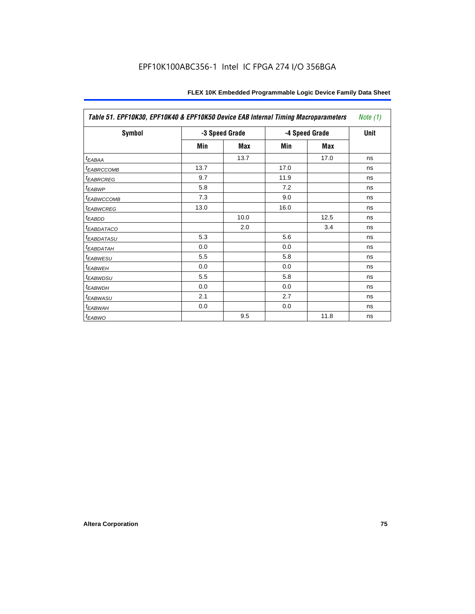| Table 51. EPF10K30, EPF10K40 & EPF10K50 Device EAB Internal Timing Macroparameters |      |                |      |                |             |  |  |
|------------------------------------------------------------------------------------|------|----------------|------|----------------|-------------|--|--|
| Symbol                                                                             |      | -3 Speed Grade |      | -4 Speed Grade | <b>Unit</b> |  |  |
|                                                                                    | Min  | <b>Max</b>     | Min  | Max            |             |  |  |
| $t_{EABA}$                                                                         |      | 13.7           |      | 17.0           | ns          |  |  |
| <b><i>EABRCCOMB</i></b>                                                            | 13.7 |                | 17.0 |                | ns          |  |  |
| <b><i>EABRCREG</i></b>                                                             | 9.7  |                | 11.9 |                | ns          |  |  |
| <sup>t</sup> EABWP                                                                 | 5.8  |                | 7.2  |                | ns          |  |  |
| <b><i>EABWCCOMB</i></b>                                                            | 7.3  |                | 9.0  |                | ns          |  |  |
| <b><i>EABWCREG</i></b>                                                             | 13.0 |                | 16.0 |                | ns          |  |  |
| <sup>t</sup> EABDD                                                                 |      | 10.0           |      | 12.5           | ns          |  |  |
| <i>EABDATACO</i>                                                                   |      | 2.0            |      | 3.4            | ns          |  |  |
| <sup>I</sup> EABDATASU                                                             | 5.3  |                | 5.6  |                | ns          |  |  |
| <sup>t</sup> EABDATAH                                                              | 0.0  |                | 0.0  |                | ns          |  |  |
| <b><i>EABWESU</i></b>                                                              | 5.5  |                | 5.8  |                | ns          |  |  |
| <sup>t</sup> EABWEH                                                                | 0.0  |                | 0.0  |                | ns          |  |  |
| <sup>t</sup> EABWDSU                                                               | 5.5  |                | 5.8  |                | ns          |  |  |
| <sup>t</sup> EABWDH                                                                | 0.0  |                | 0.0  |                | ns          |  |  |
| <sup>t</sup> EABWASU                                                               | 2.1  |                | 2.7  |                | ns          |  |  |
| <sup>t</sup> EABWAH                                                                | 0.0  |                | 0.0  |                | ns          |  |  |
| $t_{EABWO}$                                                                        |      | 9.5            |      | 11.8           | ns          |  |  |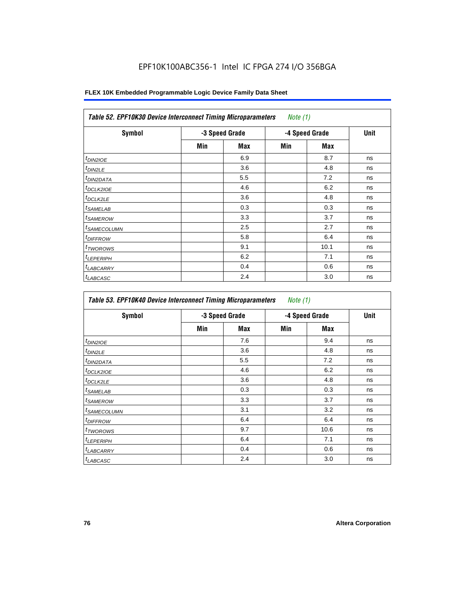| <b>Symbol</b>              |     | -3 Speed Grade |     | -4 Speed Grade | <b>Unit</b> |
|----------------------------|-----|----------------|-----|----------------|-------------|
|                            | Min | Max            | Min | <b>Max</b>     |             |
| t <sub>DIN2IOE</sub>       |     | 6.9            |     | 8.7            | ns          |
| $t_{DIN2LE}$               |     | 3.6            |     | 4.8            | ns          |
| <sup>t</sup> DIN2DATA      |     | 5.5            |     | 7.2            | ns          |
| <sup>t</sup> DCLK2IOE      |     | 4.6            |     | 6.2            | ns          |
| ${}^t$ DCLK2LE             |     | 3.6            |     | 4.8            | ns          |
| <sup>t</sup> SAMELAB       |     | 0.3            |     | 0.3            | ns          |
| <sup>t</sup> SAMEROW       |     | 3.3            |     | 3.7            | ns          |
| <sup>t</sup> SAMECOLUMN    |     | 2.5            |     | 2.7            | ns          |
| <i>t<sub>DIFFROW</sub></i> |     | 5.8            |     | 6.4            | ns          |
| <sup>t</sup> TWOROWS       |     | 9.1            |     | 10.1           | ns          |
| <sup>t</sup> LEPERIPH      |     | 6.2            |     | 7.1            | ns          |
| <sup>I</sup> LABCARRY      |     | 0.4            |     | 0.6            | ns          |
| <sup>t</sup> LABCASC       |     | 2.4            |     | 3.0            | ns          |

| Symbol                  |     | -3 Speed Grade |     | -4 Speed Grade | <b>Unit</b> |
|-------------------------|-----|----------------|-----|----------------|-------------|
|                         | Min | Max            | Min | Max            |             |
| <sup>t</sup> DIN2IOE    |     | 7.6            |     | 9.4            | ns          |
| <sup>t</sup> DIN2LE     |     | 3.6            |     | 4.8            | ns          |
| <sup>I</sup> DIN2DATA   |     | 5.5            |     | 7.2            | ns          |
| <sup>t</sup> DCLK2IOE   |     | 4.6            |     | 6.2            | ns          |
| <sup>t</sup> DCLK2LE    |     | 3.6            |     | 4.8            | ns          |
| <sup>t</sup> SAMELAB    |     | 0.3            |     | 0.3            | ns          |
| <sup>t</sup> SAMEROW    |     | 3.3            |     | 3.7            | ns          |
| <sup>t</sup> SAMECOLUMN |     | 3.1            |     | 3.2            | ns          |
| <sup>t</sup> DIFFROW    |     | 6.4            |     | 6.4            | ns          |
| <sup>t</sup> TWOROWS    |     | 9.7            |     | 10.6           | ns          |
| <sup>t</sup> LEPERIPH   |     | 6.4            |     | 7.1            | ns          |
| <sup>t</sup> LABCARRY   |     | 0.4            |     | 0.6            | ns          |
| <sup>t</sup> LABCASC    |     | 2.4            |     | 3.0            | ns          |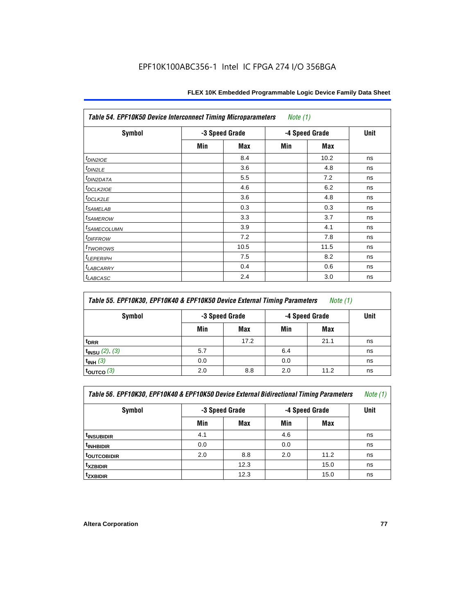| <b>Table 54. EPF10K50 Device Interconnect Timing Microparameters</b><br>Note $(1)$ |     |                |     |                |             |  |  |  |  |
|------------------------------------------------------------------------------------|-----|----------------|-----|----------------|-------------|--|--|--|--|
| <b>Symbol</b>                                                                      |     | -3 Speed Grade |     | -4 Speed Grade | <b>Unit</b> |  |  |  |  |
|                                                                                    | Min | Max            | Min | <b>Max</b>     |             |  |  |  |  |
| $t_{DIN2IOE}$                                                                      |     | 8.4            |     | 10.2           | ns          |  |  |  |  |
| t <sub>DIN2LE</sub>                                                                |     | 3.6            |     | 4.8            | ns          |  |  |  |  |
| <sup>t</sup> DIN2DATA                                                              |     | 5.5            |     | 7.2            | ns          |  |  |  |  |
| t <sub>DCLK210E</sub>                                                              |     | 4.6            |     | 6.2            | ns          |  |  |  |  |
| $t_{DCLK2LE}$                                                                      |     | 3.6            |     | 4.8            | ns          |  |  |  |  |
| <sup>t</sup> SAMELAB                                                               |     | 0.3            |     | 0.3            | ns          |  |  |  |  |
| <i>t</i> SAMEROW                                                                   |     | 3.3            |     | 3.7            | ns          |  |  |  |  |
| <i><b>ISAMECOLUMN</b></i>                                                          |     | 3.9            |     | 4.1            | ns          |  |  |  |  |
| <i>t<sub>DIFFROW</sub></i>                                                         |     | 7.2            |     | 7.8            | ns          |  |  |  |  |
| <sup>t</sup> TWOROWS                                                               |     | 10.5           |     | 11.5           | ns          |  |  |  |  |
| <sup>t</sup> LEPERIPH                                                              |     | 7.5            |     | 8.2            | ns          |  |  |  |  |
| <sup>t</sup> LABCARRY                                                              |     | 0.4            |     | 0.6            | ns          |  |  |  |  |
| <sup>t</sup> LABCASC                                                               |     | 2.4            |     | 3.0            | ns          |  |  |  |  |

| Table 55. EPF10K30, EPF10K40 & EPF10K50 Device External Timing Parameters<br>Note $(1)$ |                |      |                |      |    |  |  |  |
|-----------------------------------------------------------------------------------------|----------------|------|----------------|------|----|--|--|--|
| Symbol                                                                                  | -3 Speed Grade |      | -4 Speed Grade | Unit |    |  |  |  |
|                                                                                         | Min            | Max  | Min            | Max  |    |  |  |  |
| t <sub>DRR</sub>                                                                        |                | 17.2 |                | 21.1 | ns |  |  |  |
| $t_{INSU}$ (2), (3)                                                                     | 5.7            |      | 6.4            |      | ns |  |  |  |
| $t_{INH}$ (3)                                                                           | 0.0            |      | 0.0            |      | ns |  |  |  |
| $t_{\text{OUTCO}}(3)$                                                                   | 2.0            | 8.8  | 2.0            | 11.2 | ns |  |  |  |

| Table 56. EPF10K30, EPF10K40 & EPF10K50 Device External Bidirectional Timing Parameters<br>Note $(1)$ |                                  |      |     |             |    |  |  |  |  |
|-------------------------------------------------------------------------------------------------------|----------------------------------|------|-----|-------------|----|--|--|--|--|
| Symbol                                                                                                | -3 Speed Grade<br>-4 Speed Grade |      |     | <b>Unit</b> |    |  |  |  |  |
|                                                                                                       | Min                              | Max  | Min | Max         |    |  |  |  |  |
| <sup>t</sup> INSUBIDIR                                                                                | 4.1                              |      | 4.6 |             | ns |  |  |  |  |
| <sup>t</sup> INHBIDIR                                                                                 | 0.0                              |      | 0.0 |             | ns |  |  |  |  |
| t <sub>outcobidir</sub>                                                                               | 2.0                              | 8.8  | 2.0 | 11.2        | ns |  |  |  |  |
| <sup>t</sup> xzbidir                                                                                  |                                  | 12.3 |     | 15.0        | ns |  |  |  |  |
| <sup>t</sup> zxbidir                                                                                  |                                  | 12.3 |     | 15.0        | ns |  |  |  |  |

r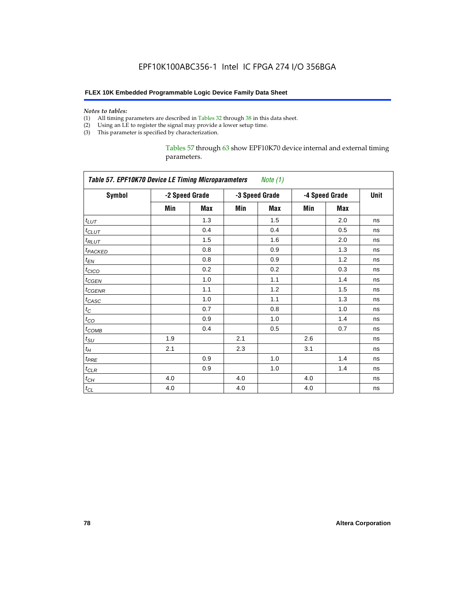#### *Notes to tables:*

- (1) All timing parameters are described in Tables 32 through 38 in this data sheet.
- (2) Using an LE to register the signal may provide a lower setup time.
- (3) This parameter is specified by characterization.

Tables 57 through 63 show EPF10K70 device internal and external timing parameters.

| <b>Table 57. EPF10K70 Device LE Timing Microparameters</b><br>Note (1) |     |                |     |                |     |                |    |  |
|------------------------------------------------------------------------|-----|----------------|-----|----------------|-----|----------------|----|--|
| <b>Symbol</b>                                                          |     | -2 Speed Grade |     | -3 Speed Grade |     | -4 Speed Grade |    |  |
|                                                                        | Min | Max            | Min | <b>Max</b>     | Min | <b>Max</b>     |    |  |
| $t_{LUT}$                                                              |     | 1.3            |     | 1.5            |     | 2.0            | ns |  |
| $t$ CLUT                                                               |     | 0.4            |     | 0.4            |     | 0.5            | ns |  |
| $t_{RLUT}$                                                             |     | 1.5            |     | 1.6            |     | 2.0            | ns |  |
| t <sub>PACKED</sub>                                                    |     | 0.8            |     | 0.9            |     | 1.3            | ns |  |
| $t_{EN}$                                                               |     | 0.8            |     | 0.9            |     | 1.2            | ns |  |
| $t_{CICO}$                                                             |     | 0.2            |     | 0.2            |     | 0.3            | ns |  |
| $t_{GEN}$                                                              |     | 1.0            |     | 1.1            |     | 1.4            | ns |  |
| $t_{\text{GENR}}$                                                      |     | 1.1            |     | 1.2            |     | 1.5            | ns |  |
| $t_{CASC}$                                                             |     | 1.0            |     | 1.1            |     | 1.3            | ns |  |
| $t_C$                                                                  |     | 0.7            |     | 0.8            |     | 1.0            | ns |  |
| $t_{CO}$                                                               |     | 0.9            |     | 1.0            |     | 1.4            | ns |  |
| $t_{COMB}$                                                             |     | 0.4            |     | 0.5            |     | 0.7            | ns |  |
| $t_{\text{SU}}$                                                        | 1.9 |                | 2.1 |                | 2.6 |                | ns |  |
| $t_H$                                                                  | 2.1 |                | 2.3 |                | 3.1 |                | ns |  |
| $t_{PRE}$                                                              |     | 0.9            |     | 1.0            |     | 1.4            | ns |  |
| $t_{CLR}$                                                              |     | 0.9            |     | 1.0            |     | 1.4            | ns |  |
| $t_{CH}$                                                               | 4.0 |                | 4.0 |                | 4.0 |                | ns |  |
| $t_{CL}$                                                               | 4.0 |                | 4.0 |                | 4.0 |                | ns |  |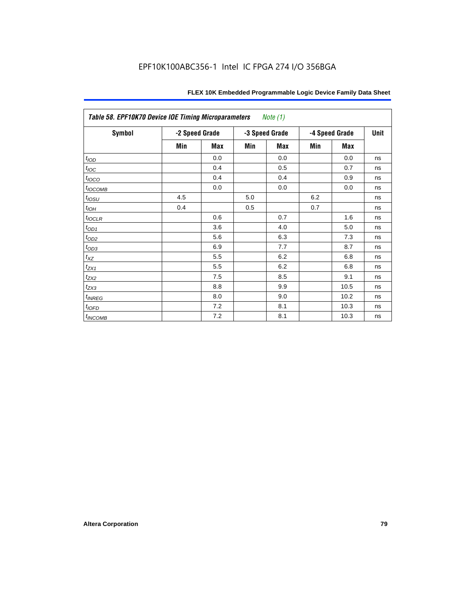| Table 58. EPF10K70 Device IOE Timing Microparameters<br><i>Note</i> $(1)$ |                |            |     |                |                |             |    |  |  |
|---------------------------------------------------------------------------|----------------|------------|-----|----------------|----------------|-------------|----|--|--|
| <b>Symbol</b>                                                             | -2 Speed Grade |            |     | -3 Speed Grade | -4 Speed Grade | <b>Unit</b> |    |  |  |
|                                                                           | Min            | <b>Max</b> | Min | <b>Max</b>     | Min            | <b>Max</b>  |    |  |  |
| t <sub>IOD</sub>                                                          |                | 0.0        |     | 0.0            |                | 0.0         | ns |  |  |
| $t_{\text{IOC}}$                                                          |                | 0.4        |     | 0.5            |                | 0.7         | ns |  |  |
| $t_{IOCO}$                                                                |                | 0.4        |     | 0.4            |                | 0.9         | ns |  |  |
| $t_{IOCOMB}$                                                              |                | 0.0        |     | 0.0            |                | 0.0         | ns |  |  |
| $t_{IOSU}$                                                                | 4.5            |            | 5.0 |                | 6.2            |             | ns |  |  |
| $t_{IOH}$                                                                 | 0.4            |            | 0.5 |                | 0.7            |             | ns |  |  |
| $t_{IOCLR}$                                                               |                | 0.6        |     | 0.7            |                | 1.6         | ns |  |  |
| $t_{OD1}$                                                                 |                | 3.6        |     | 4.0            |                | 5.0         | ns |  |  |
| $t_{OD2}$                                                                 |                | 5.6        |     | 6.3            |                | 7.3         | ns |  |  |
| $t_{OD3}$                                                                 |                | 6.9        |     | 7.7            |                | 8.7         | ns |  |  |
| $t_{\mathsf{XZ}}$                                                         |                | 5.5        |     | 6.2            |                | 6.8         | ns |  |  |
| $t_{ZX1}$                                                                 |                | 5.5        |     | 6.2            |                | 6.8         | ns |  |  |
| $t_{ZX2}$                                                                 |                | 7.5        |     | 8.5            |                | 9.1         | ns |  |  |
| $t_{ZX3}$                                                                 |                | 8.8        |     | 9.9            |                | 10.5        | ns |  |  |
| $t_{INREG}$                                                               |                | 8.0        |     | 9.0            |                | 10.2        | ns |  |  |
| $t_{IOFD}$                                                                |                | 7.2        |     | 8.1            |                | 10.3        | ns |  |  |
| $t_{INCOMB}$                                                              |                | 7.2        |     | 8.1            |                | 10.3        | ns |  |  |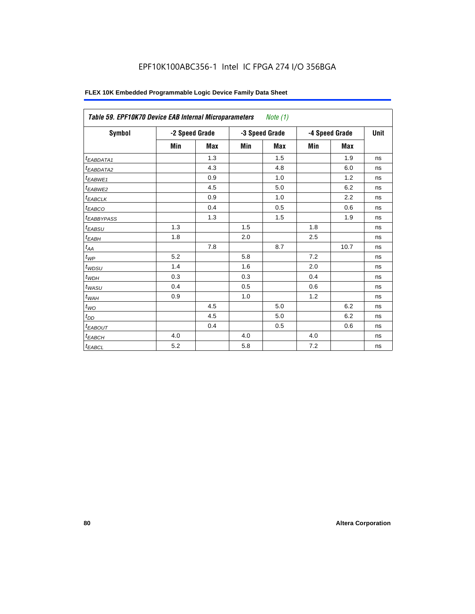# EPF10K100ABC356-1 Intel IC FPGA 274 I/O 356BGA

| FLEX 10K Embedded Programmable Logic Device Family Data Sheet |  |
|---------------------------------------------------------------|--|
|---------------------------------------------------------------|--|

| Table 59. EPF10K70 Device EAB Internal Microparameters<br>Note $(1)$ |                |            |     |                                  |     |            |             |  |  |
|----------------------------------------------------------------------|----------------|------------|-----|----------------------------------|-----|------------|-------------|--|--|
| Symbol                                                               | -2 Speed Grade |            |     | -4 Speed Grade<br>-3 Speed Grade |     |            | <b>Unit</b> |  |  |
|                                                                      | Min            | <b>Max</b> | Min | <b>Max</b>                       | Min | <b>Max</b> |             |  |  |
| $t_{EABDATA1}$                                                       |                | 1.3        |     | 1.5                              |     | 1.9        | ns          |  |  |
| $t_{EABDATA2}$                                                       |                | 4.3        |     | 4.8                              |     | 6.0        | ns          |  |  |
| t <sub>EABWE1</sub>                                                  |                | 0.9        |     | 1.0                              |     | 1.2        | ns          |  |  |
| t <sub>EABWE2</sub>                                                  |                | 4.5        |     | 5.0                              |     | 6.2        | ns          |  |  |
| $t_{EABCLK}$                                                         |                | 0.9        |     | 1.0                              |     | 2.2        | ns          |  |  |
| $t_{EABCO}$                                                          |                | 0.4        |     | 0.5                              |     | 0.6        | ns          |  |  |
| <b><i>EABBYPASS</i></b>                                              |                | 1.3        |     | 1.5                              |     | 1.9        | ns          |  |  |
| $t_{EABSU}$                                                          | 1.3            |            | 1.5 |                                  | 1.8 |            | ns          |  |  |
| $t_{EABH}$                                                           | 1.8            |            | 2.0 |                                  | 2.5 |            | ns          |  |  |
| $t_{AA}$                                                             |                | 7.8        |     | 8.7                              |     | 10.7       | ns          |  |  |
| $t_{\mathit{WP}}$                                                    | 5.2            |            | 5.8 |                                  | 7.2 |            | ns          |  |  |
| $t_{W\!D\!S\!U}$                                                     | 1.4            |            | 1.6 |                                  | 2.0 |            | ns          |  |  |
| $t_{WDH}$                                                            | 0.3            |            | 0.3 |                                  | 0.4 |            | ns          |  |  |
| $t_{WASU}$                                                           | 0.4            |            | 0.5 |                                  | 0.6 |            | ns          |  |  |
| $t_{W\!A H}$                                                         | 0.9            |            | 1.0 |                                  | 1.2 |            | ns          |  |  |
| $t_{WO}$                                                             |                | 4.5        |     | 5.0                              |     | 6.2        | ns          |  |  |
| $t_{DD}$                                                             |                | 4.5        |     | 5.0                              |     | 6.2        | ns          |  |  |
| <sup>t</sup> EABOUT                                                  |                | 0.4        |     | 0.5                              |     | 0.6        | ns          |  |  |
| $t_{EABCH}$                                                          | 4.0            |            | 4.0 |                                  | 4.0 |            | ns          |  |  |
| $t_{EABCL}$                                                          | 5.2            |            | 5.8 |                                  | 7.2 |            | ns          |  |  |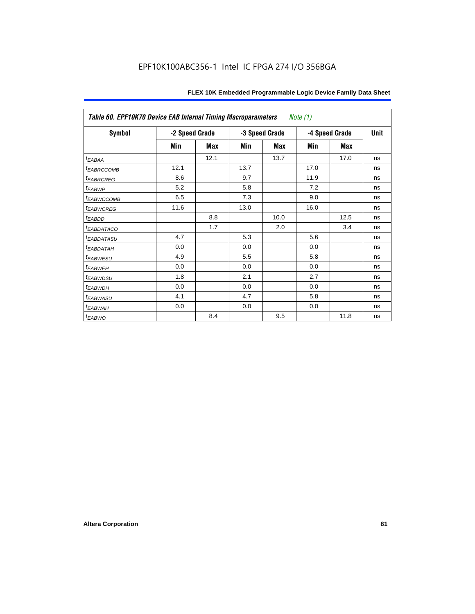| Table 60. EPF10K70 Device EAB Internal Timing Macroparameters<br><i>Note</i> $(1)$ |                |      |      |                |                |             |    |  |
|------------------------------------------------------------------------------------|----------------|------|------|----------------|----------------|-------------|----|--|
| Symbol                                                                             | -2 Speed Grade |      |      | -3 Speed Grade | -4 Speed Grade | <b>Unit</b> |    |  |
|                                                                                    | Min            | Max  | Min  | Max            | Min            | Max         |    |  |
| t <sub>EABAA</sub>                                                                 |                | 12.1 |      | 13.7           |                | 17.0        | ns |  |
| <sup>t</sup> EABRCCOMB                                                             | 12.1           |      | 13.7 |                | 17.0           |             | ns |  |
| <sup>t</sup> EABRCREG                                                              | 8.6            |      | 9.7  |                | 11.9           |             | ns |  |
| <sup>t</sup> EABWP                                                                 | 5.2            |      | 5.8  |                | 7.2            |             | ns |  |
| <sup>t</sup> EABWCCOMB                                                             | 6.5            |      | 7.3  |                | 9.0            |             | ns |  |
| <sup>t</sup> EABWCREG                                                              | 11.6           |      | 13.0 |                | 16.0           |             | ns |  |
| t <sub>EABDD</sub>                                                                 |                | 8.8  |      | 10.0           |                | 12.5        | ns |  |
| <sup>t</sup> EABDATACO                                                             |                | 1.7  |      | 2.0            |                | 3.4         | ns |  |
| <sup>t</sup> EABDATASU                                                             | 4.7            |      | 5.3  |                | 5.6            |             | ns |  |
| <sup>t</sup> EABDATAH                                                              | 0.0            |      | 0.0  |                | 0.0            |             | ns |  |
| <sup>t</sup> EABWESU                                                               | 4.9            |      | 5.5  |                | 5.8            |             | ns |  |
| <sup>t</sup> EABWEH                                                                | 0.0            |      | 0.0  |                | 0.0            |             | ns |  |
| <sup>t</sup> EABWDSU                                                               | 1.8            |      | 2.1  |                | 2.7            |             | ns |  |
| <sup>t</sup> EABWDH                                                                | 0.0            |      | 0.0  |                | 0.0            |             | ns |  |
| <sup>t</sup> EABWASU                                                               | 4.1            |      | 4.7  |                | 5.8            |             | ns |  |
| <sup>t</sup> EABWAH                                                                | 0.0            |      | 0.0  |                | 0.0            |             | ns |  |
| $t_{EABWO}$                                                                        |                | 8.4  |      | 9.5            |                | 11.8        | ns |  |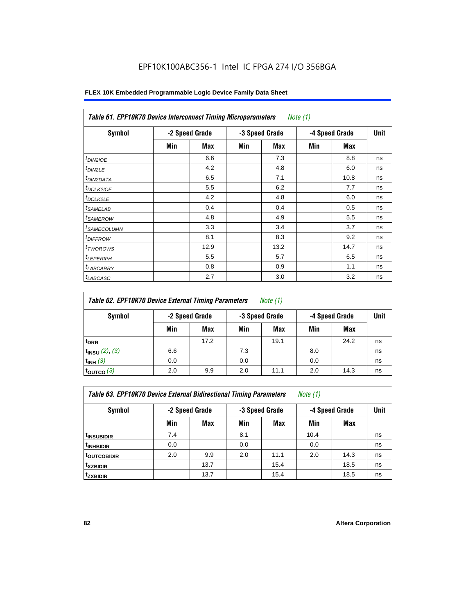| <b>Table 61. EPF10K70 Device Interconnect Timing Microparameters</b><br>Note $(1)$ |     |                |     |                |     |                |    |  |  |
|------------------------------------------------------------------------------------|-----|----------------|-----|----------------|-----|----------------|----|--|--|
| Symbol                                                                             |     | -2 Speed Grade |     | -3 Speed Grade |     | -4 Speed Grade |    |  |  |
|                                                                                    | Min | Max            | Min | Max            | Min | Max            |    |  |  |
| $t_{DINZIOE}$                                                                      |     | 6.6            |     | 7.3            |     | 8.8            | ns |  |  |
| $t_{DIN2LE}$                                                                       |     | 4.2            |     | 4.8            |     | 6.0            | ns |  |  |
| <sup>t</sup> DIN2DATA                                                              |     | 6.5            |     | 7.1            |     | 10.8           | ns |  |  |
| <sup>t</sup> DCLK2IOE                                                              |     | 5.5            |     | 6.2            |     | 7.7            | ns |  |  |
| <sup>t</sup> DCLK2LE                                                               |     | 4.2            |     | 4.8            |     | 6.0            | ns |  |  |
| <sup>t</sup> SAMELAB                                                               |     | 0.4            |     | 0.4            |     | 0.5            | ns |  |  |
| <sup>t</sup> SAMEROW                                                               |     | 4.8            |     | 4.9            |     | 5.5            | ns |  |  |
| <sup>t</sup> SAMECOLUMN                                                            |     | 3.3            |     | 3.4            |     | 3.7            | ns |  |  |
| <i><b>IDIFFROW</b></i>                                                             |     | 8.1            |     | 8.3            |     | 9.2            | ns |  |  |
| <sup>T</sup> TWOROWS                                                               |     | 12.9           |     | 13.2           |     | 14.7           | ns |  |  |
| <sup>t</sup> LEPERIPH                                                              |     | 5.5            |     | 5.7            |     | 6.5            | ns |  |  |
| <b>LABCARRY</b>                                                                    |     | 0.8            |     | 0.9            |     | 1.1            | ns |  |  |
| <sup>t</sup> LABCASC                                                               |     | 2.7            |     | 3.0            |     | 3.2            | ns |  |  |

| Table 62. EPF10K70 Device External Timing Parameters<br>Note $(1)$ |     |                |     |                |                |             |    |  |  |
|--------------------------------------------------------------------|-----|----------------|-----|----------------|----------------|-------------|----|--|--|
| Symbol                                                             |     | -2 Speed Grade |     | -3 Speed Grade | -4 Speed Grade | <b>Unit</b> |    |  |  |
|                                                                    | Min | Max            | Min | <b>Max</b>     | Min            | Max         |    |  |  |
| <sup>t</sup> DRR                                                   |     | 17.2           |     | 19.1           |                | 24.2        | ns |  |  |
| $t_{INSU}$ (2), (3)                                                | 6.6 |                | 7.3 |                | 8.0            |             | ns |  |  |
| $t_{INH}$ (3)                                                      | 0.0 |                | 0.0 |                | 0.0            |             | ns |  |  |
| $t_{\rm OUTCO}$ $(3)$                                              | 2.0 | 9.9            | 2.0 | 11.1           | 2.0            | 14.3        | ns |  |  |

*Table 63. EPF10K70 Device External Bidirectional Timing Parameters Note (1)*

| <b>Symbol</b>           | -2 Speed Grade |            |     | -3 Speed Grade | -4 Speed Grade | Unit       |    |
|-------------------------|----------------|------------|-----|----------------|----------------|------------|----|
|                         | Min            | <b>Max</b> | Min | <b>Max</b>     | Min            | <b>Max</b> |    |
| <sup>t</sup> INSUBIDIR  | 7.4            |            | 8.1 |                | 10.4           |            | ns |
| <sup>t</sup> INHBIDIR   | 0.0            |            | 0.0 |                | 0.0            |            | ns |
| <sup>t</sup> OUTCOBIDIR | 2.0            | 9.9        | 2.0 | 11.1           | 2.0            | 14.3       | ns |
| <sup>t</sup> xzbidir    |                | 13.7       |     | 15.4           |                | 18.5       | ns |
| <sup>t</sup> zxbidir    |                | 13.7       |     | 15.4           |                | 18.5       | ns |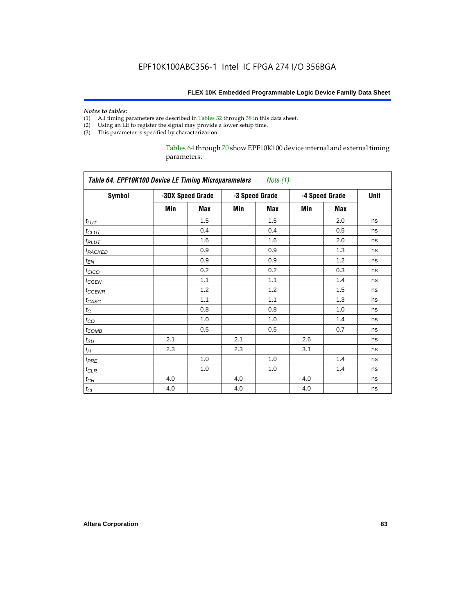#### *Notes to tables:*

- (1) All timing parameters are described in Tables 32 through 38 in this data sheet.
- (2) Using an LE to register the signal may provide a lower setup time.
- (3) This parameter is specified by characterization.

Tables 64 through 70 show EPF10K100 device internal and external timing parameters.

|                     |     |                  |     |                |     |                | Unit |
|---------------------|-----|------------------|-----|----------------|-----|----------------|------|
| <b>Symbol</b>       |     | -3DX Speed Grade |     | -3 Speed Grade |     | -4 Speed Grade |      |
|                     | Min | Max              | Min | Max            | Min | <b>Max</b>     |      |
| $t_{LUT}$           |     | 1.5              |     | 1.5            |     | 2.0            | ns   |
| $t_{CLUT}$          |     | 0.4              |     | 0.4            |     | 0.5            | ns   |
| $t_{RLUT}$          |     | 1.6              |     | 1.6            |     | 2.0            | ns   |
| t <sub>PACKED</sub> |     | 0.9              |     | 0.9            |     | 1.3            | ns   |
| $t_{EN}$            |     | 0.9              |     | 0.9            |     | 1.2            | ns   |
| $t_{CICO}$          |     | 0.2              |     | 0.2            |     | 0.3            | ns   |
| $t_{CGEN}$          |     | 1.1              |     | 1.1            |     | 1.4            | ns   |
| $t_{GENR}$          |     | 1.2              |     | 1.2            |     | 1.5            | ns   |
| $t_{CASC}$          |     | 1.1              |     | 1.1            |     | 1.3            | ns   |
| $t_C$               |     | 0.8              |     | 0.8            |     | 1.0            | ns   |
| $t_{CO}$            |     | 1.0              |     | 1.0            |     | 1.4            | ns   |
| $t_{COMB}$          |     | 0.5              |     | 0.5            |     | 0.7            | ns   |
| $t_{\text{SU}}$     | 2.1 |                  | 2.1 |                | 2.6 |                | ns   |
| $t_H$               | 2.3 |                  | 2.3 |                | 3.1 |                | ns   |
| $t_{PRE}$           |     | 1.0              |     | 1.0            |     | 1.4            | ns   |
| $t_{CLR}$           |     | 1.0              |     | 1.0            |     | 1.4            | ns   |
| $t_{CH}$            | 4.0 |                  | 4.0 |                | 4.0 |                | ns   |
| $t_{CL}$            | 4.0 |                  | 4.0 |                | 4.0 |                | ns   |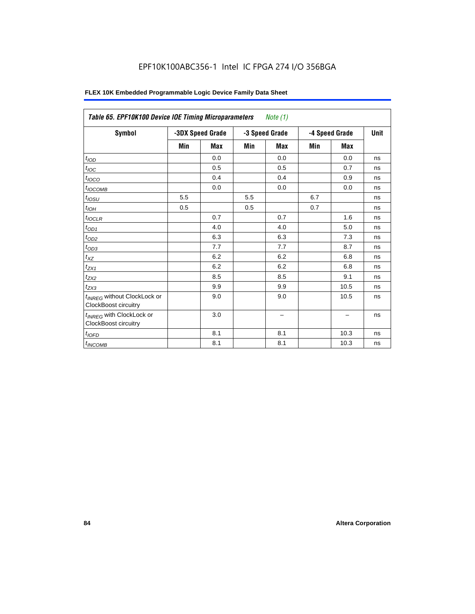# EPF10K100ABC356-1 Intel IC FPGA 274 I/O 356BGA

| <b>Symbol</b>                                                   |     | -3DX Speed Grade |     | -3 Speed Grade | -4 Speed Grade | Unit       |    |
|-----------------------------------------------------------------|-----|------------------|-----|----------------|----------------|------------|----|
|                                                                 | Min | <b>Max</b>       | Min | <b>Max</b>     | Min            | <b>Max</b> |    |
| t <sub>IOD</sub>                                                |     | 0.0              |     | 0.0            |                | 0.0        | ns |
| $t_{\text{IOC}}$                                                |     | 0.5              |     | 0.5            |                | 0.7        | ns |
| $t_{IOCO}$                                                      |     | 0.4              |     | 0.4            |                | 0.9        | ns |
| $t_{IOCOMB}$                                                    |     | 0.0              |     | 0.0            |                | 0.0        | ns |
| $t_{\underline{OSU}}$                                           | 5.5 |                  | 5.5 |                | 6.7            |            | ns |
| $t_{IOH}$                                                       | 0.5 |                  | 0.5 |                | 0.7            |            | ns |
| $t_{IOCLR}$                                                     |     | 0.7              |     | 0.7            |                | 1.6        | ns |
| $t_{OD1}$                                                       |     | 4.0              |     | 4.0            |                | 5.0        | ns |
| $t_{OD2}$                                                       |     | 6.3              |     | 6.3            |                | 7.3        | ns |
| $t_{0D3}$                                                       |     | 7.7              |     | 7.7            |                | 8.7        | ns |
| $t_{XZ}$                                                        |     | 6.2              |     | 6.2            |                | 6.8        | ns |
| $t_{ZX1}$                                                       |     | 6.2              |     | 6.2            |                | 6.8        | ns |
| t <sub>ZX2</sub>                                                |     | 8.5              |     | 8.5            |                | 9.1        | ns |
| $t_{ZX3}$                                                       |     | 9.9              |     | 9.9            |                | 10.5       | ns |
| t <sub>INREG</sub> without ClockLock or<br>ClockBoost circuitry |     | 9.0              |     | 9.0            |                | 10.5       | ns |
| t <sub>INREG</sub> with ClockLock or<br>ClockBoost circuitry    |     | 3.0              |     | -              |                |            | ns |
| $t_{IOFD}$                                                      |     | 8.1              |     | 8.1            |                | 10.3       | ns |
| $t_{INCOMB}$                                                    |     | 8.1              |     | 8.1            |                | 10.3       | ns |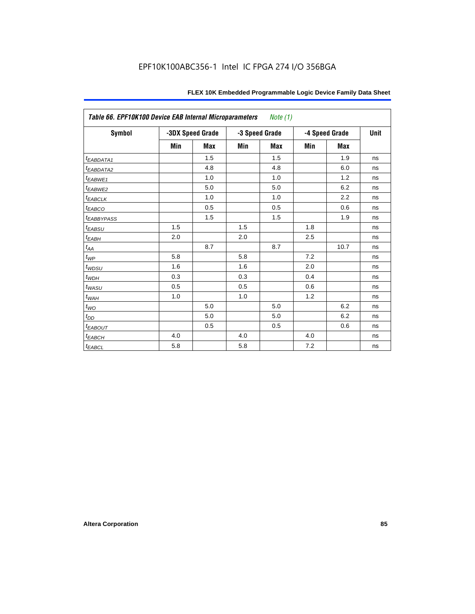| Table 66. EPF10K100 Device EAB Internal Microparameters Note (1) |     |                  |     |                |     |                |      |  |  |
|------------------------------------------------------------------|-----|------------------|-----|----------------|-----|----------------|------|--|--|
| Symbol                                                           |     | -3DX Speed Grade |     | -3 Speed Grade |     | -4 Speed Grade | Unit |  |  |
|                                                                  | Min | <b>Max</b>       | Min | <b>Max</b>     | Min | <b>Max</b>     |      |  |  |
| <i>EABDATA1</i>                                                  |     | 1.5              |     | 1.5            |     | 1.9            | ns   |  |  |
| t <sub>EABDATA2</sub>                                            |     | 4.8              |     | 4.8            |     | 6.0            | ns   |  |  |
| t <sub>EABWE1</sub>                                              |     | 1.0              |     | 1.0            |     | 1.2            | ns   |  |  |
| t <sub>EABWE2</sub>                                              |     | 5.0              |     | 5.0            |     | 6.2            | ns   |  |  |
| $t_{EABCLK}$                                                     |     | 1.0              |     | 1.0            |     | 2.2            | ns   |  |  |
| $t_{EABCO}$                                                      |     | 0.5              |     | 0.5            |     | 0.6            | ns   |  |  |
| <i><b>LEABBYPASS</b></i>                                         |     | 1.5              |     | 1.5            |     | 1.9            | ns   |  |  |
| $t_{EABSU}$                                                      | 1.5 |                  | 1.5 |                | 1.8 |                | ns   |  |  |
| $t_{EABH}$                                                       | 2.0 |                  | 2.0 |                | 2.5 |                | ns   |  |  |
| $t_{\mathit{AA}}$                                                |     | 8.7              |     | 8.7            |     | 10.7           | ns   |  |  |
| $t_{WP}$                                                         | 5.8 |                  | 5.8 |                | 7.2 |                | ns   |  |  |
| $t_{WDSU}$                                                       | 1.6 |                  | 1.6 |                | 2.0 |                | ns   |  |  |
| $t_{WDH}$                                                        | 0.3 |                  | 0.3 |                | 0.4 |                | ns   |  |  |
| $t_{WASU}$                                                       | 0.5 |                  | 0.5 |                | 0.6 |                | ns   |  |  |
| $t_{W\!AH}$                                                      | 1.0 |                  | 1.0 |                | 1.2 |                | ns   |  |  |
| $t_{WO}$                                                         |     | 5.0              |     | 5.0            |     | 6.2            | ns   |  |  |
| $t_{DD}$                                                         |     | 5.0              |     | 5.0            |     | 6.2            | ns   |  |  |
| $t_{EABOUT}$                                                     |     | 0.5              |     | 0.5            |     | 0.6            | ns   |  |  |
| $t_{EABCH}$                                                      | 4.0 |                  | 4.0 |                | 4.0 |                | ns   |  |  |
| $t_{EABCL}$                                                      | 5.8 |                  | 5.8 |                | 7.2 |                | ns   |  |  |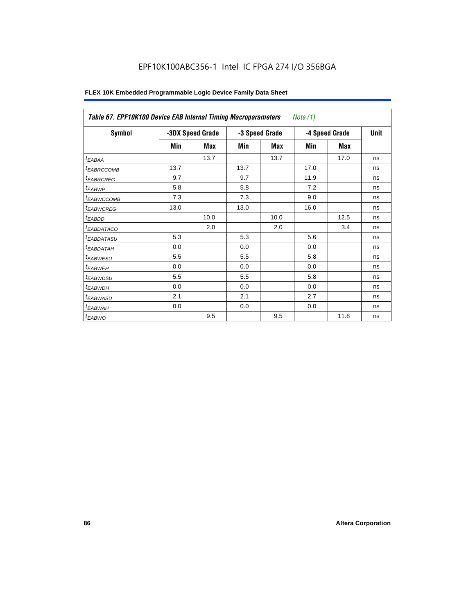| Table 67. EPF10K100 Device EAB Internal Timing Macroparameters<br>Note (1) |      |                  |      |                |                |             |    |  |  |
|----------------------------------------------------------------------------|------|------------------|------|----------------|----------------|-------------|----|--|--|
| Symbol                                                                     |      | -3DX Speed Grade |      | -3 Speed Grade | -4 Speed Grade | <b>Unit</b> |    |  |  |
|                                                                            | Min  | Max              | Min  | Max            | Min            | Max         |    |  |  |
| $t_{EABA}$                                                                 |      | 13.7             |      | 13.7           |                | 17.0        | ns |  |  |
| <sup>t</sup> EABRCCOMB                                                     | 13.7 |                  | 13.7 |                | 17.0           |             | ns |  |  |
| <sup>t</sup> EABRCREG                                                      | 9.7  |                  | 9.7  |                | 11.9           |             | ns |  |  |
| <sup>t</sup> EABWP                                                         | 5.8  |                  | 5.8  |                | 7.2            |             | ns |  |  |
| <sup>I</sup> EABWCCOMB                                                     | 7.3  |                  | 7.3  |                | 9.0            |             | ns |  |  |
| <sup>t</sup> EABWCREG                                                      | 13.0 |                  | 13.0 |                | 16.0           |             | ns |  |  |
| <sup>t</sup> EABDD                                                         |      | 10.0             |      | 10.0           |                | 12.5        | ns |  |  |
| <sup>t</sup> EABDATACO                                                     |      | 2.0              |      | 2.0            |                | 3.4         | ns |  |  |
| <sup>t</sup> EABDATASU                                                     | 5.3  |                  | 5.3  |                | 5.6            |             | ns |  |  |
| <sup>t</sup> EABDATAH                                                      | 0.0  |                  | 0.0  |                | 0.0            |             | ns |  |  |
| <sup>t</sup> EABWESU                                                       | 5.5  |                  | 5.5  |                | 5.8            |             | ns |  |  |
| <sup>t</sup> EABWEH                                                        | 0.0  |                  | 0.0  |                | 0.0            |             | ns |  |  |
| <sup>t</sup> EABWDSU                                                       | 5.5  |                  | 5.5  |                | 5.8            |             | ns |  |  |
| <sup>t</sup> EABWDH                                                        | 0.0  |                  | 0.0  |                | 0.0            |             | ns |  |  |
| <sup>t</sup> EABWASU                                                       | 2.1  |                  | 2.1  |                | 2.7            |             | ns |  |  |
| <sup>t</sup> EABWAH                                                        | 0.0  |                  | 0.0  |                | 0.0            |             | ns |  |  |
| t <sub>EABWO</sub>                                                         |      | 9.5              |      | 9.5            |                | 11.8        | ns |  |  |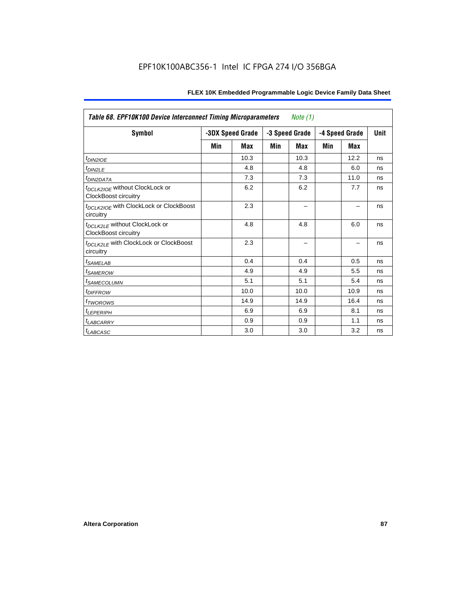| <b>Table 68. EPF10K100 Device Interconnect Timing Microparameters</b><br>Note (1) |     |                  |                |      |                |            |      |  |
|-----------------------------------------------------------------------------------|-----|------------------|----------------|------|----------------|------------|------|--|
| Symbol                                                                            |     | -3DX Speed Grade | -3 Speed Grade |      | -4 Speed Grade |            | Unit |  |
|                                                                                   | Min | Max              | Min            | Max  | Min            | <b>Max</b> |      |  |
| $t_{DINZIOE}$                                                                     |     | 10.3             |                | 10.3 |                | 12.2       | ns   |  |
| $t_{DIN2LE}$                                                                      |     | 4.8              |                | 4.8  |                | 6.0        | ns   |  |
| <sup>t</sup> DIN2DATA                                                             |     | 7.3              |                | 7.3  |                | 11.0       | ns   |  |
| t <sub>DCLK2IOE</sub> without ClockLock or<br>ClockBoost circuitry                |     | 6.2              |                | 6.2  |                | 7.7        | ns   |  |
| t <sub>DCLK2IOE</sub> with ClockLock or ClockBoost<br>circuitry                   |     | 2.3              |                |      |                |            | ns   |  |
| t <sub>DCLK2LE</sub> without ClockLock or<br><b>ClockBoost circuitry</b>          |     | 4.8              |                | 4.8  |                | 6.0        | ns   |  |
| t <sub>DCLK2LE</sub> with ClockLock or ClockBoost<br>circuitry                    |     | 2.3              |                |      |                |            | ns   |  |
| <sup>t</sup> SAMELAB                                                              |     | 0.4              |                | 0.4  |                | 0.5        | ns   |  |
| <i>t</i> SAMEROW                                                                  |     | 4.9              |                | 4.9  |                | 5.5        | ns   |  |
| <sup>t</sup> SAMECOLUMN                                                           |     | 5.1              |                | 5.1  |                | 5.4        | ns   |  |
| <i>t<sub>DIFFROW</sub></i>                                                        |     | 10.0             |                | 10.0 |                | 10.9       | ns   |  |
| <sup>t</sup> TWOROWS                                                              |     | 14.9             |                | 14.9 |                | 16.4       | ns   |  |
| <sup>t</sup> LEPERIPH                                                             |     | 6.9              |                | 6.9  |                | 8.1        | ns   |  |
| <sup>t</sup> LABCARRY                                                             |     | 0.9              |                | 0.9  |                | 1.1        | ns   |  |
| $t_{LABCASC}$                                                                     |     | 3.0              |                | 3.0  |                | 3.2        | ns   |  |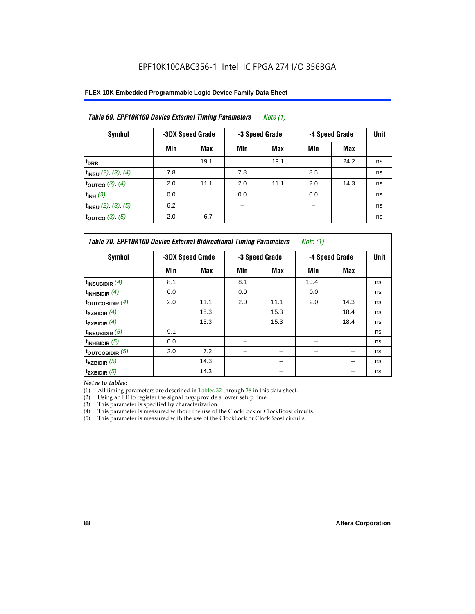| FLEX 10K Embedded Programmable Logic Device Family Data Sheet |  |
|---------------------------------------------------------------|--|
|---------------------------------------------------------------|--|

| Table 69. EPF10K100 Device External Timing Parameters<br>Note $(1)$ |     |                  |     |                |                |      |    |
|---------------------------------------------------------------------|-----|------------------|-----|----------------|----------------|------|----|
| Symbol                                                              |     | -3DX Speed Grade |     | -3 Speed Grade | -4 Speed Grade | Unit |    |
|                                                                     | Min | Max              | Min | Max            | Min            | Max  |    |
| t <sub>DRR</sub>                                                    |     | 19.1             |     | 19.1           |                | 24.2 | ns |
| $t_{INSU}$ (2), (3), (4)                                            | 7.8 |                  | 7.8 |                | 8.5            |      | ns |
| toutco $(3)$ , $(4)$                                                | 2.0 | 11.1             | 2.0 | 11.1           | 2.0            | 14.3 | ns |
| $t_{INH}$ (3)                                                       | 0.0 |                  | 0.0 |                | 0.0            |      | ns |
| $t_{INSU}$ (2), (3), (5)                                            | 6.2 |                  |     |                |                |      | ns |
| toutco $(3)$ , $(5)$                                                | 2.0 | 6.7              |     |                |                |      | ns |

| Table 70. EPF10K100 Device External Bidirectional Timing Parameters<br>Note $(1)$ |     |                  |     |                |                |             |    |
|-----------------------------------------------------------------------------------|-----|------------------|-----|----------------|----------------|-------------|----|
| Symbol                                                                            |     | -3DX Speed Grade |     | -3 Speed Grade | -4 Speed Grade | <b>Unit</b> |    |
|                                                                                   | Min | Max              | Min | Max            | Min            | <b>Max</b>  |    |
| t <sub>INSUBIDIR</sub> $(4)$                                                      | 8.1 |                  | 8.1 |                | 10.4           |             | ns |
| $t_{INHBIDIR}$ (4)                                                                | 0.0 |                  | 0.0 |                | 0.0            |             | ns |
| toutcobidir $(4)$                                                                 | 2.0 | 11.1             | 2.0 | 11.1           | 2.0            | 14.3        | ns |
| $t_{XZBIDIR}$ (4)                                                                 |     | 15.3             |     | 15.3           |                | 18.4        | ns |
| $t_{ZXBIDIR}$ (4)                                                                 |     | 15.3             |     | 15.3           |                | 18.4        | ns |
| $t_{INSUBIDIR}$ (5)                                                               | 9.1 |                  |     |                |                |             | ns |
| $t_{INHBIDIR}$ (5)                                                                | 0.0 |                  |     |                |                |             | ns |
| toutcobidir $(5)$                                                                 | 2.0 | 7.2              |     |                |                |             | ns |
| $t_{XZBIDIR}$ (5)                                                                 |     | 14.3             |     |                |                |             | ns |
| $t_{ZXBIDIR}$ (5)                                                                 |     | 14.3             |     |                |                |             | ns |

*Notes to tables:*

(1) All timing parameters are described in Tables 32 through 38 in this data sheet.

(2) Using an LE to register the signal may provide a lower setup time.

(3) This parameter is specified by characterization.

(4) This parameter is measured without the use of the ClockLock or ClockBoost circuits.

(5) This parameter is measured with the use of the ClockLock or ClockBoost circuits.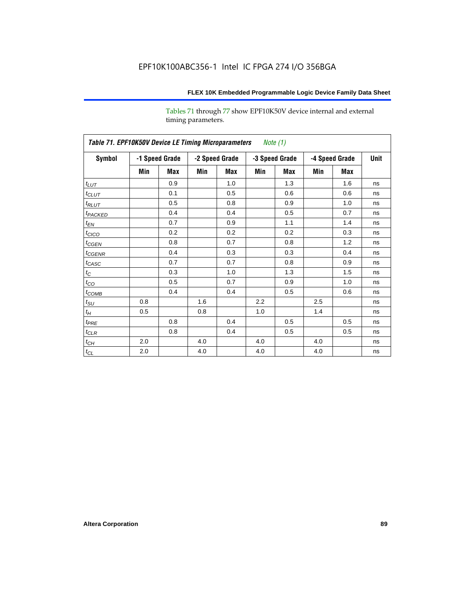Tables 71 through 77 show EPF10K50V device internal and external timing parameters.

|                     | Table 71. EPF10K50V Device LE Timing Microparameters Note (1) |                |     |                |     |                |     |                |             |
|---------------------|---------------------------------------------------------------|----------------|-----|----------------|-----|----------------|-----|----------------|-------------|
| Symbol              |                                                               | -1 Speed Grade |     | -2 Speed Grade |     | -3 Speed Grade |     | -4 Speed Grade | <b>Unit</b> |
|                     | Min                                                           | Max            | Min | Max            | Min | Max            | Min | Max            |             |
| $t_{LUT}$           |                                                               | 0.9            |     | 1.0            |     | 1.3            |     | 1.6            | ns          |
| $t_{CLUT}$          |                                                               | 0.1            |     | 0.5            |     | 0.6            |     | 0.6            | ns          |
| $t_{RLUT}$          |                                                               | 0.5            |     | 0.8            |     | 0.9            |     | 1.0            | ns          |
| t <sub>PACKED</sub> |                                                               | 0.4            |     | 0.4            |     | 0.5            |     | 0.7            | ns          |
| $t_{EN}$            |                                                               | 0.7            |     | 0.9            |     | 1.1            |     | 1.4            | ns          |
| t <sub>CICO</sub>   |                                                               | 0.2            |     | 0.2            |     | 0.2            |     | 0.3            | ns          |
| $t_{CGEN}$          |                                                               | 0.8            |     | 0.7            |     | 0.8            |     | 1.2            | ns          |
| $t_{\text{GENR}}$   |                                                               | 0.4            |     | 0.3            |     | 0.3            |     | 0.4            | ns          |
| $t_{CASC}$          |                                                               | 0.7            |     | 0.7            |     | 0.8            |     | 0.9            | ns          |
| $t_{\rm C}$         |                                                               | 0.3            |     | 1.0            |     | 1.3            |     | 1.5            | ns          |
| $t_{CO}$            |                                                               | 0.5            |     | 0.7            |     | 0.9            |     | 1.0            | ns          |
| $t_{COMB}$          |                                                               | 0.4            |     | 0.4            |     | 0.5            |     | 0.6            | ns          |
| $t_{\rm SU}$        | 0.8                                                           |                | 1.6 |                | 2.2 |                | 2.5 |                | ns          |
| $t_{\!H}$           | 0.5                                                           |                | 0.8 |                | 1.0 |                | 1.4 |                | ns          |
| $t_{PRE}$           |                                                               | 0.8            |     | 0.4            |     | 0.5            |     | 0.5            | ns          |
| $t_{CLR}$           |                                                               | 0.8            |     | 0.4            |     | 0.5            |     | 0.5            | ns          |
| $t_{\mathbb{C} H}$  | 2.0                                                           |                | 4.0 |                | 4.0 |                | 4.0 |                | ns          |
| $t_{CL}$            | 2.0                                                           |                | 4.0 |                | 4.0 |                | 4.0 |                | ns          |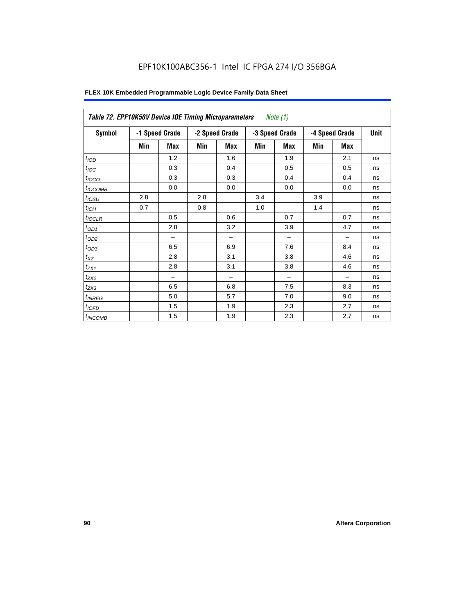# EPF10K100ABC356-1 Intel IC FPGA 274 I/O 356BGA

| Symbol           |     | -1 Speed Grade |     | -3 Speed Grade<br>-2 Speed Grade |     | -4 Speed Grade           |     | <b>Unit</b> |    |
|------------------|-----|----------------|-----|----------------------------------|-----|--------------------------|-----|-------------|----|
|                  | Min | Max            | Min | <b>Max</b>                       | Min | <b>Max</b>               | Min | <b>Max</b>  |    |
| t <sub>IOD</sub> |     | 1.2            |     | 1.6                              |     | 1.9                      |     | 2.1         | ns |
| $t_{\text{IOC}}$ |     | 0.3            |     | 0.4                              |     | 0.5                      |     | 0.5         | ns |
| $t_{IOCO}$       |     | 0.3            |     | 0.3                              |     | 0.4                      |     | 0.4         | ns |
| $t_{IOCOMB}$     |     | 0.0            |     | 0.0                              |     | 0.0                      |     | 0.0         | ns |
| $t_{IOSU}$       | 2.8 |                | 2.8 |                                  | 3.4 |                          | 3.9 |             | ns |
| $t_{IOH}$        | 0.7 |                | 0.8 |                                  | 1.0 |                          | 1.4 |             | ns |
| $t_{IOCLR}$      |     | 0.5            |     | 0.6                              |     | 0.7                      |     | 0.7         | ns |
| $t_{OD1}$        |     | 2.8            |     | 3.2                              |     | 3.9                      |     | 4.7         | ns |
| $t_{OD2}$        |     |                |     | $\overline{\phantom{0}}$         |     | $\overline{\phantom{0}}$ |     | -           | ns |
| $t_{OD3}$        |     | 6.5            |     | 6.9                              |     | 7.6                      |     | 8.4         | ns |
| $t_{XZ}$         |     | 2.8            |     | 3.1                              |     | 3.8                      |     | 4.6         | ns |
| $t_{ZX1}$        |     | 2.8            |     | 3.1                              |     | 3.8                      |     | 4.6         | ns |
| $t_{ZX2}$        |     |                |     |                                  |     | -                        |     |             | ns |
| $t_{ZX3}$        |     | 6.5            |     | 6.8                              |     | 7.5                      |     | 8.3         | ns |
| $t_{INREG}$      |     | 5.0            |     | 5.7                              |     | 7.0                      |     | 9.0         | ns |
| $t_{IOFD}$       |     | 1.5            |     | 1.9                              |     | 2.3                      |     | 2.7         | ns |
| $t_{INCOMB}$     |     | 1.5            |     | 1.9                              |     | 2.3                      |     | 2.7         | ns |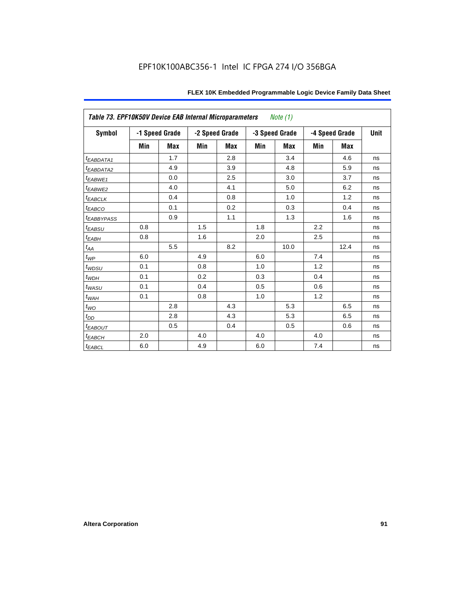|                         | Table 73. EPF10K50V Device EAB Internal Microparameters<br>Note $(1)$ |                |     |                |     |                |     |                |             |
|-------------------------|-----------------------------------------------------------------------|----------------|-----|----------------|-----|----------------|-----|----------------|-------------|
| Symbol                  |                                                                       | -1 Speed Grade |     | -2 Speed Grade |     | -3 Speed Grade |     | -4 Speed Grade | <b>Unit</b> |
|                         | Min                                                                   | <b>Max</b>     | Min | <b>Max</b>     | Min | <b>Max</b>     | Min | Max            |             |
| <i>EABDATA1</i>         |                                                                       | 1.7            |     | 2.8            |     | 3.4            |     | 4.6            | ns          |
| <sup>t</sup> EABDATA2   |                                                                       | 4.9            |     | 3.9            |     | 4.8            |     | 5.9            | ns          |
| t <sub>EABWE1</sub>     |                                                                       | 0.0            |     | 2.5            |     | 3.0            |     | 3.7            | ns          |
| t <sub>EABWE2</sub>     |                                                                       | 4.0            |     | 4.1            |     | 5.0            |     | 6.2            | ns          |
| $t_{EABCLK}$            |                                                                       | 0.4            |     | 0.8            |     | 1.0            |     | 1.2            | ns          |
| $t_{EABCO}$             |                                                                       | 0.1            |     | 0.2            |     | 0.3            |     | 0.4            | ns          |
| <i><b>EABBYPASS</b></i> |                                                                       | 0.9            |     | 1.1            |     | 1.3            |     | 1.6            | ns          |
| $t_{EABSU}$             | 0.8                                                                   |                | 1.5 |                | 1.8 |                | 2.2 |                | ns          |
| $t_{EABH}$              | 0.8                                                                   |                | 1.6 |                | 2.0 |                | 2.5 |                | ns          |
| $t_{AA}$                |                                                                       | 5.5            |     | 8.2            |     | 10.0           |     | 12.4           | ns          |
| $t_{WP}$                | 6.0                                                                   |                | 4.9 |                | 6.0 |                | 7.4 |                | ns          |
| $t_{WDSU}$              | 0.1                                                                   |                | 0.8 |                | 1.0 |                | 1.2 |                | ns          |
| $t_{WDH}$               | 0.1                                                                   |                | 0.2 |                | 0.3 |                | 0.4 |                | ns          |
| $t_{WASU}$              | 0.1                                                                   |                | 0.4 |                | 0.5 |                | 0.6 |                | ns          |
| $t_{WAH}$               | 0.1                                                                   |                | 0.8 |                | 1.0 |                | 1.2 |                | ns          |
| $t_{WQ}$                |                                                                       | 2.8            |     | 4.3            |     | 5.3            |     | 6.5            | ns          |
| $t_{DD}$                |                                                                       | 2.8            |     | 4.3            |     | 5.3            |     | 6.5            | ns          |
| $t_{EABOUT}$            |                                                                       | 0.5            |     | 0.4            |     | 0.5            |     | 0.6            | ns          |
| $t_{EABCH}$             | 2.0                                                                   |                | 4.0 |                | 4.0 |                | 4.0 |                | ns          |
| $t_{EABCL}$             | 6.0                                                                   |                | 4.9 |                | 6.0 |                | 7.4 |                | ns          |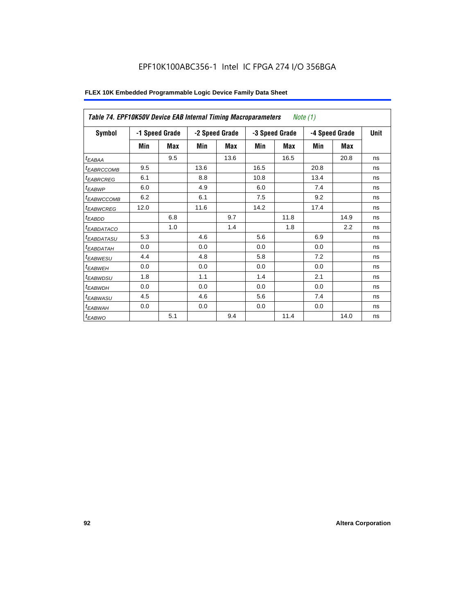| Table 74. EPF10K50V Device EAB Internal Timing Macroparameters |      |                |      |                |                | Note (1)   |                |      |             |
|----------------------------------------------------------------|------|----------------|------|----------------|----------------|------------|----------------|------|-------------|
| Symbol                                                         |      | -1 Speed Grade |      | -2 Speed Grade | -3 Speed Grade |            | -4 Speed Grade |      | <b>Unit</b> |
|                                                                | Min  | Max            | Min  | Max            | Min            | <b>Max</b> | Min            | Max  |             |
| $t_{EABA\underline{A}}$                                        |      | 9.5            |      | 13.6           |                | 16.5       |                | 20.8 | ns          |
| <sup>t</sup> EABRCCOMB                                         | 9.5  |                | 13.6 |                | 16.5           |            | 20.8           |      | ns          |
| <sup>t</sup> EABRCREG                                          | 6.1  |                | 8.8  |                | 10.8           |            | 13.4           |      | ns          |
| $t_{EABWP}$                                                    | 6.0  |                | 4.9  |                | 6.0            |            | 7.4            |      | ns          |
| <sup>t</sup> EABWCCOMB                                         | 6.2  |                | 6.1  |                | 7.5            |            | 9.2            |      | ns          |
| <sup>t</sup> EABWCREG                                          | 12.0 |                | 11.6 |                | 14.2           |            | 17.4           |      | ns          |
| $t_{EABDD}$                                                    |      | 6.8            |      | 9.7            |                | 11.8       |                | 14.9 | ns          |
| <sup>t</sup> EABDATACO                                         |      | 1.0            |      | 1.4            |                | 1.8        |                | 2.2  | ns          |
| <sup>t</sup> EABDATASU                                         | 5.3  |                | 4.6  |                | 5.6            |            | 6.9            |      | ns          |
| <sup>t</sup> EABDATAH                                          | 0.0  |                | 0.0  |                | 0.0            |            | 0.0            |      | ns          |
| <sup>t</sup> EABWESU                                           | 4.4  |                | 4.8  |                | 5.8            |            | 7.2            |      | ns          |
| <sup>t</sup> EABWEH                                            | 0.0  |                | 0.0  |                | 0.0            |            | 0.0            |      | ns          |
| <sup>t</sup> EABWDSU                                           | 1.8  |                | 1.1  |                | 1.4            |            | 2.1            |      | ns          |
| <sup>t</sup> EABWDH                                            | 0.0  |                | 0.0  |                | 0.0            |            | 0.0            |      | ns          |
| <sup>t</sup> EABWASU                                           | 4.5  |                | 4.6  |                | 5.6            |            | 7.4            |      | ns          |
| <sup>t</sup> EABWAH                                            | 0.0  |                | 0.0  |                | 0.0            |            | 0.0            |      | ns          |
| $t_{EABWO}$                                                    |      | 5.1            |      | 9.4            |                | 11.4       |                | 14.0 | ns          |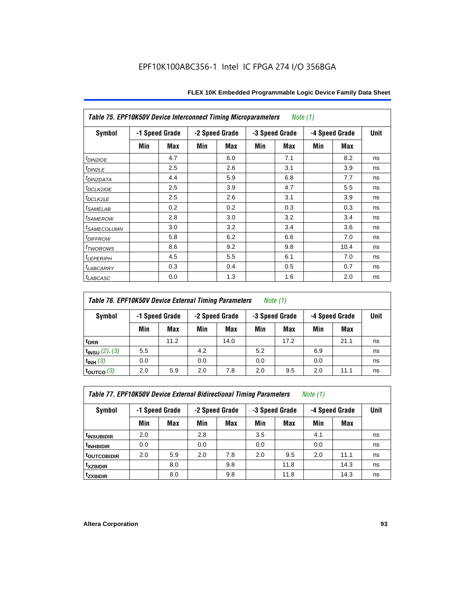|                            | <b>Table 75. EPF10K50V Device Interconnect Timing Microparameters</b><br>Note (1) |                |     |                |     |                |     |                |             |
|----------------------------|-----------------------------------------------------------------------------------|----------------|-----|----------------|-----|----------------|-----|----------------|-------------|
| Symbol                     |                                                                                   | -1 Speed Grade |     | -2 Speed Grade |     | -3 Speed Grade |     | -4 Speed Grade | <b>Unit</b> |
|                            | Min                                                                               | Max            | Min | Max            | Min | Max            | Min | Max            |             |
| $t_{DINZIOE}$              |                                                                                   | 4.7            |     | 6.0            |     | 7.1            |     | 8.2            | ns          |
| t <sub>DIN2LE</sub>        |                                                                                   | 2.5            |     | 2.6            |     | 3.1            |     | 3.9            | ns          |
| <sup>t</sup> DIN2DATA      |                                                                                   | 4.4            |     | 5.9            |     | 6.8            |     | 7.7            | ns          |
| t <sub>DCLK2IOE</sub>      |                                                                                   | 2.5            |     | 3.9            |     | 4.7            |     | 5.5            | ns          |
| t <sub>DCLK2LE</sub>       |                                                                                   | 2.5            |     | 2.6            |     | 3.1            |     | 3.9            | ns          |
| <sup>t</sup> SAMELAB       |                                                                                   | 0.2            |     | 0.2            |     | 0.3            |     | 0.3            | ns          |
| <i>t<sub>SAMEROW</sub></i> |                                                                                   | 2.8            |     | 3.0            |     | 3.2            |     | 3.4            | ns          |
| <sup>t</sup> SAMECOLUMN    |                                                                                   | 3.0            |     | 3.2            |     | 3.4            |     | 3.6            | ns          |
| <i>t<sub>DIFFROW</sub></i> |                                                                                   | 5.8            |     | 6.2            |     | 6.6            |     | 7.0            | ns          |
| t <sub>TWOROWS</sub>       |                                                                                   | 8.6            |     | 9.2            |     | 9.8            |     | 10.4           | ns          |
| $t_{LEPERIPH}$             |                                                                                   | 4.5            |     | 5.5            |     | 6.1            |     | 7.0            | ns          |
| t <sub>LABCARRY</sub>      |                                                                                   | 0.3            |     | 0.4            |     | 0.5            |     | 0.7            | ns          |
| <i>t<sub>LABCASC</sub></i> |                                                                                   | 0.0            |     | 1.3            |     | 1.6            |     | 2.0            | ns          |

# *Table 76. EPF10K50V Device External Timing Parameters Note (1)*

| Symbol                   |     | -1 Speed Grade | -2 Speed Grade |      | -3 Speed Grade |      | -4 Speed Grade |      | <b>Unit</b> |
|--------------------------|-----|----------------|----------------|------|----------------|------|----------------|------|-------------|
|                          | Min | Max            | Min            | Max  | Min            | Max  | Min            | Max  |             |
| t <sub>DRR</sub>         |     | 11.2           |                | 14.0 |                | 17.2 |                | 21.1 | ns          |
| $t_{INSU}$ (2), (3)      | 5.5 |                | 4.2            |      | 5.2            |      | 6.9            |      | ns          |
| $t_{INH}$ (3)            | 0.0 |                | 0.0            |      | 0.0            |      | 0.0            |      | ns          |
| $\tt_{\text{OUTCO}}$ (3) | 2.0 | 5.9            | 2.0            | 7.8  | 2.0            | 9.5  | 2.0            | 11.1 | ns          |

*Table 77. EPF10K50V Device External Bidirectional Timing Parameters Note (1)*

| Symbol                         |     | -1 Speed Grade |     | -2 Speed Grade |     | -3 Speed Grade |     | -4 Speed Grade |    |
|--------------------------------|-----|----------------|-----|----------------|-----|----------------|-----|----------------|----|
|                                | Min | Max            | Min | Max            | Min | Max            | Min | <b>Max</b>     |    |
| <sup>t</sup> INSUBIDIR         | 2.0 |                | 2.8 |                | 3.5 |                | 4.1 |                | ns |
| <sup>t</sup> INHBIDIR          | 0.0 |                | 0.0 |                | 0.0 |                | 0.0 |                | ns |
| t <sub>outco<u>bidir</u></sub> | 2.0 | 5.9            | 2.0 | 7.8            | 2.0 | 9.5            | 2.0 | 11.1           | ns |
| <sup>t</sup> xzbidir           |     | 8.0            |     | 9.8            |     | 11.8           |     | 14.3           | ns |
| <sup>t</sup> zxbidir           |     | 8.0            |     | 9.8            |     | 11.8           |     | 14.3           | ns |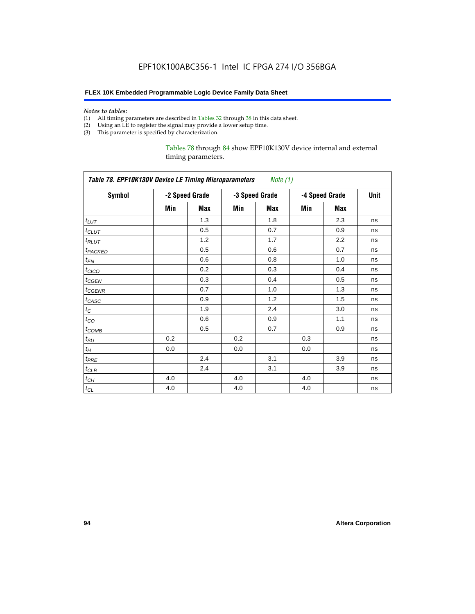#### *Notes to tables:*

- (1) All timing parameters are described in Tables 32 through 38 in this data sheet.
- (2) Using an LE to register the signal may provide a lower setup time.
- (3) This parameter is specified by characterization.

### Tables 78 through 84 show EPF10K130V device internal and external timing parameters.

|                     | Table 78. EPF10K130V Device LE Timing Microparameters Note (1) |                |     |                |     |                |      |  |
|---------------------|----------------------------------------------------------------|----------------|-----|----------------|-----|----------------|------|--|
| <b>Symbol</b>       |                                                                | -2 Speed Grade |     | -3 Speed Grade |     | -4 Speed Grade | Unit |  |
|                     | Min                                                            | Max            | Min | Max            | Min | Max            |      |  |
| $t_{LUT}$           |                                                                | 1.3            |     | 1.8            |     | 2.3            | ns   |  |
| $t_{CLUT}$          |                                                                | 0.5            |     | 0.7            |     | 0.9            | ns   |  |
| $t_{RLUT}$          |                                                                | 1.2            |     | 1.7            |     | 2.2            | ns   |  |
| t <sub>PACKED</sub> |                                                                | 0.5            |     | 0.6            |     | 0.7            | ns   |  |
| $t_{EN}$            |                                                                | 0.6            |     | 0.8            |     | 1.0            | ns   |  |
| $t_{CICO}$          |                                                                | 0.2            |     | 0.3            |     | 0.4            | ns   |  |
| $t_{GEN}$           |                                                                | 0.3            |     | 0.4            |     | 0.5            | ns   |  |
| t <sub>CGENR</sub>  |                                                                | 0.7            |     | 1.0            |     | 1.3            | ns   |  |
| $t_{CASC}$          |                                                                | 0.9            |     | 1.2            |     | 1.5            | ns   |  |
| $t_C$               |                                                                | 1.9            |     | 2.4            |     | 3.0            | ns   |  |
| $t_{CO}$            |                                                                | 0.6            |     | 0.9            |     | 1.1            | ns   |  |
| $t_{COMB}$          |                                                                | 0.5            |     | 0.7            |     | 0.9            | ns   |  |
| $t_{\rm SU}$        | 0.2                                                            |                | 0.2 |                | 0.3 |                | ns   |  |
| $t_H$               | 0.0                                                            |                | 0.0 |                | 0.0 |                | ns   |  |
| $t_{PRE}$           |                                                                | 2.4            |     | 3.1            |     | 3.9            | ns   |  |
| $t_{CLR}$           |                                                                | 2.4            |     | 3.1            |     | 3.9            | ns   |  |
| $t_{CH}$            | 4.0                                                            |                | 4.0 |                | 4.0 |                | ns   |  |
| $t_{CL}$            | 4.0                                                            |                | 4.0 |                | 4.0 |                | ns   |  |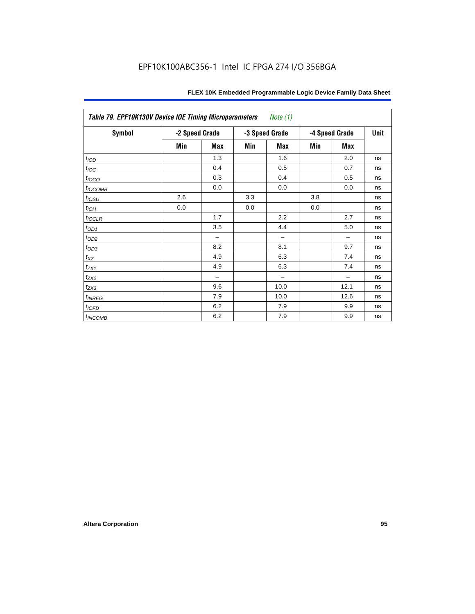| Table 79. EPF10K130V Device IOE Timing Microparameters<br><i>Note</i> $(1)$ |                |            |     |                |     |                |      |  |
|-----------------------------------------------------------------------------|----------------|------------|-----|----------------|-----|----------------|------|--|
| <b>Symbol</b>                                                               | -2 Speed Grade |            |     | -3 Speed Grade |     | -4 Speed Grade | Unit |  |
|                                                                             | Min            | <b>Max</b> | Min | <b>Max</b>     | Min | <b>Max</b>     |      |  |
| t <sub>IOD</sub>                                                            |                | 1.3        |     | 1.6            |     | 2.0            | ns   |  |
| $t_{\text{loc}}$                                                            |                | 0.4        |     | 0.5            |     | 0.7            | ns   |  |
| $t_{IOCO}$                                                                  |                | 0.3        |     | 0.4            |     | 0.5            | ns   |  |
| $t_{IOCOMB}$                                                                |                | 0.0        |     | 0.0            |     | 0.0            | ns   |  |
| $t_{IOSU}$                                                                  | 2.6            |            | 3.3 |                | 3.8 |                | ns   |  |
| $t_{IOH}$                                                                   | 0.0            |            | 0.0 |                | 0.0 |                | ns   |  |
| $t_{IOCLR}$                                                                 |                | 1.7        |     | 2.2            |     | 2.7            | ns   |  |
| $t_{OD1}$                                                                   |                | 3.5        |     | 4.4            |     | 5.0            | ns   |  |
| $t_{OD2}$                                                                   |                |            |     |                |     |                | ns   |  |
| $t_{OD3}$                                                                   |                | 8.2        |     | 8.1            |     | 9.7            | ns   |  |
| $t_{XZ}$                                                                    |                | 4.9        |     | 6.3            |     | 7.4            | ns   |  |
| $t_{ZX1}$                                                                   |                | 4.9        |     | 6.3            |     | 7.4            | ns   |  |
| $t_{ZX2}$                                                                   |                | -          |     |                |     |                | ns   |  |
| $t_{ZX3}$                                                                   |                | 9.6        |     | 10.0           |     | 12.1           | ns   |  |
| $t_{INREG}$                                                                 |                | 7.9        |     | 10.0           |     | 12.6           | ns   |  |
| $t_{IOFD}$                                                                  |                | 6.2        |     | 7.9            |     | 9.9            | ns   |  |
| $t_{INCOMB}$                                                                |                | 6.2        |     | 7.9            |     | 9.9            | ns   |  |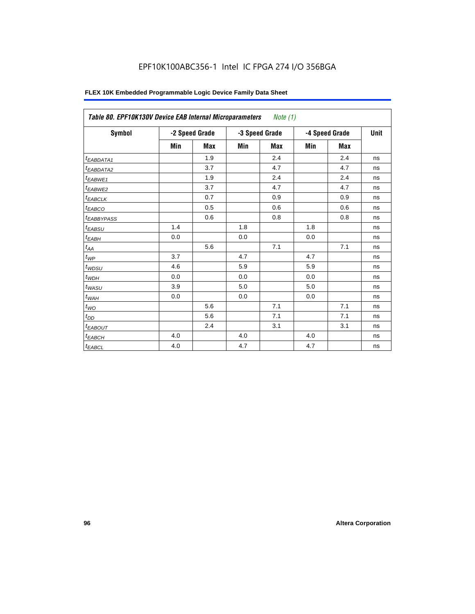# EPF10K100ABC356-1 Intel IC FPGA 274 I/O 356BGA

| FLEX 10K Embedded Programmable Logic Device Family Data Sheet |  |
|---------------------------------------------------------------|--|
|---------------------------------------------------------------|--|

|                        | Note $(1)$<br>Table 80. EPF10K130V Device EAB Internal Microparameters |                |                |     |                |     |             |  |  |
|------------------------|------------------------------------------------------------------------|----------------|----------------|-----|----------------|-----|-------------|--|--|
| Symbol                 |                                                                        | -2 Speed Grade | -3 Speed Grade |     | -4 Speed Grade |     | <b>Unit</b> |  |  |
|                        | Min                                                                    | <b>Max</b>     | Min            | Max | Min            | Max |             |  |  |
| t <sub>EABDATA1</sub>  |                                                                        | 1.9            |                | 2.4 |                | 2.4 | ns          |  |  |
| t <sub>EABDATA2</sub>  |                                                                        | 3.7            |                | 4.7 |                | 4.7 | ns          |  |  |
| $t_{EABWE1}$           |                                                                        | 1.9            |                | 2.4 |                | 2.4 | ns          |  |  |
| t <sub>EABWE2</sub>    |                                                                        | 3.7            |                | 4.7 |                | 4.7 | ns          |  |  |
| <sup>t</sup> EABCLK    |                                                                        | 0.7            |                | 0.9 |                | 0.9 | ns          |  |  |
| t <sub>EABCO</sub>     |                                                                        | 0.5            |                | 0.6 |                | 0.6 | ns          |  |  |
| <sup>t</sup> EABBYPASS |                                                                        | 0.6            |                | 0.8 |                | 0.8 | ns          |  |  |
| t <sub>EABSU</sub>     | 1.4                                                                    |                | 1.8            |     | 1.8            |     | ns          |  |  |
| t <sub>ЕАВН</sub>      | 0.0                                                                    |                | 0.0            |     | 0.0            |     | ns          |  |  |
| $t_{AA}$               |                                                                        | 5.6            |                | 7.1 |                | 7.1 | ns          |  |  |
| $t_{WP}$               | 3.7                                                                    |                | 4.7            |     | 4.7            |     | ns          |  |  |
| $t_{WDSU}$             | 4.6                                                                    |                | 5.9            |     | 5.9            |     | ns          |  |  |
| $t_{WDH}$              | 0.0                                                                    |                | 0.0            |     | 0.0            |     | ns          |  |  |
| $t_{WASU}$             | 3.9                                                                    |                | 5.0            |     | 5.0            |     | ns          |  |  |
| $t_{\sf WAH}$          | 0.0                                                                    |                | 0.0            |     | 0.0            |     | ns          |  |  |
| $t_{WO}$               |                                                                        | 5.6            |                | 7.1 |                | 7.1 | ns          |  |  |
| $t_{DD}$               |                                                                        | 5.6            |                | 7.1 |                | 7.1 | ns          |  |  |
| <b><i>EABOUT</i></b>   |                                                                        | 2.4            |                | 3.1 |                | 3.1 | ns          |  |  |
| $t_{EABCH}$            | 4.0                                                                    |                | 4.0            |     | 4.0            |     | ns          |  |  |
| $t_{EABCL}$            | 4.0                                                                    |                | 4.7            |     | 4.7            |     | ns          |  |  |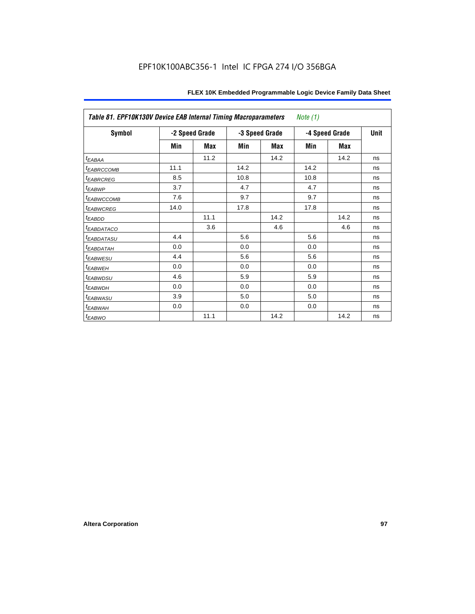|                        | Table 81. EPF10K130V Device EAB Internal Timing Macroparameters<br>Note $(1)$ |                |      |                |      |                |    |  |  |  |
|------------------------|-------------------------------------------------------------------------------|----------------|------|----------------|------|----------------|----|--|--|--|
| <b>Symbol</b>          |                                                                               | -2 Speed Grade |      | -3 Speed Grade |      | -4 Speed Grade |    |  |  |  |
|                        | Min                                                                           | Max            | Min  | Max            | Min  | Max            |    |  |  |  |
| t <sub>EABAA</sub>     |                                                                               | 11.2           |      | 14.2           |      | 14.2           | ns |  |  |  |
| <sup>t</sup> EABRCCOMB | 11.1                                                                          |                | 14.2 |                | 14.2 |                | ns |  |  |  |
| <b><i>EABRCREG</i></b> | 8.5                                                                           |                | 10.8 |                | 10.8 |                | ns |  |  |  |
| <sup>t</sup> EABWP     | 3.7                                                                           |                | 4.7  |                | 4.7  |                | ns |  |  |  |
| <sup>t</sup> EABWCCOMB | 7.6                                                                           |                | 9.7  |                | 9.7  |                | ns |  |  |  |
| <sup>t</sup> EABWCREG  | 14.0                                                                          |                | 17.8 |                | 17.8 |                | ns |  |  |  |
| <sup>t</sup> EABDD     |                                                                               | 11.1           |      | 14.2           |      | 14.2           | ns |  |  |  |
| <sup>t</sup> EABDATACO |                                                                               | 3.6            |      | 4.6            |      | 4.6            | ns |  |  |  |
| <sup>t</sup> EABDATASU | 4.4                                                                           |                | 5.6  |                | 5.6  |                | ns |  |  |  |
| <sup>t</sup> EABDATAH  | 0.0                                                                           |                | 0.0  |                | 0.0  |                | ns |  |  |  |
| <sup>t</sup> EABWESU   | 4.4                                                                           |                | 5.6  |                | 5.6  |                | ns |  |  |  |
| <sup>t</sup> EABWEH    | 0.0                                                                           |                | 0.0  |                | 0.0  |                | ns |  |  |  |
| <sup>t</sup> EABWDSU   | 4.6                                                                           |                | 5.9  |                | 5.9  |                | ns |  |  |  |
| <sup>t</sup> EABWDH    | 0.0                                                                           |                | 0.0  |                | 0.0  |                | ns |  |  |  |
| <sup>t</sup> EABWASU   | 3.9                                                                           |                | 5.0  |                | 5.0  |                | ns |  |  |  |
| <sup>t</sup> EABWAH    | 0.0                                                                           |                | 0.0  |                | 0.0  |                | ns |  |  |  |
| <sup>t</sup> EABWO     |                                                                               | 11.1           |      | 14.2           |      | 14.2           | ns |  |  |  |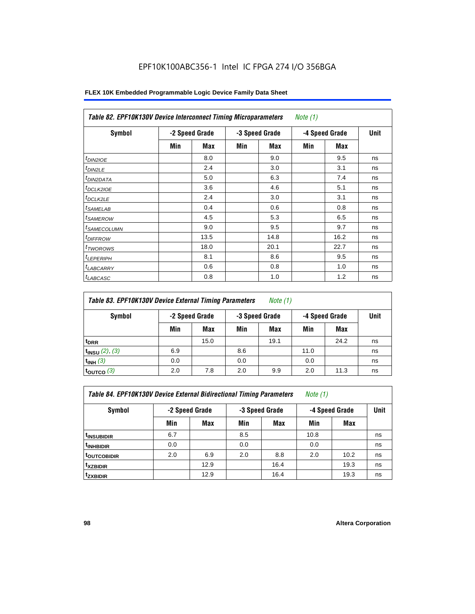| Symbol                  |     | -2 Speed Grade |     | -3 Speed Grade |     | -4 Speed Grade | <b>Unit</b> |  |
|-------------------------|-----|----------------|-----|----------------|-----|----------------|-------------|--|
|                         | Min | Max            | Min | Max            | Min | Max            |             |  |
| $t_{DINZIOE}$           |     | 8.0            |     | 9.0            |     | 9.5            | ns          |  |
| t <sub>DIN2LE</sub>     |     | 2.4            |     | 3.0            |     | 3.1            | ns          |  |
| <sup>t</sup> DIN2DATA   |     | 5.0            |     | 6.3            |     | 7.4            | ns          |  |
| <sup>t</sup> DCLK2IOE   |     | 3.6            |     | 4.6            |     | 5.1            | ns          |  |
| $t_{DCLK2LE}$           |     | 2.4            |     | 3.0            |     | 3.1            | ns          |  |
| <sup>t</sup> SAMELAB    |     | 0.4            |     | 0.6            |     | 0.8            | ns          |  |
| <sup>t</sup> SAMEROW    |     | 4.5            |     | 5.3            |     | 6.5            | ns          |  |
| <sup>t</sup> SAMECOLUMN |     | 9.0            |     | 9.5            |     | 9.7            | ns          |  |
| <sup>t</sup> DIFFROW    |     | 13.5           |     | 14.8           |     | 16.2           | ns          |  |
| <sup>t</sup> TWOROWS    |     | 18.0           |     | 20.1           |     | 22.7           | ns          |  |
| <sup>t</sup> LEPERIPH   |     | 8.1            |     | 8.6            |     | 9.5            | ns          |  |
| <sup>I</sup> LABCARRY   |     | 0.6            |     | 0.8            |     | 1.0            | ns          |  |
| <sup>t</sup> LABCASC    |     | 0.8            |     | 1.0            |     | 1.2            | ns          |  |

| Table 83. EPF10K130V Device External Timing Parameters | Note (1) |
|--------------------------------------------------------|----------|
|--------------------------------------------------------|----------|

| Symbol                 | -2 Speed Grade |      | -3 Speed Grade |      | -4 Speed Grade |      | Unit |
|------------------------|----------------|------|----------------|------|----------------|------|------|
|                        | Min            | Max  | Min            | Max  | Min            | Max  |      |
| t <sub>DRR</sub>       |                | 15.0 |                | 19.1 |                | 24.2 | ns   |
| $t_{INSU}$ (2), (3)    | 6.9            |      | 8.6            |      | 11.0           |      | ns   |
| $t_{INH}$ (3)          | 0.0            |      | 0.0            |      | 0.0            |      | ns   |
| $t_{\text{OUTCO}}$ (3) | 2.0            | 7.8  | 2.0            | 9.9  | 2.0            | 11.3 | ns   |

| <b>Table 84. EPF10K130V Device External Bidirectional Timing Parameters</b> | Note (1) |  |
|-----------------------------------------------------------------------------|----------|--|
|-----------------------------------------------------------------------------|----------|--|

| Symbol                    | -2 Speed Grade |      |     | -3 Speed Grade |      | -4 Speed Grade |    |
|---------------------------|----------------|------|-----|----------------|------|----------------|----|
|                           | Min            | Max  | Min | <b>Max</b>     | Min  | <b>Max</b>     |    |
| <sup>t</sup> INSUBIDIR    | 6.7            |      | 8.5 |                | 10.8 |                | ns |
| <sup>t</sup> INHBIDIR     | 0.0            |      | 0.0 |                | 0.0  |                | ns |
| <sup>I t</sup> outcobidir | 2.0            | 6.9  | 2.0 | 8.8            | 2.0  | 10.2           | ns |
| <sup>t</sup> xzbidir      |                | 12.9 |     | 16.4           |      | 19.3           | ns |
| tzxbidir                  |                | 12.9 |     | 16.4           |      | 19.3           | ns |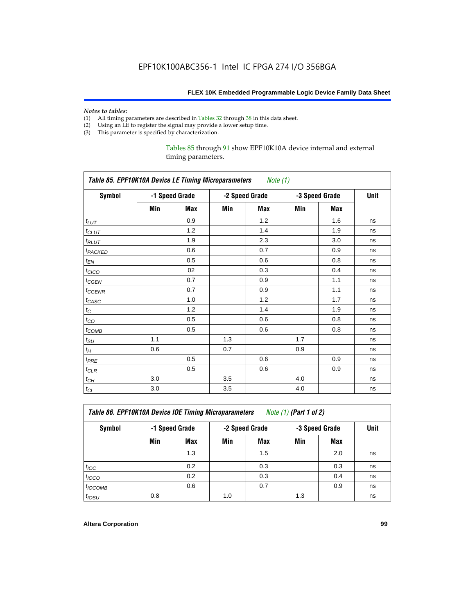# *Notes to tables:*<br>(1) All timing p

- All timing parameters are described in Tables 32 through 38 in this data sheet.
- (2) Using an LE to register the signal may provide a lower setup time.
- (3) This parameter is specified by characterization.

### Tables 85 through 91 show EPF10K10A device internal and external timing parameters.

|                     | Table 85. EPF10K10A Device LE Timing Microparameters Note (1) |                |     |                |     |                |    |  |  |  |
|---------------------|---------------------------------------------------------------|----------------|-----|----------------|-----|----------------|----|--|--|--|
| <b>Symbol</b>       |                                                               | -1 Speed Grade |     | -2 Speed Grade |     | -3 Speed Grade |    |  |  |  |
|                     | Min                                                           | Max            | Min | Max            | Min | Max            |    |  |  |  |
| $t_{LUT}$           |                                                               | 0.9            |     | 1.2            |     | 1.6            | ns |  |  |  |
| $t_{CLUT}$          |                                                               | 1.2            |     | 1.4            |     | 1.9            | ns |  |  |  |
| $t_{RLUT}$          |                                                               | 1.9            |     | 2.3            |     | 3.0            | ns |  |  |  |
| t <sub>PACKED</sub> |                                                               | 0.6            |     | 0.7            |     | 0.9            | ns |  |  |  |
| $t_{EN}$            |                                                               | 0.5            |     | 0.6            |     | 0.8            | ns |  |  |  |
| $t_{CICO}$          |                                                               | 02             |     | 0.3            |     | 0.4            | ns |  |  |  |
| $t_{CGEN}$          |                                                               | 0.7            |     | 0.9            |     | 1.1            | ns |  |  |  |
| $t_{GENR}$          |                                                               | 0.7            |     | 0.9            |     | 1.1            | ns |  |  |  |
| $t_{CASC}$          |                                                               | 1.0            |     | 1.2            |     | 1.7            | ns |  |  |  |
| $t_{\rm C}$         |                                                               | 1.2            |     | 1.4            |     | 1.9            | ns |  |  |  |
| $t_{CO}$            |                                                               | 0.5            |     | 0.6            |     | 0.8            | ns |  |  |  |
| $t_{\text{COMB}}$   |                                                               | 0.5            |     | 0.6            |     | 0.8            | ns |  |  |  |
| $t_{\text{SU}}$     | 1.1                                                           |                | 1.3 |                | 1.7 |                | ns |  |  |  |
| $t_{\!H}$           | 0.6                                                           |                | 0.7 |                | 0.9 |                | ns |  |  |  |
| $t_{PRE}$           |                                                               | 0.5            |     | 0.6            |     | 0.9            | ns |  |  |  |
| $t_{CLR}$           |                                                               | 0.5            |     | 0.6            |     | 0.9            | ns |  |  |  |
| $t_{\mathit{CH}}$   | 3.0                                                           |                | 3.5 |                | 4.0 |                | ns |  |  |  |
| $t_{CL}$            | 3.0                                                           |                | 3.5 |                | 4.0 |                | ns |  |  |  |

| <b>Table 86. EPF10K10A Device IOE Timing Microparameters</b> | Note (1) (Part 1 of 2) |
|--------------------------------------------------------------|------------------------|
|--------------------------------------------------------------|------------------------|

| Symbol            |     |     | -2 Speed Grade<br>-1 Speed Grade |     | -3 Speed Grade |            |    |
|-------------------|-----|-----|----------------------------------|-----|----------------|------------|----|
|                   | Min | Max | Min                              | Max | Min            | <b>Max</b> |    |
|                   |     | 1.3 |                                  | 1.5 |                | 2.0        | ns |
| $t_{\text{IOC}}$  |     | 0.2 |                                  | 0.3 |                | 0.3        | ns |
| $t_{IOCO}$        |     | 0.2 |                                  | 0.3 |                | 0.4        | ns |
| $t_{IOCOMB}$      |     | 0.6 |                                  | 0.7 |                | 0.9        | ns |
| t <sub>IOSU</sub> | 0.8 |     | 1.0                              |     | 1.3            |            | ns |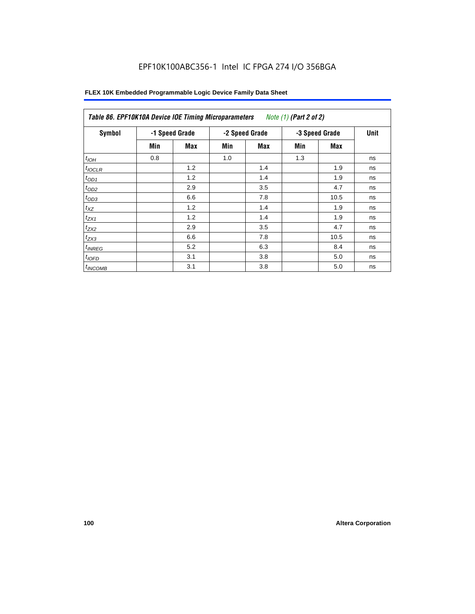# EPF10K100ABC356-1 Intel IC FPGA 274 I/O 356BGA

| Symbol             |     | -1 Speed Grade |     | -2 Speed Grade |     | -3 Speed Grade | <b>Unit</b> |
|--------------------|-----|----------------|-----|----------------|-----|----------------|-------------|
|                    | Min | Max            | Min | Max            | Min | Max            |             |
| $t_{IOH}$          | 0.8 |                | 1.0 |                | 1.3 |                | ns          |
| $t_{IOCLR}$        |     | 1.2            |     | 1.4            |     | 1.9            | ns          |
| $t_{OD1}$          |     | 1.2            |     | 1.4            |     | 1.9            | ns          |
| $t_{OD2}$          |     | 2.9            |     | 3.5            |     | 4.7            | ns          |
| $t_{OD3}$          |     | 6.6            |     | 7.8            |     | 10.5           | ns          |
| $t_{XZ}$           |     | 1.2            |     | 1.4            |     | 1.9            | ns          |
| $t_{ZX1}$          |     | 1.2            |     | 1.4            |     | 1.9            | ns          |
| $t_{ZX2}$          |     | 2.9            |     | 3.5            |     | 4.7            | ns          |
| $t_{ZX3}$          |     | 6.6            |     | 7.8            |     | 10.5           | ns          |
| <sup>t</sup> INREG |     | 5.2            |     | 6.3            |     | 8.4            | ns          |
| $t_{IOFD}$         |     | 3.1            |     | 3.8            |     | 5.0            | ns          |
| $t_{INCOMB}$       |     | 3.1            |     | 3.8            |     | 5.0            | ns          |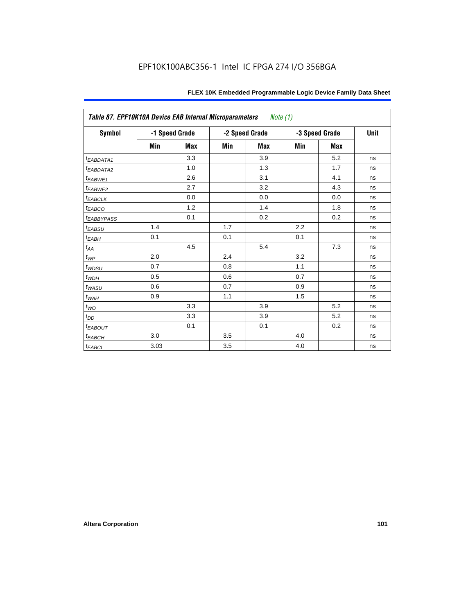|                         | Table 87. EPF10K10A Device EAB Internal Microparameters<br>Note (1) |            |                |            |                |            |      |  |  |
|-------------------------|---------------------------------------------------------------------|------------|----------------|------------|----------------|------------|------|--|--|
| <b>Symbol</b>           | -1 Speed Grade                                                      |            | -2 Speed Grade |            | -3 Speed Grade |            | Unit |  |  |
|                         | Min                                                                 | <b>Max</b> | Min            | <b>Max</b> | Min            | <b>Max</b> |      |  |  |
| t <sub>EABDATA1</sub>   |                                                                     | 3.3        |                | 3.9        |                | 5.2        | ns   |  |  |
| t <sub>EABDATA2</sub>   |                                                                     | 1.0        |                | 1.3        |                | 1.7        | ns   |  |  |
| $t_{EABWE1}$            |                                                                     | 2.6        |                | 3.1        |                | 4.1        | ns   |  |  |
| $t_{EABWE2}$            |                                                                     | 2.7        |                | 3.2        |                | 4.3        | ns   |  |  |
| $t_{EABCLK}$            |                                                                     | 0.0        |                | 0.0        |                | 0.0        | ns   |  |  |
| $t_{EABCO}$             |                                                                     | 1.2        |                | 1.4        |                | 1.8        | ns   |  |  |
| <b><i>EABBYPASS</i></b> |                                                                     | 0.1        |                | 0.2        |                | 0.2        | ns   |  |  |
| $t_{EABSU}$             | 1.4                                                                 |            | 1.7            |            | 2.2            |            | ns   |  |  |
| $t_{EABH}$              | 0.1                                                                 |            | 0.1            |            | 0.1            |            | ns   |  |  |
| $t_{AA}$                |                                                                     | 4.5        |                | 5.4        |                | 7.3        | ns   |  |  |
| $t_{\mathit{WP}}$       | 2.0                                                                 |            | 2.4            |            | 3.2            |            | ns   |  |  |
| $t_{W\!D\!S\!U}$        | 0.7                                                                 |            | 0.8            |            | 1.1            |            | ns   |  |  |
| $t_{WDH}$               | 0.5                                                                 |            | 0.6            |            | 0.7            |            | ns   |  |  |
| t <sub>WASU</sub>       | 0.6                                                                 |            | 0.7            |            | 0.9            |            | ns   |  |  |
| $t_{WAH}$               | 0.9                                                                 |            | 1.1            |            | 1.5            |            | ns   |  |  |
| $t_{WO}$                |                                                                     | 3.3        |                | 3.9        |                | 5.2        | ns   |  |  |
| $t_{DD}$                |                                                                     | 3.3        |                | 3.9        |                | 5.2        | ns   |  |  |
| $t_{EABOUT}$            |                                                                     | 0.1        |                | 0.1        |                | 0.2        | ns   |  |  |
| $t_{EABCH}$             | 3.0                                                                 |            | 3.5            |            | 4.0            |            | ns   |  |  |
| $t_{EABCL}$             | 3.03                                                                |            | 3.5            |            | 4.0            |            | ns   |  |  |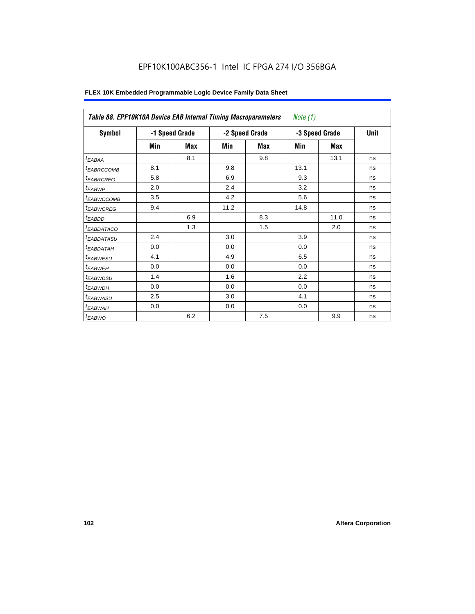| Table 88. EPF10K10A Device EAB Internal Timing Macroparameters<br>Note $(1)$ |     |                |                |     |                |      |             |  |  |  |
|------------------------------------------------------------------------------|-----|----------------|----------------|-----|----------------|------|-------------|--|--|--|
| Symbol                                                                       |     | -1 Speed Grade | -2 Speed Grade |     | -3 Speed Grade |      | <b>Unit</b> |  |  |  |
|                                                                              | Min | Max            | Min            | Max | Min            | Max  |             |  |  |  |
| $t_{EABA}$                                                                   |     | 8.1            |                | 9.8 |                | 13.1 | ns          |  |  |  |
| <sup>t</sup> EABRCCOMB                                                       | 8.1 |                | 9.8            |     | 13.1           |      | ns          |  |  |  |
| <sup>t</sup> EABRCREG                                                        | 5.8 |                | 6.9            |     | 9.3            |      | ns          |  |  |  |
| <sup>t</sup> EABWP                                                           | 2.0 |                | 2.4            |     | 3.2            |      | ns          |  |  |  |
| <sup>t</sup> EABWCCOMB                                                       | 3.5 |                | 4.2            |     | 5.6            |      | ns          |  |  |  |
| <sup>t</sup> EABWCREG                                                        | 9.4 |                | 11.2           |     | 14.8           |      | ns          |  |  |  |
| <sup>t</sup> EABDD                                                           |     | 6.9            |                | 8.3 |                | 11.0 | ns          |  |  |  |
| <sup>t</sup> EABDATACO                                                       |     | 1.3            |                | 1.5 |                | 2.0  | ns          |  |  |  |
| <sup>t</sup> EABDATASU                                                       | 2.4 |                | 3.0            |     | 3.9            |      | ns          |  |  |  |
| <sup>I</sup> EABDATAH                                                        | 0.0 |                | 0.0            |     | 0.0            |      | ns          |  |  |  |
| <sup>t</sup> EABWESU                                                         | 4.1 |                | 4.9            |     | 6.5            |      | ns          |  |  |  |
| <sup>t</sup> EABWEH                                                          | 0.0 |                | 0.0            |     | 0.0            |      | ns          |  |  |  |
| <sup>t</sup> EABWDSU                                                         | 1.4 |                | 1.6            |     | 2.2            |      | ns          |  |  |  |
| <sup>t</sup> EABWDH                                                          | 0.0 |                | 0.0            |     | 0.0            |      | ns          |  |  |  |
| <sup>t</sup> EABWASU                                                         | 2.5 |                | 3.0            |     | 4.1            |      | ns          |  |  |  |
| <sup>t</sup> EABWAH                                                          | 0.0 |                | 0.0            |     | 0.0            |      | ns          |  |  |  |
| <sup>t</sup> EABWO                                                           |     | 6.2            |                | 7.5 |                | 9.9  | ns          |  |  |  |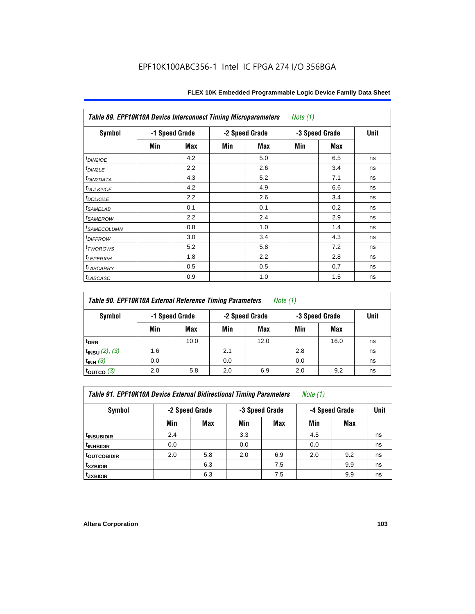| Table 89. EPF10K10A Device Interconnect Timing Microparameters<br>Note $(1)$ |     |                |                |            |                |            |      |  |  |  |  |
|------------------------------------------------------------------------------|-----|----------------|----------------|------------|----------------|------------|------|--|--|--|--|
| <b>Symbol</b>                                                                |     | -1 Speed Grade | -2 Speed Grade |            | -3 Speed Grade |            | Unit |  |  |  |  |
|                                                                              | Min | Max            | Min            | <b>Max</b> | Min            | <b>Max</b> |      |  |  |  |  |
| $t_{DINZIOE}$                                                                |     | 4.2            |                | 5.0        |                | 6.5        | ns   |  |  |  |  |
| t <sub>DIN2LE</sub>                                                          |     | 2.2            |                | 2.6        |                | 3.4        | ns   |  |  |  |  |
| <sup>t</sup> DIN2DATA                                                        |     | 4.3            |                | 5.2        |                | 7.1        | ns   |  |  |  |  |
| t <sub>DCLK210E</sub>                                                        |     | 4.2            |                | 4.9        |                | 6.6        | ns   |  |  |  |  |
| t <sub>DCLK2LE</sub>                                                         |     | 2.2            |                | 2.6        |                | 3.4        | ns   |  |  |  |  |
| <i>t</i> SAMELAB                                                             |     | 0.1            |                | 0.1        |                | 0.2        | ns   |  |  |  |  |
| <i>t</i> SAMEROW                                                             |     | 2.2            |                | 2.4        |                | 2.9        | ns   |  |  |  |  |
| <sup>t</sup> SAMECOLUMN                                                      |     | 0.8            |                | 1.0        |                | 1.4        | ns   |  |  |  |  |
| <i>t<sub>DIFFROW</sub></i>                                                   |     | 3.0            |                | 3.4        |                | 4.3        | ns   |  |  |  |  |
| t <sub>TWOROWS</sub>                                                         |     | 5.2            |                | 5.8        |                | 7.2        | ns   |  |  |  |  |
| <sup>t</sup> LEPERIPH                                                        |     | 1.8            |                | 2.2        |                | 2.8        | ns   |  |  |  |  |
| <sup>t</sup> LABCARRY                                                        |     | 0.5            |                | 0.5        |                | 0.7        | ns   |  |  |  |  |
| <sup>t</sup> LABCASC                                                         |     | 0.9            |                | 1.0        |                | 1.5        | ns   |  |  |  |  |

| Table 90. EPF10K10A External Reference Timing Parameters | Note (1) |
|----------------------------------------------------------|----------|
|----------------------------------------------------------|----------|

| Symbol                 | -1 Speed Grade |      | -2 Speed Grade |      | -3 Speed Grade | Unit |    |
|------------------------|----------------|------|----------------|------|----------------|------|----|
|                        | Min            | Max  | Min            | Max  | Min            | Max  |    |
| t <sub>DRR</sub>       |                | 10.0 |                | 12.0 |                | 16.0 | ns |
| $t_{INSU} (2), (3)$    | 1.6            |      | 2.1            |      | 2.8            |      | ns |
| $t_{INH}$ (3)          | 0.0            |      | 0.0            |      | 0.0            |      | ns |
| $t_{\text{OUTCO}}$ (3) | 2.0            | 5.8  | 2.0            | 6.9  | 2.0            | 9.2  | ns |

*Table 91. EPF10K10A Device External Bidirectional Timing Parameters Note (1)*

| Symbol                  | -2 Speed Grade |     |     | -3 Speed Grade | -4 Speed Grade | Unit       |    |
|-------------------------|----------------|-----|-----|----------------|----------------|------------|----|
|                         | Min            | Max | Min | <b>Max</b>     | Min            | <b>Max</b> |    |
| <sup>t</sup> insubidir  | 2.4            |     | 3.3 |                | 4.5            |            | ns |
| <sup>T</sup> INHBIDIR   | 0.0            |     | 0.0 |                | 0.0            |            | ns |
| <sup>t</sup> OUTCOBIDIR | 2.0            | 5.8 | 2.0 | 6.9            | 2.0            | 9.2        | ns |
| <sup>t</sup> xzbidir    |                | 6.3 |     | 7.5            |                | 9.9        | ns |
| <sup>t</sup> zxbidir    |                | 6.3 |     | 7.5            |                | 9.9        | ns |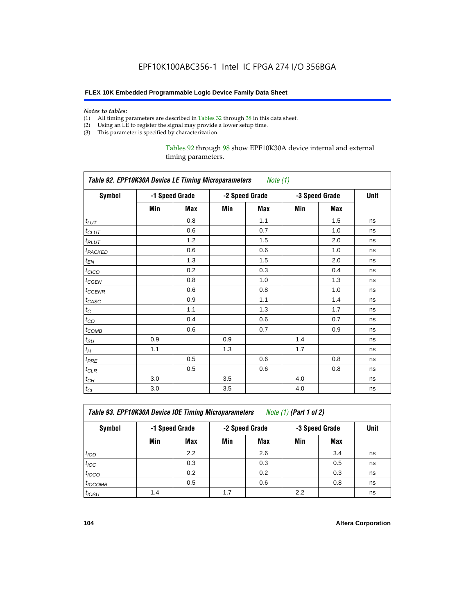#### *Notes to tables:*

- (1) All timing parameters are described in Tables 32 through 38 in this data sheet.
- (2) Using an LE to register the signal may provide a lower setup time.
- (3) This parameter is specified by characterization.

Tables 92 through 98 show EPF10K30A device internal and external timing parameters.

| Table 92. EPF10K30A Device LE Timing Microparameters Note (1) |                |     |                |     |                |      |    |  |  |  |
|---------------------------------------------------------------|----------------|-----|----------------|-----|----------------|------|----|--|--|--|
| <b>Symbol</b>                                                 | -1 Speed Grade |     | -2 Speed Grade |     | -3 Speed Grade | Unit |    |  |  |  |
|                                                               | Min            | Max | Min            | Max | Min            | Max  |    |  |  |  |
| $t_{LUT}$                                                     |                | 0.8 |                | 1.1 |                | 1.5  | ns |  |  |  |
| $t_{CLUT}$                                                    |                | 0.6 |                | 0.7 |                | 1.0  | ns |  |  |  |
| $t_{RLUT}$                                                    |                | 1.2 |                | 1.5 |                | 2.0  | ns |  |  |  |
| <b><i>t<sub>PACKED</sub></i></b>                              |                | 0.6 |                | 0.6 |                | 1.0  | ns |  |  |  |
| $t_{EN}$                                                      |                | 1.3 |                | 1.5 |                | 2.0  | ns |  |  |  |
| $t_{CICO}$                                                    |                | 0.2 |                | 0.3 |                | 0.4  | ns |  |  |  |
| $t_{\text{GEN}}$                                              |                | 0.8 |                | 1.0 |                | 1.3  | ns |  |  |  |
| t <sub>CGENR</sub>                                            |                | 0.6 |                | 0.8 |                | 1.0  | ns |  |  |  |
| $t_{CASC}$                                                    |                | 0.9 |                | 1.1 |                | 1.4  | ns |  |  |  |
| $t_C$                                                         |                | 1.1 |                | 1.3 |                | 1.7  | ns |  |  |  |
| $t_{CO}$                                                      |                | 0.4 |                | 0.6 |                | 0.7  | ns |  |  |  |
| $t_{\text{COMB}}$                                             |                | 0.6 |                | 0.7 |                | 0.9  | ns |  |  |  |
| $t_{\rm SU}$                                                  | 0.9            |     | 0.9            |     | 1.4            |      | ns |  |  |  |
| $t_H$                                                         | 1.1            |     | 1.3            |     | 1.7            |      | ns |  |  |  |
| $t_{PRE}$                                                     |                | 0.5 |                | 0.6 |                | 0.8  | ns |  |  |  |
| $t_{CLR}$                                                     |                | 0.5 |                | 0.6 |                | 0.8  | ns |  |  |  |
| $t_{CH}$                                                      | 3.0            |     | 3.5            |     | 4.0            |      | ns |  |  |  |
| $t_{CL}$                                                      | 3.0            |     | 3.5            |     | 4.0            |      | ns |  |  |  |

*Table 93. EPF10K30A Device IOE Timing Microparameters Note (1) (Part 1 of 2)*

| Symbol            | -1 Speed Grade |     | -2 Speed Grade |            | -3 Speed Grade |            | <b>Unit</b> |  |  |  |  |  |
|-------------------|----------------|-----|----------------|------------|----------------|------------|-------------|--|--|--|--|--|
|                   | Min            | Max | Min            | <b>Max</b> | Min            | <b>Max</b> |             |  |  |  |  |  |
| t <sub>IOD</sub>  |                | 2.2 |                | 2.6        |                | 3.4        | ns          |  |  |  |  |  |
| $t_{\text{IOC}}$  |                | 0.3 |                | 0.3        |                | 0.5        | ns          |  |  |  |  |  |
| $t_{IOCO}$        |                | 0.2 |                | 0.2        |                | 0.3        | ns          |  |  |  |  |  |
| $t_{IOCOMB}$      |                | 0.5 |                | 0.6        |                | 0.8        | ns          |  |  |  |  |  |
| t <sub>IOSU</sub> | 1.4            |     | 1.7            |            | 2.2            |            | ns          |  |  |  |  |  |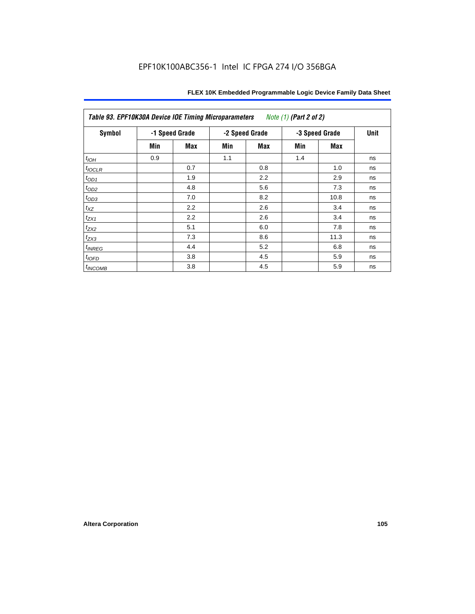| Table 93. EPF10K30A Device IOE Timing Microparameters<br>Note (1) (Part 2 of 2) |     |                |     |                |     |                |    |  |  |  |  |
|---------------------------------------------------------------------------------|-----|----------------|-----|----------------|-----|----------------|----|--|--|--|--|
| Symbol                                                                          |     | -1 Speed Grade |     | -2 Speed Grade |     | -3 Speed Grade |    |  |  |  |  |
|                                                                                 | Min | Max            | Min | Max            | Min | Max            |    |  |  |  |  |
| $t_{IOH}$                                                                       | 0.9 |                | 1.1 |                | 1.4 |                | ns |  |  |  |  |
| $t_{IOCLR}$                                                                     |     | 0.7            |     | 0.8            |     | 1.0            | ns |  |  |  |  |
| $t_{OD1}$                                                                       |     | 1.9            |     | 2.2            |     | 2.9            | ns |  |  |  |  |
| $t_{OD2}$                                                                       |     | 4.8            |     | 5.6            |     | 7.3            | ns |  |  |  |  |
| $t_{\rm OD3}$                                                                   |     | 7.0            |     | 8.2            |     | 10.8           | ns |  |  |  |  |
| $t_{XZ}$                                                                        |     | 2.2            |     | 2.6            |     | 3.4            | ns |  |  |  |  |
| $t_{ZX1}$                                                                       |     | 2.2            |     | 2.6            |     | 3.4            | ns |  |  |  |  |
| $t_{ZX2}$                                                                       |     | 5.1            |     | 6.0            |     | 7.8            | ns |  |  |  |  |
| $t_{ZX3}$                                                                       |     | 7.3            |     | 8.6            |     | 11.3           | ns |  |  |  |  |
| $t_{INREG}$                                                                     |     | 4.4            |     | 5.2            |     | 6.8            | ns |  |  |  |  |
| t <sub>IOFD</sub>                                                               |     | 3.8            |     | 4.5            |     | 5.9            | ns |  |  |  |  |
| $t_{INCOMB}$                                                                    |     | 3.8            |     | 4.5            |     | 5.9            | ns |  |  |  |  |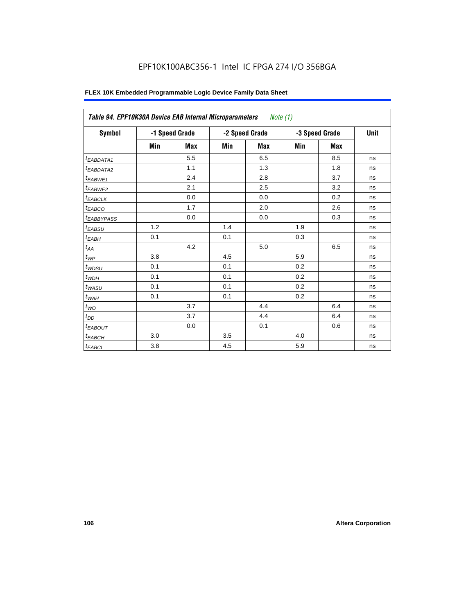# EPF10K100ABC356-1 Intel IC FPGA 274 I/O 356BGA

| Symbol                 |         | -1 Speed Grade |     | -2 Speed Grade |     | -3 Speed Grade | <b>Unit</b> |
|------------------------|---------|----------------|-----|----------------|-----|----------------|-------------|
|                        | Min     | <b>Max</b>     | Min | Max            | Min | <b>Max</b>     |             |
| <sup>t</sup> EABDATA1  |         | 5.5            |     | 6.5            |     | 8.5            | ns          |
| <sup>t</sup> EABDATA2  |         | 1.1            |     | 1.3            |     | 1.8            | ns          |
| <sup>t</sup> EABWE1    |         | 2.4            |     | 2.8            |     | 3.7            | ns          |
| <sup>t</sup> EABWE2    |         | 2.1            |     | 2.5            |     | 3.2            | ns          |
| <sup>t</sup> EABCLK    |         | 0.0            |     | 0.0            |     | 0.2            | ns          |
| <sup>t</sup> EABCO     |         | 1.7            |     | 2.0            |     | 2.6            | ns          |
| <sup>t</sup> EABBYPASS |         | 0.0            |     | 0.0            |     | 0.3            | ns          |
| t <sub>EABSU</sub>     | 1.2     |                | 1.4 |                | 1.9 |                | ns          |
| <sup>t</sup> ЕАВН      | 0.1     |                | 0.1 |                | 0.3 |                | ns          |
| $t_{AA}$               |         | 4.2            |     | 5.0            |     | 6.5            | ns          |
| $t_{\mathcal{WP}}$     | 3.8     |                | 4.5 |                | 5.9 |                | ns          |
| t <sub>WDSU</sub>      | 0.1     |                | 0.1 |                | 0.2 |                | ns          |
| $t_{WDH}$              | 0.1     |                | 0.1 |                | 0.2 |                | ns          |
| $t_{WASU}$             | 0.1     |                | 0.1 |                | 0.2 |                | ns          |
| $t_{W{\!A} H}$         | 0.1     |                | 0.1 |                | 0.2 |                | ns          |
| $t_{WO}$               |         | 3.7            |     | 4.4            |     | 6.4            | ns          |
| $t_{DD}$               |         | 3.7            |     | 4.4            |     | 6.4            | ns          |
| <sup>t</sup> EABOUT    |         | 0.0            |     | 0.1            |     | 0.6            | ns          |
| $t_{EABCH}$            | 3.0     |                | 3.5 |                | 4.0 |                | ns          |
| $t_{EABCL}$            | $3.8\,$ |                | 4.5 |                | 5.9 |                | ns          |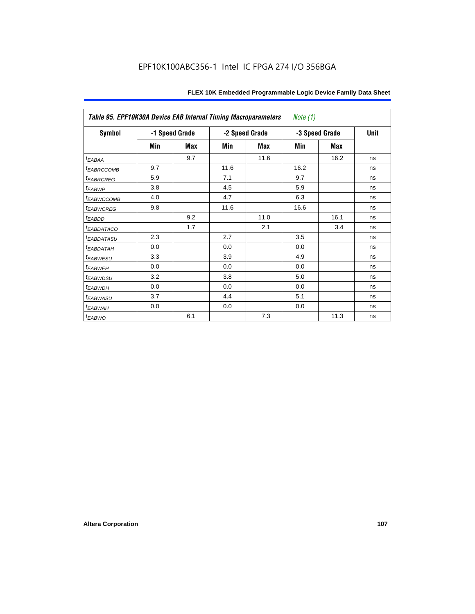| Table 95. EPF10K30A Device EAB Internal Timing Macroparameters<br>Note $(1)$ |                |     |                |            |                |             |    |  |  |  |  |
|------------------------------------------------------------------------------|----------------|-----|----------------|------------|----------------|-------------|----|--|--|--|--|
| Symbol                                                                       | -1 Speed Grade |     | -2 Speed Grade |            | -3 Speed Grade | <b>Unit</b> |    |  |  |  |  |
|                                                                              | Min            | Max | Min            | <b>Max</b> | Min            | Max         |    |  |  |  |  |
| $t_{EABA}$                                                                   |                | 9.7 |                | 11.6       |                | 16.2        | ns |  |  |  |  |
| <sup>t</sup> EABRCCOMB                                                       | 9.7            |     | 11.6           |            | 16.2           |             | ns |  |  |  |  |
| <i><b>EABRCREG</b></i>                                                       | 5.9            |     | 7.1            |            | 9.7            |             | ns |  |  |  |  |
| t <sub>EABWP</sub>                                                           | 3.8            |     | 4.5            |            | 5.9            |             | ns |  |  |  |  |
| <sup>t</sup> ЕАВWССОМВ                                                       | 4.0            |     | 4.7            |            | 6.3            |             | ns |  |  |  |  |
| <sup>t</sup> EABWCREG                                                        | 9.8            |     | 11.6           |            | 16.6           |             | ns |  |  |  |  |
| $t_{EABDD}$                                                                  |                | 9.2 |                | 11.0       |                | 16.1        | ns |  |  |  |  |
| t <sub>EABDATACO</sub>                                                       |                | 1.7 |                | 2.1        |                | 3.4         | ns |  |  |  |  |
| <sup>t</sup> EABDATASU                                                       | 2.3            |     | 2.7            |            | 3.5            |             | ns |  |  |  |  |
| t <sub>EABDATAH</sub>                                                        | 0.0            |     | 0.0            |            | 0.0            |             | ns |  |  |  |  |
| <sup>t</sup> EABWESU                                                         | 3.3            |     | 3.9            |            | 4.9            |             | ns |  |  |  |  |
| <sup>t</sup> EABWEH                                                          | 0.0            |     | 0.0            |            | 0.0            |             | ns |  |  |  |  |
| <sup>t</sup> EABWDSU                                                         | 3.2            |     | 3.8            |            | 5.0            |             | ns |  |  |  |  |
| t <sub>EABWDH</sub>                                                          | 0.0            |     | 0.0            |            | 0.0            |             | ns |  |  |  |  |
| t <sub>EABWASU</sub>                                                         | 3.7            |     | 4.4            |            | 5.1            |             | ns |  |  |  |  |
| t <sub>EABWAH</sub>                                                          | 0.0            |     | 0.0            |            | 0.0            |             | ns |  |  |  |  |
| $t_{EABWO}$                                                                  |                | 6.1 |                | 7.3        |                | 11.3        | ns |  |  |  |  |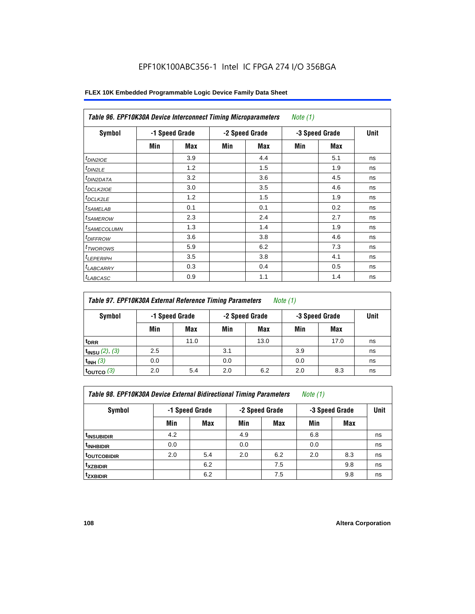# EPF10K100ABC356-1 Intel IC FPGA 274 I/O 356BGA

| Symbol                     |     | -1 Speed Grade |     | -2 Speed Grade | -3 Speed Grade | Unit       |    |
|----------------------------|-----|----------------|-----|----------------|----------------|------------|----|
|                            | Min | <b>Max</b>     | Min | Max            | Min            | <b>Max</b> |    |
| t <sub>DIN2IOE</sub>       |     | 3.9            |     | 4.4            |                | 5.1        | ns |
| t <sub>DIN2LE</sub>        |     | 1.2            |     | 1.5            |                | 1.9        | ns |
| <sup>t</sup> DIN2DATA      |     | 3.2            |     | 3.6            |                | 4.5        | ns |
| <sup>t</sup> DCLK2IOE      |     | 3.0            |     | 3.5            |                | 4.6        | ns |
| <sup>t</sup> DCLK2LE       |     | 1.2            |     | 1.5            |                | 1.9        | ns |
| <sup>t</sup> SAMELAB       |     | 0.1            |     | 0.1            |                | 0.2        | ns |
| <sup>t</sup> SAMEROW       |     | 2.3            |     | 2.4            |                | 2.7        | ns |
| <sup>t</sup> SAMECOLUMN    |     | 1.3            |     | 1.4            |                | 1.9        | ns |
| <i>t<sub>DIFFROW</sub></i> |     | 3.6            |     | 3.8            |                | 4.6        | ns |
| <sup>t</sup> TWOROWS       |     | 5.9            |     | 6.2            |                | 7.3        | ns |
| <sup>t</sup> LEPERIPH      |     | 3.5            |     | 3.8            |                | 4.1        | ns |
| <sup>I</sup> LABCARRY      |     | 0.3            |     | 0.4            |                | 0.5        | ns |
| <sup>t</sup> LABCASC       |     | 0.9            |     | 1.1            |                | 1.4        | ns |

# **FLEX 10K Embedded Programmable Logic Device Family Data Sheet**

| Table 97. EPF10K30A External Reference Timing Parameters<br><i>Note</i> $(1)$ |     |                |     |                |     |                |    |  |  |  |
|-------------------------------------------------------------------------------|-----|----------------|-----|----------------|-----|----------------|----|--|--|--|
| Symbol                                                                        |     | -1 Speed Grade |     | -2 Speed Grade |     | -3 Speed Grade |    |  |  |  |
|                                                                               | Min | Max            | Min | Max            | Min | Max            |    |  |  |  |
| t <sub>DRR</sub>                                                              |     | 11.0           |     | 13.0           |     | 17.0           | ns |  |  |  |
| $t_{INSU}$ (2), (3)                                                           | 2.5 |                | 3.1 |                | 3.9 |                | ns |  |  |  |
| $t_{INH}$ (3)                                                                 | 0.0 |                | 0.0 |                | 0.0 |                | ns |  |  |  |
| $t_{\text{OUTCO}}$ $(3)$                                                      | 2.0 | 5.4            | 2.0 | 6.2            | 2.0 | 8.3            | ns |  |  |  |

*Table 98. EPF10K30A Device External Bidirectional Timing Parameters Note (1)*

| Symbol                 |     | -1 Speed Grade |     | -2 Speed Grade |     | -3 Speed Grade |    |  |
|------------------------|-----|----------------|-----|----------------|-----|----------------|----|--|
|                        | Min | <b>Max</b>     | Min | <b>Max</b>     | Min | <b>Max</b>     |    |  |
| <sup>t</sup> INSUBIDIR | 4.2 |                | 4.9 |                | 6.8 |                | ns |  |
| <sup>t</sup> INHBIDIR  | 0.0 |                | 0.0 |                | 0.0 |                | ns |  |
| <b>toutcobidir</b>     | 2.0 | 5.4            | 2.0 | 6.2            | 2.0 | 8.3            | ns |  |
| <sup>t</sup> xzbidir   |     | 6.2            |     | 7.5            |     | 9.8            | ns |  |
| <i>t</i> zxbidir       |     | 6.2            |     | 7.5            |     | 9.8            | ns |  |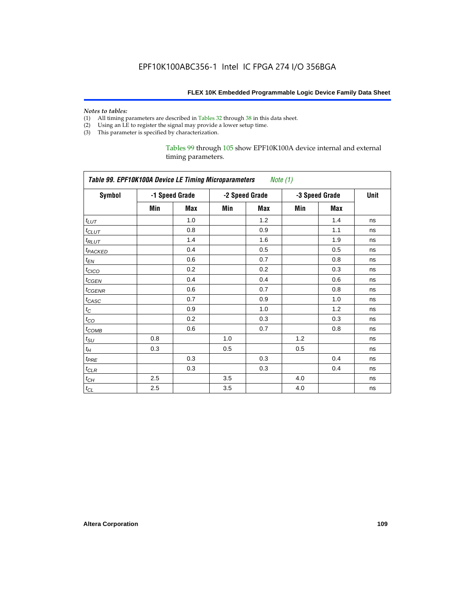#### *Notes to tables:*

- (1) All timing parameters are described in Tables 32 through 38 in this data sheet.
- (2) Using an LE to register the signal may provide a lower setup time.
- (3) This parameter is specified by characterization.

Tables 99 through 105 show EPF10K100A device internal and external timing parameters.

| Table 99. EPF10K100A Device LE Timing Microparameters Note (1) |     |                |     |                |     |                |      |  |  |
|----------------------------------------------------------------|-----|----------------|-----|----------------|-----|----------------|------|--|--|
| <b>Symbol</b>                                                  |     | -1 Speed Grade |     | -2 Speed Grade |     | -3 Speed Grade | Unit |  |  |
|                                                                | Min | Max            | Min | Max            | Min | Max            |      |  |  |
| $t_{LUT}$                                                      |     | 1.0            |     | 1.2            |     | 1.4            | ns   |  |  |
| $t_{CLUT}$                                                     |     | 0.8            |     | 0.9            |     | 1.1            | ns   |  |  |
| $t_{RLUT}$                                                     |     | 1.4            |     | 1.6            |     | 1.9            | ns   |  |  |
| t <sub>PACKED</sub>                                            |     | 0.4            |     | 0.5            |     | 0.5            | ns   |  |  |
| $t_{EN}$                                                       |     | 0.6            |     | 0.7            |     | 0.8            | ns   |  |  |
| $t_{CICO}$                                                     |     | 0.2            |     | 0.2            |     | 0.3            | ns   |  |  |
| $t_{CGEN}$                                                     |     | 0.4            |     | 0.4            |     | 0.6            | ns   |  |  |
| $t_{\text{GENR}}$                                              |     | 0.6            |     | 0.7            |     | 0.8            | ns   |  |  |
| t <sub>CASC</sub>                                              |     | 0.7            |     | 0.9            |     | 1.0            | ns   |  |  |
| $t_{\rm C}$                                                    |     | 0.9            |     | 1.0            |     | 1.2            | ns   |  |  |
| $t_{CO}$                                                       |     | 0.2            |     | 0.3            |     | 0.3            | ns   |  |  |
| $t_{COMB}$                                                     |     | 0.6            |     | 0.7            |     | 0.8            | ns   |  |  |
| $t_{\rm SU}$                                                   | 0.8 |                | 1.0 |                | 1.2 |                | ns   |  |  |
| $t_H\,$                                                        | 0.3 |                | 0.5 |                | 0.5 |                | ns   |  |  |
| $t_{PRE}$                                                      |     | 0.3            |     | 0.3            |     | 0.4            | ns   |  |  |
| $t_{CLR}$                                                      |     | 0.3            |     | 0.3            |     | 0.4            | ns   |  |  |
| $t_{CH}$                                                       | 2.5 |                | 3.5 |                | 4.0 |                | ns   |  |  |
| $t_{CL}$                                                       | 2.5 |                | 3.5 |                | 4.0 |                | ns   |  |  |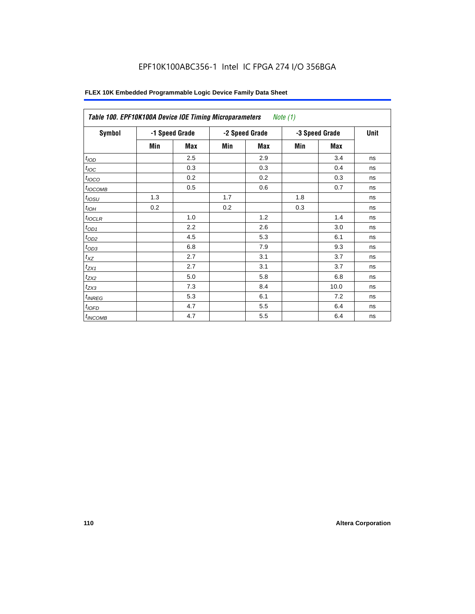# EPF10K100ABC356-1 Intel IC FPGA 274 I/O 356BGA

| Symbol              | -1 Speed Grade |     |     | -2 Speed Grade | -3 Speed Grade | Unit |    |
|---------------------|----------------|-----|-----|----------------|----------------|------|----|
|                     | Min            | Max | Min | Max            | Min            | Max  |    |
| t <sub>IOD</sub>    |                | 2.5 |     | 2.9            |                | 3.4  | ns |
| $t_{\text{IOC}}$    |                | 0.3 |     | 0.3            |                | 0.4  | ns |
| $t_{IOCO}$          |                | 0.2 |     | 0.2            |                | 0.3  | ns |
| t <sub>IOCOMB</sub> |                | 0.5 |     | 0.6            |                | 0.7  | ns |
| t <sub>iosu</sub>   | 1.3            |     | 1.7 |                | 1.8            |      | ns |
| $t_{IOH}$           | 0.2            |     | 0.2 |                | 0.3            |      | ns |
| $t_{IOCLR}$         |                | 1.0 |     | 1.2            |                | 1.4  | ns |
| $t_{OD1}$           |                | 2.2 |     | 2.6            |                | 3.0  | ns |
| $t_{OD2}$           |                | 4.5 |     | 5.3            |                | 6.1  | ns |
| $t_{OD3}$           |                | 6.8 |     | 7.9            |                | 9.3  | ns |
| $t_{XZ}$            |                | 2.7 |     | 3.1            |                | 3.7  | ns |
| $t_{ZX1}$           |                | 2.7 |     | 3.1            |                | 3.7  | ns |
| $t_{ZX2}$           |                | 5.0 |     | 5.8            |                | 6.8  | ns |
| $t_{ZX3}$           |                | 7.3 |     | 8.4            |                | 10.0 | ns |
| $t_{INREG}$         |                | 5.3 |     | 6.1            |                | 7.2  | ns |
| $t_{IOED}$          |                | 4.7 |     | 5.5            |                | 6.4  | ns |
| <sup>t</sup> INCOMB |                | 4.7 |     | 5.5            |                | 6.4  | ns |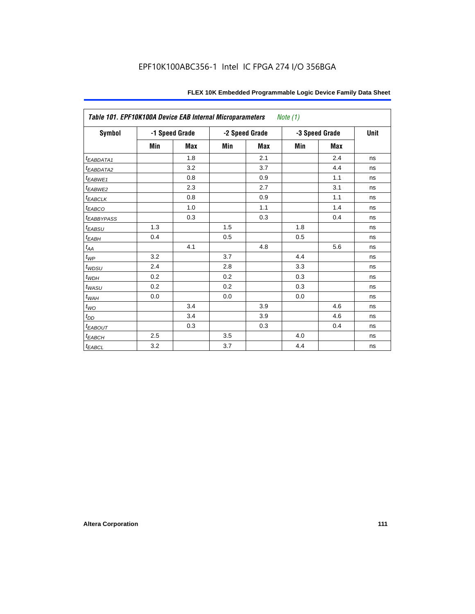| Table 101. EPF10K100A Device EAB Internal Microparameters |     |                |     |                | Note (1) |                |      |
|-----------------------------------------------------------|-----|----------------|-----|----------------|----------|----------------|------|
| <b>Symbol</b>                                             |     | -1 Speed Grade |     | -2 Speed Grade |          | -3 Speed Grade | Unit |
|                                                           | Min | <b>Max</b>     | Min | <b>Max</b>     | Min      | <b>Max</b>     |      |
| t <sub>EABDATA1</sub>                                     |     | 1.8            |     | 2.1            |          | 2.4            | ns   |
| t <sub>EABDATA2</sub>                                     |     | 3.2            |     | 3.7            |          | 4.4            | ns   |
| t <sub>EABWE1</sub>                                       |     | 0.8            |     | 0.9            |          | 1.1            | ns   |
| t <sub>EABWE2</sub>                                       |     | 2.3            |     | 2.7            |          | 3.1            | ns   |
| $t_{EABCLK}$                                              |     | 0.8            |     | 0.9            |          | 1.1            | ns   |
| $t_{EABCO}$                                               |     | 1.0            |     | 1.1            |          | 1.4            | ns   |
| <b><i>EABBYPASS</i></b>                                   |     | 0.3            |     | 0.3            |          | 0.4            | ns   |
| $t_{EABSU}$                                               | 1.3 |                | 1.5 |                | 1.8      |                | ns   |
| $t_{EABH}$                                                | 0.4 |                | 0.5 |                | 0.5      |                | ns   |
| $t_{\mathit{AA}}$                                         |     | 4.1            |     | 4.8            |          | 5.6            | ns   |
| $t_{\mathit{WP}}$                                         | 3.2 |                | 3.7 |                | 4.4      |                | ns   |
| $t_{WDSU}$                                                | 2.4 |                | 2.8 |                | 3.3      |                | ns   |
| $t_{WDH}$                                                 | 0.2 |                | 0.2 |                | 0.3      |                | ns   |
| $t_{WASU}$                                                | 0.2 |                | 0.2 |                | 0.3      |                | ns   |
| $t_{WAH}$                                                 | 0.0 |                | 0.0 |                | 0.0      |                | ns   |
| $t_{WO}$                                                  |     | 3.4            |     | 3.9            |          | 4.6            | ns   |
| $t_{DD}$                                                  |     | 3.4            |     | 3.9            |          | 4.6            | ns   |
| $t_{EABOUT}$                                              |     | 0.3            |     | 0.3            |          | 0.4            | ns   |
| $t_{EABCH}$                                               | 2.5 |                | 3.5 |                | 4.0      |                | ns   |
| $t_{EABCL}$                                               | 3.2 |                | 3.7 |                | 4.4      |                | ns   |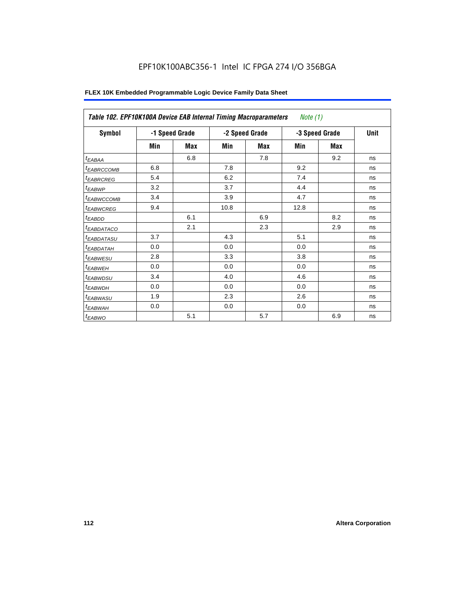| Table 102. EPF10K100A Device EAB Internal Timing Macroparameters |     |                |      |                | <i>Note</i> $(1)$ |             |    |
|------------------------------------------------------------------|-----|----------------|------|----------------|-------------------|-------------|----|
| Symbol                                                           |     | -1 Speed Grade |      | -2 Speed Grade | -3 Speed Grade    | <b>Unit</b> |    |
|                                                                  | Min | Max            | Min  | Max            | Min               | Max         |    |
| $t_{EABA}$                                                       |     | 6.8            |      | 7.8            |                   | 9.2         | ns |
| <sup>t</sup> EABRCCOMB                                           | 6.8 |                | 7.8  |                | 9.2               |             | ns |
| <i><b>EABRCREG</b></i>                                           | 5.4 |                | 6.2  |                | 7.4               |             | ns |
| <sup>t</sup> EABWP                                               | 3.2 |                | 3.7  |                | 4.4               |             | ns |
| <sup>t</sup> ЕАВWССОМВ                                           | 3.4 |                | 3.9  |                | 4.7               |             | ns |
| <sup>t</sup> EABWCREG                                            | 9.4 |                | 10.8 |                | 12.8              |             | ns |
| <sup>t</sup> EABDD                                               |     | 6.1            |      | 6.9            |                   | 8.2         | ns |
| <sup>t</sup> EABDATACO                                           |     | 2.1            |      | 2.3            |                   | 2.9         | ns |
| <sup>t</sup> EABDATASU                                           | 3.7 |                | 4.3  |                | 5.1               |             | ns |
| <sup>t</sup> EABDATAH                                            | 0.0 |                | 0.0  |                | 0.0               |             | ns |
| <i>t<sub>EABWESU</sub></i>                                       | 2.8 |                | 3.3  |                | 3.8               |             | ns |
| <sup>t</sup> EABWEH                                              | 0.0 |                | 0.0  |                | 0.0               |             | ns |
| <sup>t</sup> EABWDSU                                             | 3.4 |                | 4.0  |                | 4.6               |             | ns |
| $t_{EABWDH}$                                                     | 0.0 |                | 0.0  |                | 0.0               |             | ns |
| t <sub>EABWASU</sub>                                             | 1.9 |                | 2.3  |                | 2.6               |             | ns |
| t <sub>EABWAH</sub>                                              | 0.0 |                | 0.0  |                | 0.0               |             | ns |
| $t_{EABWO}$                                                      |     | 5.1            |      | 5.7            |                   | 6.9         | ns |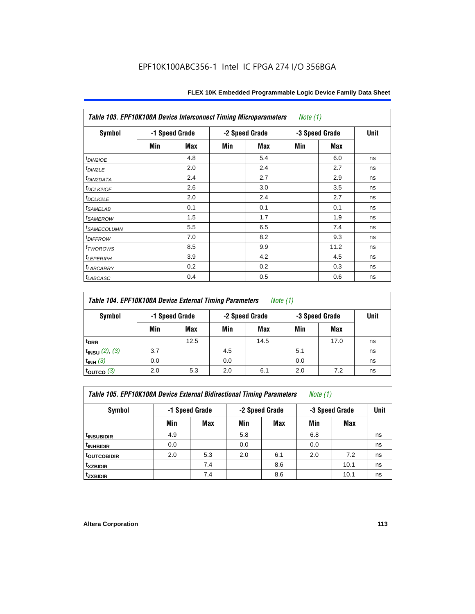| Table 103. EPF10K100A Device Interconnect Timing Microparameters<br>Note $(1)$ |                |     |     |                |                |      |    |  |  |
|--------------------------------------------------------------------------------|----------------|-----|-----|----------------|----------------|------|----|--|--|
| Symbol                                                                         | -1 Speed Grade |     |     | -2 Speed Grade | -3 Speed Grade | Unit |    |  |  |
|                                                                                | Min            | Max | Min | Max            | Min            | Max  |    |  |  |
| $t_{DINZIOE}$                                                                  |                | 4.8 |     | 5.4            |                | 6.0  | ns |  |  |
| t <sub>DIN2LE</sub>                                                            |                | 2.0 |     | 2.4            |                | 2.7  | ns |  |  |
| <sup>t</sup> DIN2DATA                                                          |                | 2.4 |     | 2.7            |                | 2.9  | ns |  |  |
| t <sub>DCLK210E</sub>                                                          |                | 2.6 |     | 3.0            |                | 3.5  | ns |  |  |
| t <sub>DCLK2LE</sub>                                                           |                | 2.0 |     | 2.4            |                | 2.7  | ns |  |  |
| <i>t</i> SAMELAB                                                               |                | 0.1 |     | 0.1            |                | 0.1  | ns |  |  |
| <i>t</i> SAMEROW                                                               |                | 1.5 |     | 1.7            |                | 1.9  | ns |  |  |
| <i>t<sub>SAMECOLUMN</sub></i>                                                  |                | 5.5 |     | 6.5            |                | 7.4  | ns |  |  |
| <i>t<sub>DIFFROW</sub></i>                                                     |                | 7.0 |     | 8.2            |                | 9.3  | ns |  |  |
| <sup>t</sup> TWOROWS                                                           |                | 8.5 |     | 9.9            |                | 11.2 | ns |  |  |
| <sup>t</sup> LEPERIPH                                                          |                | 3.9 |     | 4.2            |                | 4.5  | ns |  |  |
| <b>LABCARRY</b>                                                                |                | 0.2 |     | 0.2            |                | 0.3  | ns |  |  |
| <sup>t</sup> LABCASC                                                           |                | 0.4 |     | 0.5            |                | 0.6  | ns |  |  |

| Table 104. EPF10K100A Device External Timing Parameters | Note (1) |
|---------------------------------------------------------|----------|
|---------------------------------------------------------|----------|

| Symbol                 | -1 Speed Grade |      |     | -2 Speed Grade |     | -3 Speed Grade |    |  |
|------------------------|----------------|------|-----|----------------|-----|----------------|----|--|
|                        | Min            | Max  | Min | Max            | Min | <b>Max</b>     |    |  |
| t <sub>DRR</sub>       |                | 12.5 |     | 14.5           |     | 17.0           | ns |  |
| $t_{INSU}$ (2), (3)    | 3.7            |      | 4.5 |                | 5.1 |                | ns |  |
| $t_{INH}$ (3)          | 0.0            |      | 0.0 |                | 0.0 |                | ns |  |
| $t_{\text{OUTCO}}$ (3) | 2.0            | 5.3  | 2.0 | 6.1            | 2.0 | 7.2            | ns |  |

| Table 105. EPF10K100A Device External Bidirectional Timing Parameters | Note (1) |  |  |
|-----------------------------------------------------------------------|----------|--|--|
|-----------------------------------------------------------------------|----------|--|--|

| Symbol                  | -1 Speed Grade |     |     | -2 Speed Grade | -3 Speed Grade | <b>Unit</b> |    |
|-------------------------|----------------|-----|-----|----------------|----------------|-------------|----|
|                         | Min            | Max | Min | <b>Max</b>     | Min            | Max         |    |
| <sup>t</sup> INSUBIDIR  | 4.9            |     | 5.8 |                | 6.8            |             | ns |
| <sup>t</sup> inhbidir   | 0.0            |     | 0.0 |                | 0.0            |             | ns |
| <sup>t</sup> OUTCOBIDIR | 2.0            | 5.3 | 2.0 | 6.1            | 2.0            | 7.2         | ns |
| <sup>t</sup> xzbidir    |                | 7.4 |     | 8.6            |                | 10.1        | ns |
| <sup>t</sup> zxbidir    |                | 7.4 |     | 8.6            |                | 10.1        | ns |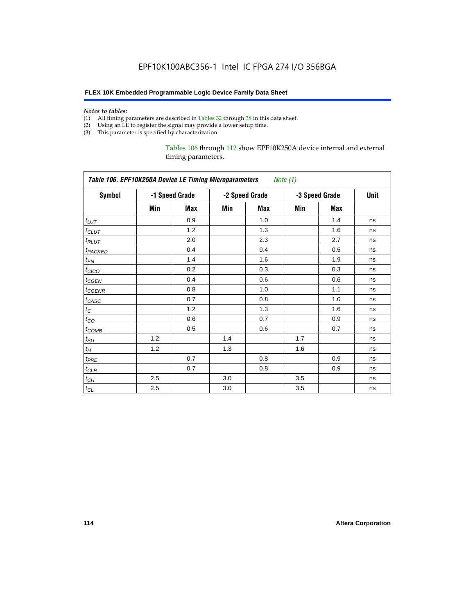#### *Notes to tables:*

- (1) All timing parameters are described in Tables 32 through 38 in this data sheet.
- (2) Using an LE to register the signal may provide a lower setup time.
- (3) This parameter is specified by characterization.

## Tables 106 through 112 show EPF10K250A device internal and external timing parameters.

| Table 106. EPF10K250A Device LE Timing Microparameters<br>Note (1) |     |                |     |                |                |            |    |  |
|--------------------------------------------------------------------|-----|----------------|-----|----------------|----------------|------------|----|--|
| <b>Symbol</b>                                                      |     | -1 Speed Grade |     | -2 Speed Grade | -3 Speed Grade | Unit       |    |  |
|                                                                    | Min | Max            | Min | <b>Max</b>     | Min            | <b>Max</b> |    |  |
| $t_{LUT}$                                                          |     | 0.9            |     | 1.0            |                | 1.4        | ns |  |
| $t_{CLUT}$                                                         |     | 1.2            |     | 1.3            |                | 1.6        | ns |  |
| $t_{RLUT}$                                                         |     | 2.0            |     | 2.3            |                | 2.7        | ns |  |
| <b><i>t<sub>PACKED</sub></i></b>                                   |     | 0.4            |     | 0.4            |                | 0.5        | ns |  |
| $t_{EN}$                                                           |     | 1.4            |     | 1.6            |                | 1.9        | ns |  |
| $t_{CICO}$                                                         |     | 0.2            |     | 0.3            |                | 0.3        | ns |  |
| $t_{CGEN}$                                                         |     | 0.4            |     | 0.6            |                | 0.6        | ns |  |
| $t_{\text{GENR}}$                                                  |     | 0.8            |     | 1.0            |                | 1.1        | ns |  |
| $t_{CASC}$                                                         |     | 0.7            |     | 0.8            |                | 1.0        | ns |  |
| $t_{\rm C}$                                                        |     | 1.2            |     | 1.3            |                | 1.6        | ns |  |
| $t_{CO}$                                                           |     | 0.6            |     | 0.7            |                | 0.9        | ns |  |
| $t_{COMB}$                                                         |     | 0.5            |     | 0.6            |                | 0.7        | ns |  |
| $t_{\text{SU}}$                                                    | 1.2 |                | 1.4 |                | 1.7            |            | ns |  |
| $t_H\,$                                                            | 1.2 |                | 1.3 |                | 1.6            |            | ns |  |
| $t_{PRE}$                                                          |     | 0.7            |     | 0.8            |                | 0.9        | ns |  |
| $t_{CLR}$                                                          |     | 0.7            |     | 0.8            |                | 0.9        | ns |  |
| $t_{CH}$                                                           | 2.5 |                | 3.0 |                | 3.5            |            | ns |  |
| $t_{CL}$                                                           | 2.5 |                | 3.0 |                | 3.5            |            | ns |  |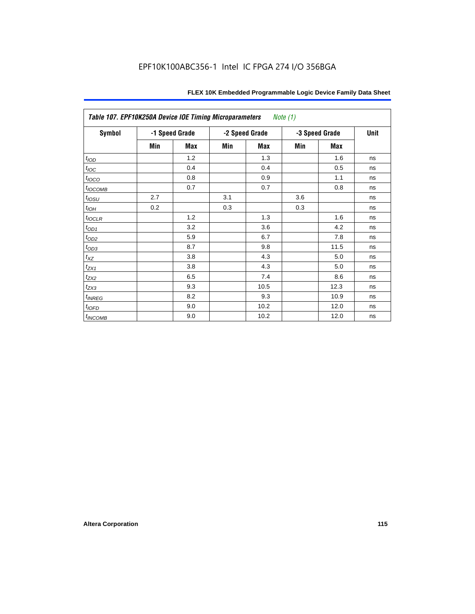| Table 107. EPF10K250A Device IOE Timing Microparameters<br><i>Note</i> $(1)$ |     |                |     |                |     |                |    |  |
|------------------------------------------------------------------------------|-----|----------------|-----|----------------|-----|----------------|----|--|
| Symbol                                                                       |     | -1 Speed Grade |     | -2 Speed Grade |     | -3 Speed Grade |    |  |
|                                                                              | Min | <b>Max</b>     | Min | Max            | Min | Max            |    |  |
| t <sub>IOD</sub>                                                             |     | 1.2            |     | 1.3            |     | 1.6            | ns |  |
| $t_{\text{loc}}$                                                             |     | 0.4            |     | 0.4            |     | 0.5            | ns |  |
| t <sub>IOCO</sub>                                                            |     | 0.8            |     | 0.9            |     | 1.1            | ns |  |
| $t_{IOCOMB}$                                                                 |     | 0.7            |     | 0.7            |     | 0.8            | ns |  |
| $t_{IOSU}$                                                                   | 2.7 |                | 3.1 |                | 3.6 |                | ns |  |
| $t_{IOH}$                                                                    | 0.2 |                | 0.3 |                | 0.3 |                | ns |  |
| $t_{IOCLR}$                                                                  |     | 1.2            |     | 1.3            |     | 1.6            | ns |  |
| $t_{OD1}$                                                                    |     | 3.2            |     | 3.6            |     | 4.2            | ns |  |
| $t_{OD2}$                                                                    |     | 5.9            |     | 6.7            |     | 7.8            | ns |  |
| $t_{OD3}$                                                                    |     | 8.7            |     | 9.8            |     | 11.5           | ns |  |
| $t_{XZ}$                                                                     |     | 3.8            |     | 4.3            |     | 5.0            | ns |  |
| $t_{ZX1}$                                                                    |     | 3.8            |     | 4.3            |     | 5.0            | ns |  |
| $t_{ZX2}$                                                                    |     | 6.5            |     | 7.4            |     | 8.6            | ns |  |
| $t_{ZX3}$                                                                    |     | 9.3            |     | 10.5           |     | 12.3           | ns |  |
| $t_{\sf INREG}$                                                              |     | 8.2            |     | 9.3            |     | 10.9           | ns |  |
| $t_{IOED}$                                                                   |     | 9.0            |     | 10.2           |     | 12.0           | ns |  |
| $t_{INCOMB}$                                                                 |     | 9.0            |     | 10.2           |     | 12.0           | ns |  |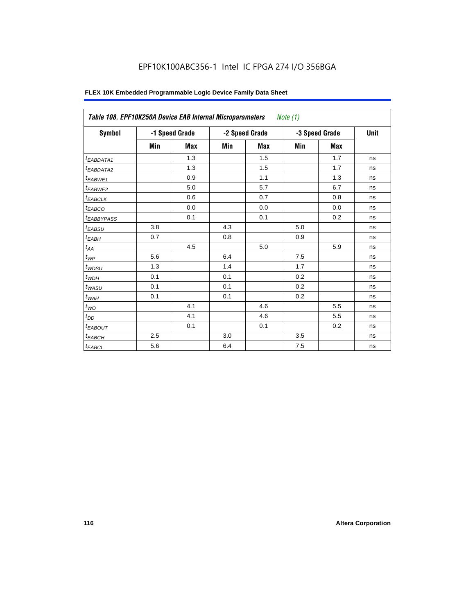# EPF10K100ABC356-1 Intel IC FPGA 274 I/O 356BGA

| <b>Symbol</b>                |     | -1 Speed Grade |     | -2 Speed Grade |     | -3 Speed Grade | Unit |
|------------------------------|-----|----------------|-----|----------------|-----|----------------|------|
|                              | Min | <b>Max</b>     | Min | <b>Max</b>     | Min | <b>Max</b>     |      |
| <sup>t</sup> EABDATA1        |     | 1.3            |     | 1.5            |     | 1.7            | ns   |
| <sup>t</sup> EABDATA2        |     | 1.3            |     | 1.5            |     | 1.7            | ns   |
| <sup>t</sup> EABWE1          |     | 0.9            |     | 1.1            |     | 1.3            | ns   |
| <sup>t</sup> EABWE2          |     | 5.0            |     | 5.7            |     | 6.7            | ns   |
| <sup>t</sup> EABCLK          |     | 0.6            |     | 0.7            |     | 0.8            | ns   |
| t <sub>EABCO</sub>           |     | 0.0            |     | 0.0            |     | 0.0            | ns   |
| <sup>t</sup> EABBYPASS       |     | 0.1            |     | 0.1            |     | 0.2            | ns   |
| <sup>t</sup> EABSU           | 3.8 |                | 4.3 |                | 5.0 |                | ns   |
| $t_{EABH}$                   | 0.7 |                | 0.8 |                | 0.9 |                | ns   |
| $t_{\mathcal{A}\mathcal{A}}$ |     | 4.5            |     | 5.0            |     | 5.9            | ns   |
| $t_{\mathcal{WP}}$           | 5.6 |                | 6.4 |                | 7.5 |                | ns   |
| $t_{WDSU}$                   | 1.3 |                | 1.4 |                | 1.7 |                | ns   |
| $t_{WDH}$                    | 0.1 |                | 0.1 |                | 0.2 |                | ns   |
| $t_{WASU}$                   | 0.1 |                | 0.1 |                | 0.2 |                | ns   |
| $t_{WAH}$                    | 0.1 |                | 0.1 |                | 0.2 |                | ns   |
| $t_{WO}$                     |     | 4.1            |     | 4.6            |     | 5.5            | ns   |
| $t_{DD}$                     |     | 4.1            |     | 4.6            |     | 5.5            | ns   |
| <sup>t</sup> EABOUT          |     | 0.1            |     | 0.1            |     | 0.2            | ns   |
| t <sub>EABCH</sub>           | 2.5 |                | 3.0 |                | 3.5 |                | ns   |
| $t_{EABCL}$                  | 5.6 |                | 6.4 |                | 7.5 |                | ns   |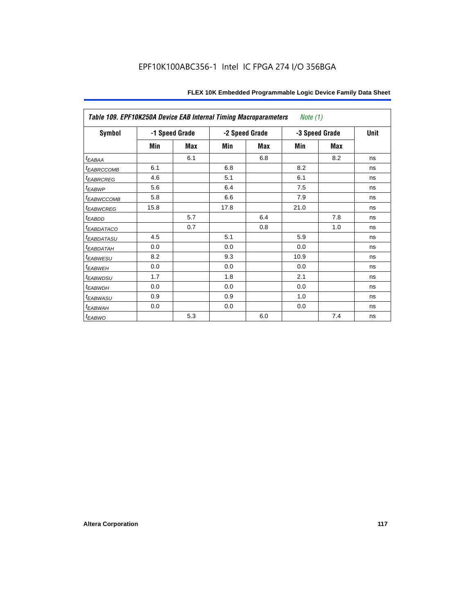| Table 109. EPF10K250A Device EAB Internal Timing Macroparameters<br><i>Note</i> $(1)$ |      |                |                |     |      |                |             |  |
|---------------------------------------------------------------------------------------|------|----------------|----------------|-----|------|----------------|-------------|--|
| Symbol                                                                                |      | -1 Speed Grade | -2 Speed Grade |     |      | -3 Speed Grade | <b>Unit</b> |  |
|                                                                                       | Min  | Max            | Min            | Max | Min  | <b>Max</b>     |             |  |
| $t_{EABA}$                                                                            |      | 6.1            |                | 6.8 |      | 8.2            | ns          |  |
| <sup>t</sup> EABRCCOMB                                                                | 6.1  |                | 6.8            |     | 8.2  |                | ns          |  |
| <i><b>EABRCREG</b></i>                                                                | 4.6  |                | 5.1            |     | 6.1  |                | ns          |  |
| t <sub>EABWP</sub>                                                                    | 5.6  |                | 6.4            |     | 7.5  |                | ns          |  |
| <sup>t</sup> ЕАВWССОМВ                                                                | 5.8  |                | 6.6            |     | 7.9  |                | ns          |  |
| <sup>t</sup> EABWCREG                                                                 | 15.8 |                | 17.8           |     | 21.0 |                | ns          |  |
| $t_{EABDD}$                                                                           |      | 5.7            |                | 6.4 |      | 7.8            | ns          |  |
| t <sub>EABDATACO</sub>                                                                |      | 0.7            |                | 0.8 |      | 1.0            | ns          |  |
| <sup>t</sup> EABDATASU                                                                | 4.5  |                | 5.1            |     | 5.9  |                | ns          |  |
| t <sub>EABDATAH</sub>                                                                 | 0.0  |                | 0.0            |     | 0.0  |                | ns          |  |
| <sup>t</sup> EABWESU                                                                  | 8.2  |                | 9.3            |     | 10.9 |                | ns          |  |
| <sup>t</sup> EABWEH                                                                   | 0.0  |                | 0.0            |     | 0.0  |                | ns          |  |
| <sup>t</sup> EABWDSU                                                                  | 1.7  |                | 1.8            |     | 2.1  |                | ns          |  |
| t <sub>EABWDH</sub>                                                                   | 0.0  |                | 0.0            |     | 0.0  |                | ns          |  |
| t <sub>EABWASU</sub>                                                                  | 0.9  |                | 0.9            |     | 1.0  |                | ns          |  |
| t <sub>EABWAH</sub>                                                                   | 0.0  |                | 0.0            |     | 0.0  |                | ns          |  |
| $t_{EABWO}$                                                                           |      | 5.3            |                | 6.0 |      | 7.4            | ns          |  |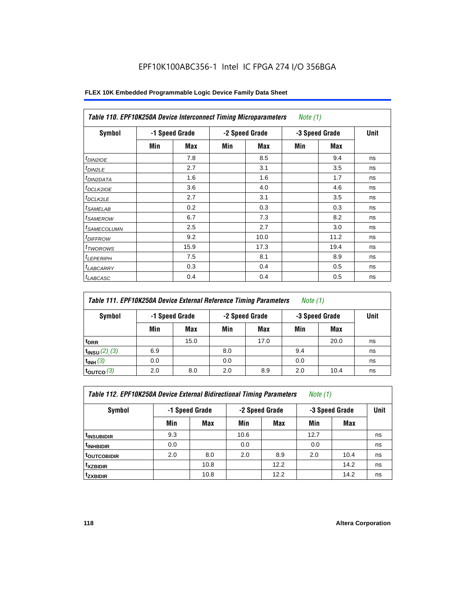# EPF10K100ABC356-1 Intel IC FPGA 274 I/O 356BGA

| <b>Symbol</b>              |     | -1 Speed Grade |     | -2 Speed Grade |     | -3 Speed Grade | <b>Unit</b> |
|----------------------------|-----|----------------|-----|----------------|-----|----------------|-------------|
|                            | Min | Max            | Min | Max            | Min | Max            |             |
| $t_{DINZIOE}$              |     | 7.8            |     | 8.5            |     | 9.4            | ns          |
| $t_{DIN2LE}$               |     | 2.7            |     | 3.1            |     | 3.5            | ns          |
| <sup>t</sup> DIN2DATA      |     | 1.6            |     | 1.6            |     | 1.7            | ns          |
| <sup>t</sup> DCLK2IOE      |     | 3.6            |     | 4.0            |     | 4.6            | ns          |
| <sup>t</sup> DCLK2LE       |     | 2.7            |     | 3.1            |     | 3.5            | ns          |
| <sup>t</sup> SAMELAB       |     | 0.2            |     | 0.3            |     | 0.3            | ns          |
| <sup>t</sup> SAMEROW       |     | 6.7            |     | 7.3            |     | 8.2            | ns          |
| <sup>t</sup> SAMECOLUMN    |     | 2.5            |     | 2.7            |     | 3.0            | ns          |
| <i>t<sub>DIFFROW</sub></i> |     | 9.2            |     | 10.0           |     | 11.2           | ns          |
| <sup>t</sup> TWOROWS       |     | 15.9           |     | 17.3           |     | 19.4           | ns          |
| <sup>t</sup> LEPERIPH      |     | 7.5            |     | 8.1            |     | 8.9            | ns          |
| <sup>I</sup> LABCARRY      |     | 0.3            |     | 0.4            |     | 0.5            | ns          |
| <sup>t</sup> LABCASC       |     | 0.4            |     | 0.4            |     | 0.5            | ns          |

| Table 111. EPF10K250A Device External Reference Timing Parameters<br><i>Note</i> $(1)$ |                                                    |      |     |      |     |            |             |  |  |
|----------------------------------------------------------------------------------------|----------------------------------------------------|------|-----|------|-----|------------|-------------|--|--|
| Symbol                                                                                 | -2 Speed Grade<br>-3 Speed Grade<br>-1 Speed Grade |      |     |      |     |            | <b>Unit</b> |  |  |
|                                                                                        | Min                                                | Max  | Min | Max  | Min | <b>Max</b> |             |  |  |
| <sup>t</sup> DRR                                                                       |                                                    | 15.0 |     | 17.0 |     | 20.0       | ns          |  |  |
| $t_{INSU} (2) (3)$                                                                     | 6.9                                                |      | 8.0 |      | 9.4 |            | ns          |  |  |
| $t_{INH}$ (3)                                                                          | 0.0                                                |      | 0.0 |      | 0.0 |            | ns          |  |  |
| $t_{\rm OUTCO}$ (3)                                                                    | 2.0                                                | 8.0  | 2.0 | 8.9  | 2.0 | 10.4       | ns          |  |  |

| Table 112. EPF10K250A Device External Bidirectional Timing Parameters |  | Note (1) |
|-----------------------------------------------------------------------|--|----------|
|-----------------------------------------------------------------------|--|----------|

| Symbol                  | -1 Speed Grade |      |      | -2 Speed Grade | -3 Speed Grade | Unit |    |
|-------------------------|----------------|------|------|----------------|----------------|------|----|
|                         | Min            | Max  | Min  | <b>Max</b>     | Min            | Max  |    |
| <sup>t</sup> INSUBIDIR  | 9.3            |      | 10.6 |                | 12.7           |      | ns |
| <sup>t</sup> INHBIDIR   | 0.0            |      | 0.0  |                | 0.0            |      | ns |
| <sup>t</sup> OUTCOBIDIR | 2.0            | 8.0  | 2.0  | 8.9            | 2.0            | 10.4 | ns |
| <sup>t</sup> xzbidir    |                | 10.8 |      | 12.2           |                | 14.2 | ns |
| <sup>t</sup> zxbidir    |                | 10.8 |      | 12.2           |                | 14.2 | ns |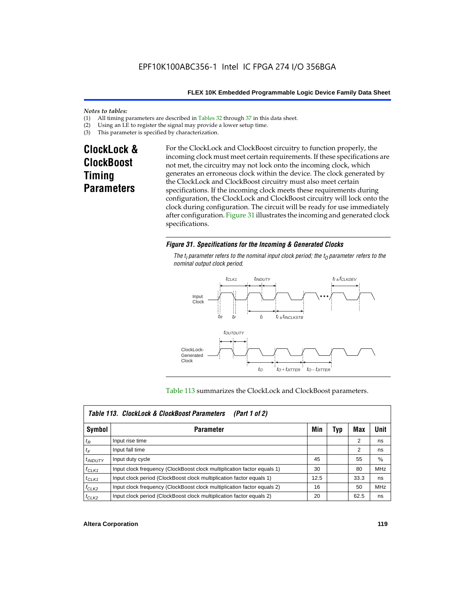#### *Notes to tables:*

- (1) All timing parameters are described in Tables  $32$  through  $37$  in this data sheet.<br>(2) Using an LE to register the signal may provide a lower setup time.
- (2) Using an LE to register the signal may provide a lower setup time.<br>(3) This parameter is specified by characterization.
- This parameter is specified by characterization.

# **ClockLock & ClockBoost Timing Parameters**

For the ClockLock and ClockBoost circuitry to function properly, the incoming clock must meet certain requirements. If these specifications are not met, the circuitry may not lock onto the incoming clock, which generates an erroneous clock within the device. The clock generated by the ClockLock and ClockBoost circuitry must also meet certain specifications. If the incoming clock meets these requirements during configuration, the ClockLock and ClockBoost circuitry will lock onto the clock during configuration. The circuit will be ready for use immediately after configuration. Figure 31 illustrates the incoming and generated clock specifications.

### *Figure 31. Specifications for the Incoming & Generated Clocks*

The  $t_i$  parameter refers to the nominal input clock period; the  $t_0$  parameter refers to the *nominal output clock period.*



#### Table 113 summarizes the ClockLock and ClockBoost parameters.

|              | Table 113. ClockLock & ClockBoost Parameters<br>(Part 1 of 2)           |      |     |                |            |  |  |  |  |
|--------------|-------------------------------------------------------------------------|------|-----|----------------|------------|--|--|--|--|
| Symbol       | <b>Parameter</b>                                                        | Min  | Typ | Max            | Unit       |  |  |  |  |
| $t_{R}$      | Input rise time                                                         |      |     | $\overline{2}$ | ns         |  |  |  |  |
| $t_F$        | Input fall time                                                         |      |     | 2              | ns         |  |  |  |  |
| $t_{INDUTY}$ | Input duty cycle                                                        | 45   |     | 55             | $\%$       |  |  |  |  |
| $f_{CLK1}$   | Input clock frequency (ClockBoost clock multiplication factor equals 1) | 30   |     | 80             | <b>MHz</b> |  |  |  |  |
| $t$ CLK1     | Input clock period (ClockBoost clock multiplication factor equals 1)    | 12.5 |     | 33.3           | ns         |  |  |  |  |
| $f_{CLK2}$   | Input clock frequency (ClockBoost clock multiplication factor equals 2) | 16   |     | 50             | <b>MHz</b> |  |  |  |  |
| $t_{CLK2}$   | Input clock period (ClockBoost clock multiplication factor equals 2)    | 20   |     | 62.5           | ns         |  |  |  |  |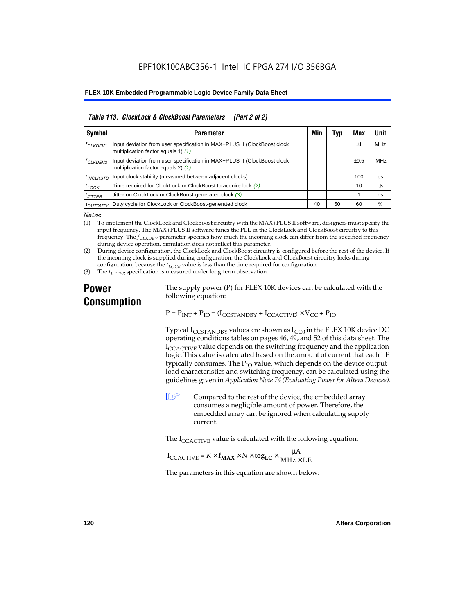|                       | Table 113. ClockLock & ClockBoost Parameters<br>(Part 2 of 2)                                                   |     |     |           |            |  |  |  |  |  |
|-----------------------|-----------------------------------------------------------------------------------------------------------------|-----|-----|-----------|------------|--|--|--|--|--|
| Symbol                | <b>Parameter</b>                                                                                                | Min | Typ | Max       | Unit       |  |  |  |  |  |
| f <sub>CLKDEV1</sub>  | Input deviation from user specification in MAX+PLUS II (ClockBoost clock<br>multiplication factor equals 1) (1) |     |     | $+1$      | <b>MHz</b> |  |  |  |  |  |
| <sup>f</sup> CLKDEV2  | Input deviation from user specification in MAX+PLUS II (ClockBoost clock<br>multiplication factor equals 2) (1) |     |     | $\pm 0.5$ | MHz        |  |  |  |  |  |
| <sup>t</sup> INCLKSTB | Input clock stability (measured between adjacent clocks)                                                        |     |     | 100       | ps         |  |  |  |  |  |
| $t_{LOCK}$            | Time required for ClockLock or ClockBoost to acquire lock (2)                                                   |     |     | 10        | μs         |  |  |  |  |  |
| $t_{JITTER}$          | Jitter on ClockLock or ClockBoost-generated clock (3)                                                           |     |     |           | ns         |  |  |  |  |  |
| <i>toutbuty</i>       | Duty cycle for ClockLock or ClockBoost-generated clock                                                          | 40  | 50  | 60        | %          |  |  |  |  |  |

*Notes:*

(1) To implement the ClockLock and ClockBoost circuitry with the MAX+PLUS II software, designers must specify the input frequency. The MAX+PLUS II software tunes the PLL in the ClockLock and ClockBoost circuitry to this frequency. The *fCLKDEV* parameter specifies how much the incoming clock can differ from the specified frequency during device operation. Simulation does not reflect this parameter.

(2) During device configuration, the ClockLock and ClockBoost circuitry is configured before the rest of the device. If the incoming clock is supplied during configuration, the ClockLock and ClockBoost circuitry locks during configuration, because the  $t_{LOCK}$  value is less than the time required for configuration.

(3) The *t<sub>IITTER</sub>* specification is measured under long-term observation.

# **Power Consumption**

The supply power (P) for FLEX 10K devices can be calculated with the following equation:

 $P = P_{INT} + P_{IO} = (I_{CCSTANDBY} + I_{CCACTIVE}) \times V_{CC} + P_{IO}$ 

Typical  $I_{CCSTANDBY}$  values are shown as  $I_{CC0}$  in the FLEX 10K device DC operating conditions tables on pages 46, 49, and 52 of this data sheet. The  $I_{\text{CCACTIVE}}$  value depends on the switching frequency and the application logic. This value is calculated based on the amount of current that each LE typically consumes. The  $P_{IO}$  value, which depends on the device output load characteristics and switching frequency, can be calculated using the guidelines given in *Application Note 74 (Evaluating Power for Altera Devices)*.

 $\Box$  Compared to the rest of the device, the embedded array consumes a negligible amount of power. Therefore, the embedded array can be ignored when calculating supply current.

The  $I_{\text{CCACTIVE}}$  value is calculated with the following equation:

$$
I_{\text{CCACTIVE}} = K \times f_{\text{MAX}} \times N \times \text{tog}_{\text{LC}} \times \frac{\mu A}{\text{MHz} \times \text{LE}}
$$

The parameters in this equation are shown below: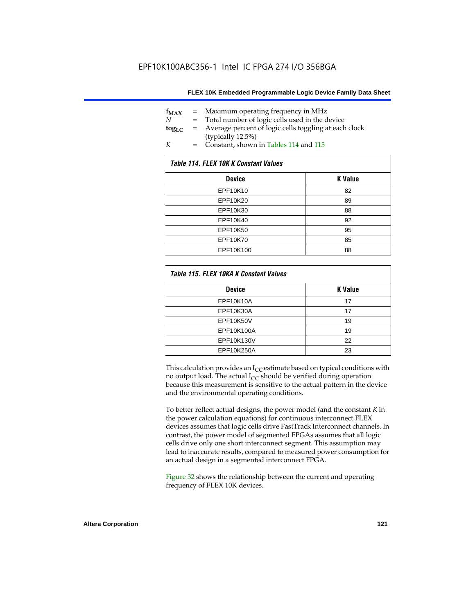| $f_{MAX}$   | $=$ | Maximum operating frequency in MHz                    |
|-------------|-----|-------------------------------------------------------|
| N           |     | Total number of logic cells used in the device        |
| $\log_{LC}$ | $=$ | Average percent of logic cells toggling at each clock |
|             |     | (typically 12.5%)                                     |
| K           | $=$ | Constant, shown in Tables 114 and 115                 |

| Table 114. FLEX 10K K Constant Values |                |  |  |  |  |
|---------------------------------------|----------------|--|--|--|--|
| <b>Device</b>                         | <b>K</b> Value |  |  |  |  |
| EPF10K10                              | 82             |  |  |  |  |
| EPF10K20                              | 89             |  |  |  |  |
| EPF10K30                              | 88             |  |  |  |  |
| EPF10K40                              | 92             |  |  |  |  |
| EPF10K50                              | 95             |  |  |  |  |
| EPF10K70                              | 85             |  |  |  |  |
| EPF10K100                             | 88             |  |  |  |  |

| Table 115. FLEX 10KA K Constant Values |                |
|----------------------------------------|----------------|
| <b>Device</b>                          | <b>K</b> Value |
| <b>EPF10K10A</b>                       | 17             |
| EPF10K30A                              | 17             |
| EPF10K50V                              | 19             |
| EPF10K100A                             | 19             |
| EPF10K130V                             | 22             |
| EPF10K250A                             | 23             |

This calculation provides an  $I_{CC}$  estimate based on typical conditions with no output load. The actual  $I_{CC}$  should be verified during operation because this measurement is sensitive to the actual pattern in the device and the environmental operating conditions.

To better reflect actual designs, the power model (and the constant *K* in the power calculation equations) for continuous interconnect FLEX devices assumes that logic cells drive FastTrack Interconnect channels. In contrast, the power model of segmented FPGAs assumes that all logic cells drive only one short interconnect segment. This assumption may lead to inaccurate results, compared to measured power consumption for an actual design in a segmented interconnect FPGA.

Figure 32 shows the relationship between the current and operating frequency of FLEX 10K devices.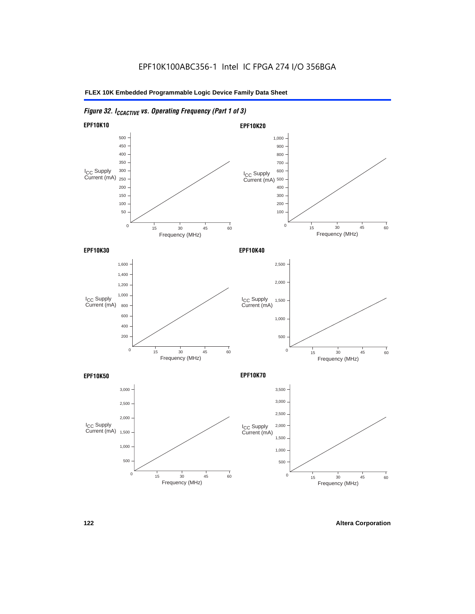# *Figure 32. ICCACTIVE vs. Operating Frequency (Part 1 of 3)*

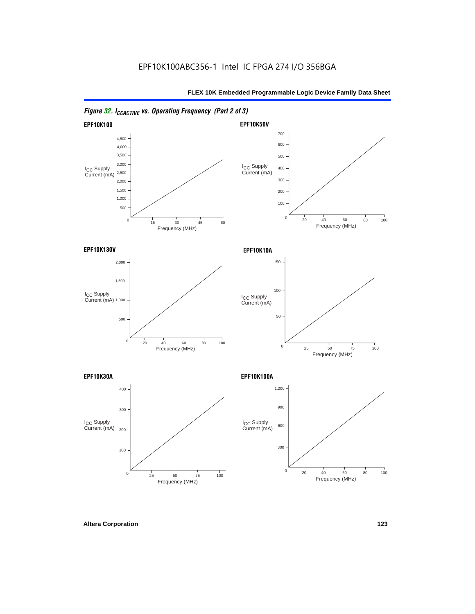

*Figure 32. ICCACTIVE vs. Operating Frequency (Part 2 of 3)*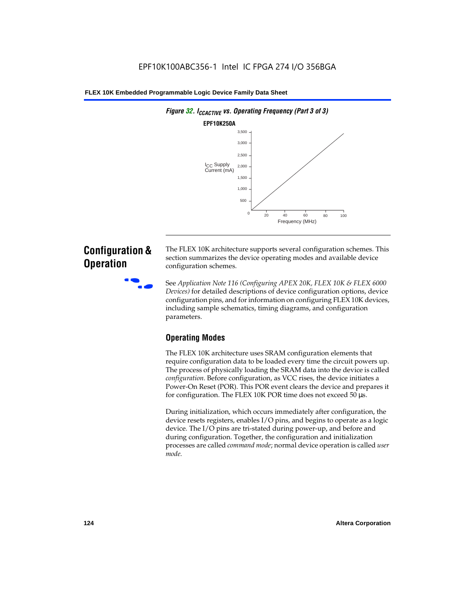

# **Configuration & Operation**

The FLEX 10K architecture supports several configuration schemes. This section summarizes the device operating modes and available device configuration schemes.

f See *Application Note 116 (Configuring APEX 20K, FLEX 10K & FLEX 6000 Devices)* for detailed descriptions of device configuration options, device configuration pins, and for information on configuring FLEX 10K devices, including sample schematics, timing diagrams, and configuration parameters.

# **Operating Modes**

The FLEX 10K architecture uses SRAM configuration elements that require configuration data to be loaded every time the circuit powers up. The process of physically loading the SRAM data into the device is called *configuration*. Before configuration, as VCC rises, the device initiates a Power-On Reset (POR). This POR event clears the device and prepares it for configuration. The FLEX 10K POR time does not exceed 50 µs.

During initialization, which occurs immediately after configuration, the device resets registers, enables I/O pins, and begins to operate as a logic device. The I/O pins are tri-stated during power-up, and before and during configuration. Together, the configuration and initialization processes are called *command mode*; normal device operation is called *user mode*.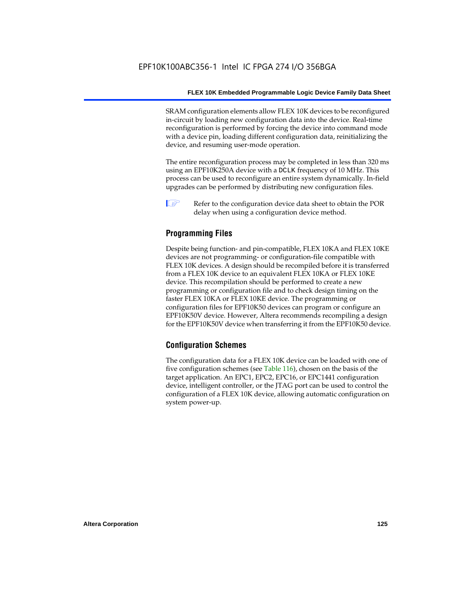SRAM configuration elements allow FLEX 10K devices to be reconfigured in-circuit by loading new configuration data into the device. Real-time reconfiguration is performed by forcing the device into command mode with a device pin, loading different configuration data, reinitializing the device, and resuming user-mode operation.

The entire reconfiguration process may be completed in less than 320 ms using an EPF10K250A device with a DCLK frequency of 10 MHz. This process can be used to reconfigure an entire system dynamically. In-field upgrades can be performed by distributing new configuration files.

 $\Box$  Refer to the configuration device data sheet to obtain the POR delay when using a configuration device method.

## **Programming Files**

Despite being function- and pin-compatible, FLEX 10KA and FLEX 10KE devices are not programming- or configuration-file compatible with FLEX 10K devices. A design should be recompiled before it is transferred from a FLEX 10K device to an equivalent FLEX 10KA or FLEX 10KE device. This recompilation should be performed to create a new programming or configuration file and to check design timing on the faster FLEX 10KA or FLEX 10KE device. The programming or configuration files for EPF10K50 devices can program or configure an EPF10K50V device. However, Altera recommends recompiling a design for the EPF10K50V device when transferring it from the EPF10K50 device.

### **Configuration Schemes**

The configuration data for a FLEX 10K device can be loaded with one of five configuration schemes (see Table 116), chosen on the basis of the target application. An EPC1, EPC2, EPC16, or EPC1441 configuration device, intelligent controller, or the JTAG port can be used to control the configuration of a FLEX 10K device, allowing automatic configuration on system power-up.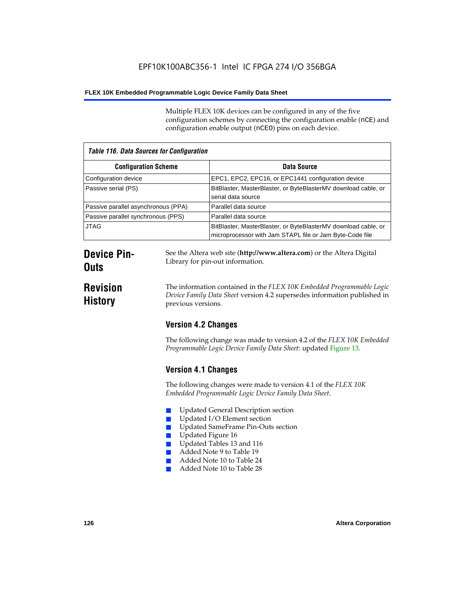Multiple FLEX 10K devices can be configured in any of the five configuration schemes by connecting the configuration enable (nCE) and configuration enable output (nCEO) pins on each device.

| <b>Table 116. Data Sources for Configuration</b> |                                                                                                                            |  |
|--------------------------------------------------|----------------------------------------------------------------------------------------------------------------------------|--|
| <b>Configuration Scheme</b>                      | Data Source                                                                                                                |  |
| Configuration device                             | EPC1, EPC2, EPC16, or EPC1441 configuration device                                                                         |  |
| Passive serial (PS)                              | BitBlaster, MasterBlaster, or ByteBlasterMV download cable, or<br>serial data source                                       |  |
| Passive parallel asynchronous (PPA)              | Parallel data source                                                                                                       |  |
| Passive parallel synchronous (PPS)               | Parallel data source                                                                                                       |  |
| <b>JTAG</b>                                      | BitBlaster, MasterBlaster, or ByteBlasterMV download cable, or<br>microprocessor with Jam STAPL file or Jam Byte-Code file |  |

# **Device Pin-Outs**

# **Revision History**

The information contained in the *FLEX 10K Embedded Programmable Logic Device Family Data Sheet* version 4.2 supersedes information published in

See the Altera web site (**http://www.altera.com**) or the Altera Digital

# **Version 4.2 Changes**

previous versions.

Library for pin-out information.

The following change was made to version 4.2 of the *FLEX 10K Embedded Programmable Logic Device Family Data Sheet*: updated Figure 13.

# **Version 4.1 Changes**

The following changes were made to version 4.1 of the *FLEX 10K Embedded Programmable Logic Device Family Data Sheet*.

- Updated General Description section
- Updated I/O Element section
- Updated SameFrame Pin-Outs section
- Updated Figure 16
- Updated Tables 13 and 116
- Added Note 9 to Table 19
- Added Note 10 to Table 24
- Added Note 10 to Table 28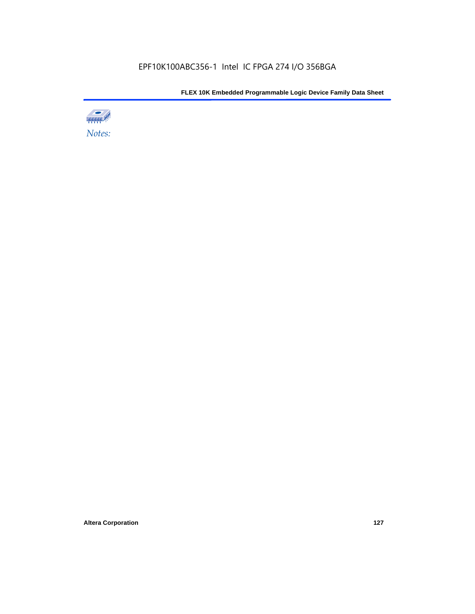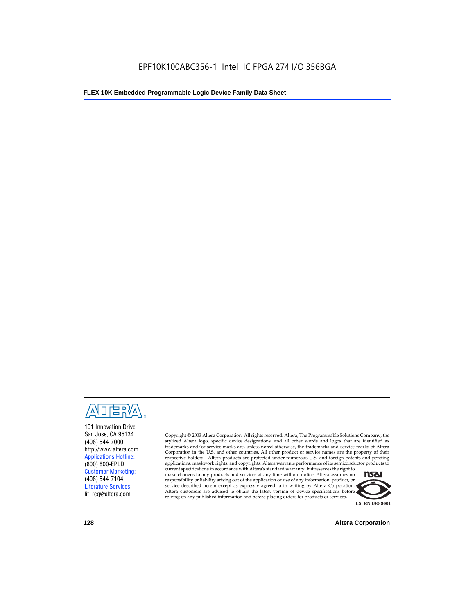

101 Innovation Drive San Jose, CA 95134 (408) 544-7000 http://www.altera.com Applications Hotline: (800) 800-EPLD Customer Marketing: (408) 544-7104 Literature Services: lit\_req@altera.com

Copyright © 2003 Altera Corporation. All rights reserved. Altera, The Programmable Solutions Company, the stylized Altera logo, specific device designations, and all other words and logos that are identified as trademarks and/or service marks are, unless noted otherwise, the trademarks and service marks of Altera Corporation in the U.S. and other countries. All other product or service names are the property of their respective holders. Altera products are protected under numerous U.S. and foreign patents and pending applications, maskwork rights, and copyrights. Altera warrants performance of its semiconductor products to

current specifications in accordance with Altera's standard warranty, but reserves the right to make changes to any products and services at any time without notice. Altera assumes no responsibility or liability arising out of the application or use of any information, product, or service described herein except as expressly agreed to in writing by Altera Corporation. Altera customers are advised to obtain the latest version of device specifications before relying on any published information and before placing orders for products or services.



**128 Altera Corporation**